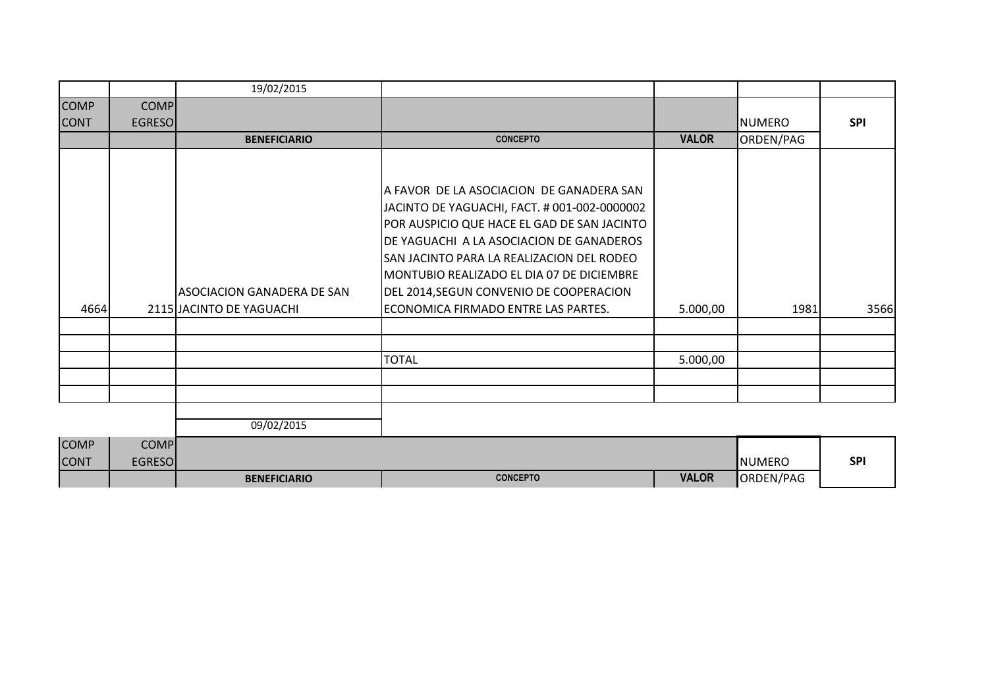|             |               | 19/02/2015                        |                                              |              |                 |            |
|-------------|---------------|-----------------------------------|----------------------------------------------|--------------|-----------------|------------|
| <b>COMP</b> | <b>COMP</b>   |                                   |                                              |              |                 |            |
| <b>CONT</b> | <b>EGRESO</b> |                                   |                                              |              | <b>I</b> NUMERO | <b>SPI</b> |
|             |               | <b>BENEFICIARIO</b>               | <b>CONCEPTO</b>                              | <b>VALOR</b> | ORDEN/PAG       |            |
|             |               |                                   |                                              |              |                 |            |
|             |               |                                   |                                              |              |                 |            |
|             |               |                                   | IA FAVOR DE LA ASOCIACION DE GANADERA SAN    |              |                 |            |
|             |               |                                   | JACINTO DE YAGUACHI, FACT. # 001-002-0000002 |              |                 |            |
|             |               |                                   | POR AUSPICIO QUE HACE EL GAD DE SAN JACINTO  |              |                 |            |
|             |               |                                   | DE YAGUACHI A LA ASOCIACION DE GANADEROS     |              |                 |            |
|             |               |                                   | SAN JACINTO PARA LA REALIZACION DEL RODEO    |              |                 |            |
|             |               |                                   | IMONTUBIO REALIZADO EL DIA 07 DE DICIEMBRE   |              |                 |            |
|             |               | <b>ASOCIACION GANADERA DE SAN</b> | DEL 2014, SEGUN CONVENIO DE COOPERACION      |              |                 |            |
| 4664        |               | 2115 JACINTO DE YAGUACHI          | ECONOMICA FIRMADO ENTRE LAS PARTES.          | 5.000,00     | 1981            | 3566       |
|             |               |                                   |                                              |              |                 |            |
|             |               |                                   |                                              |              |                 |            |
|             |               |                                   | <b>TOTAL</b>                                 | 5.000,00     |                 |            |
|             |               |                                   |                                              |              |                 |            |
|             |               |                                   |                                              |              |                 |            |
|             |               |                                   |                                              |              |                 |            |
|             |               | 09/02/2015                        |                                              |              |                 |            |
| <b>COMP</b> | <b>COMP</b>   |                                   |                                              |              |                 |            |
| <b>CONT</b> | <b>EGRESO</b> |                                   |                                              |              | <b>NUMERO</b>   | <b>SPI</b> |
|             |               | <b>BENEFICIARIO</b>               | <b>CONCEPTO</b>                              | <b>VALOR</b> | ORDEN/PAG       |            |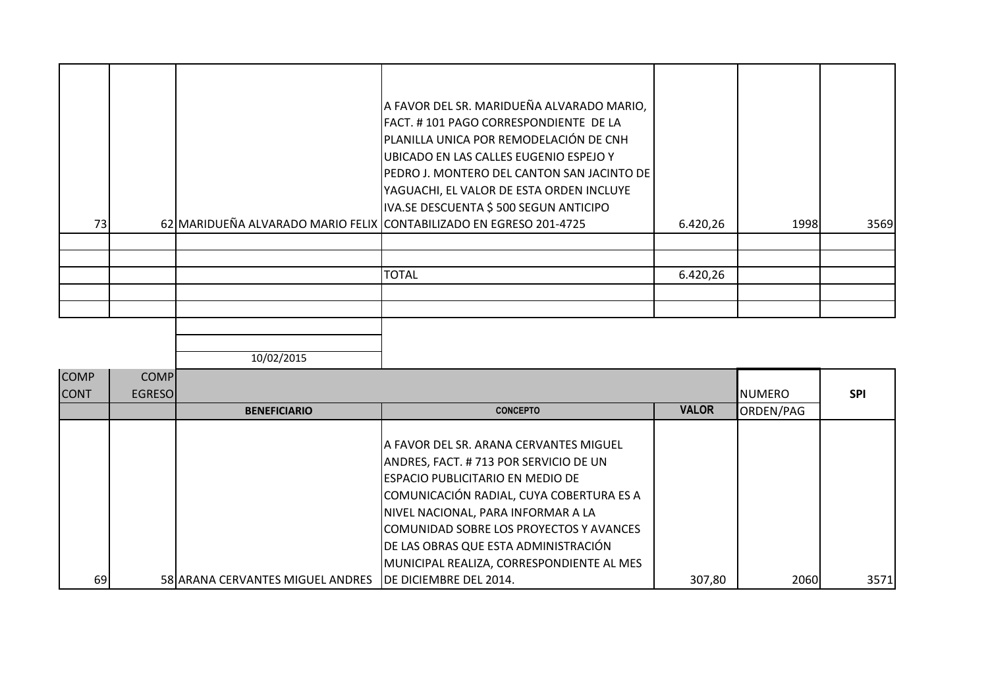| 73 |  | A FAVOR DEL SR. MARIDUEÑA ALVARADO MARIO,<br>FACT. #101 PAGO CORRESPONDIENTE DE LA<br>PLANILLA UNICA POR REMODELACIÓN DE CNH<br>UBICADO EN LAS CALLES EUGENIO ESPEJO Y<br>PEDRO J. MONTERO DEL CANTON SAN JACINTO DE  <br>YAGUACHI, EL VALOR DE ESTA ORDEN INCLUYE<br>IVA.SE DESCUENTA \$ 500 SEGUN ANTICIPO<br>62 MARIDUEÑA ALVARADO MARIO FELIX CONTABILIZADO EN EGRESO 201-4725 | 6.420,26 | 1998 | 3569 |
|----|--|------------------------------------------------------------------------------------------------------------------------------------------------------------------------------------------------------------------------------------------------------------------------------------------------------------------------------------------------------------------------------------|----------|------|------|
|    |  |                                                                                                                                                                                                                                                                                                                                                                                    |          |      |      |
|    |  |                                                                                                                                                                                                                                                                                                                                                                                    |          |      |      |
|    |  |                                                                                                                                                                                                                                                                                                                                                                                    |          |      |      |
|    |  | <b>TOTAL</b>                                                                                                                                                                                                                                                                                                                                                                       | 6.420,26 |      |      |
|    |  |                                                                                                                                                                                                                                                                                                                                                                                    |          |      |      |
|    |  |                                                                                                                                                                                                                                                                                                                                                                                    |          |      |      |
|    |  |                                                                                                                                                                                                                                                                                                                                                                                    |          |      |      |
|    |  |                                                                                                                                                                                                                                                                                                                                                                                    |          |      |      |

| <b>COMP</b><br><b>CONT</b> | <b>COMP</b><br><b>EGRESOI</b> |                                  |                                                                                                                                                                                                                                                                                                                                          |              | <b>I</b> NUMERO | <b>SPI</b> |
|----------------------------|-------------------------------|----------------------------------|------------------------------------------------------------------------------------------------------------------------------------------------------------------------------------------------------------------------------------------------------------------------------------------------------------------------------------------|--------------|-----------------|------------|
|                            |                               | <b>BENEFICIARIO</b>              | <b>CONCEPTO</b>                                                                                                                                                                                                                                                                                                                          | <b>VALOR</b> | ORDEN/PAG       |            |
|                            |                               |                                  | IA FAVOR DEL SR. ARANA CERVANTES MIGUEL<br>ANDRES, FACT. # 713 POR SERVICIO DE UN<br>IESPACIO PUBLICITARIO EN MEDIO DE<br>COMUNICACIÓN RADIAL, CUYA COBERTURA ES A<br>NIVEL NACIONAL, PARA INFORMAR A LA<br>COMUNIDAD SOBRE LOS PROYECTOS Y AVANCES<br>DE LAS OBRAS QUE ESTA ADMINISTRACIÓN<br>MUNICIPAL REALIZA, CORRESPONDIENTE AL MES |              |                 |            |
| 69                         |                               | 58 ARANA CERVANTES MIGUEL ANDRES | <b>IDE DICIEMBRE DEL 2014.</b>                                                                                                                                                                                                                                                                                                           | 307,80       | 2060            | 3571       |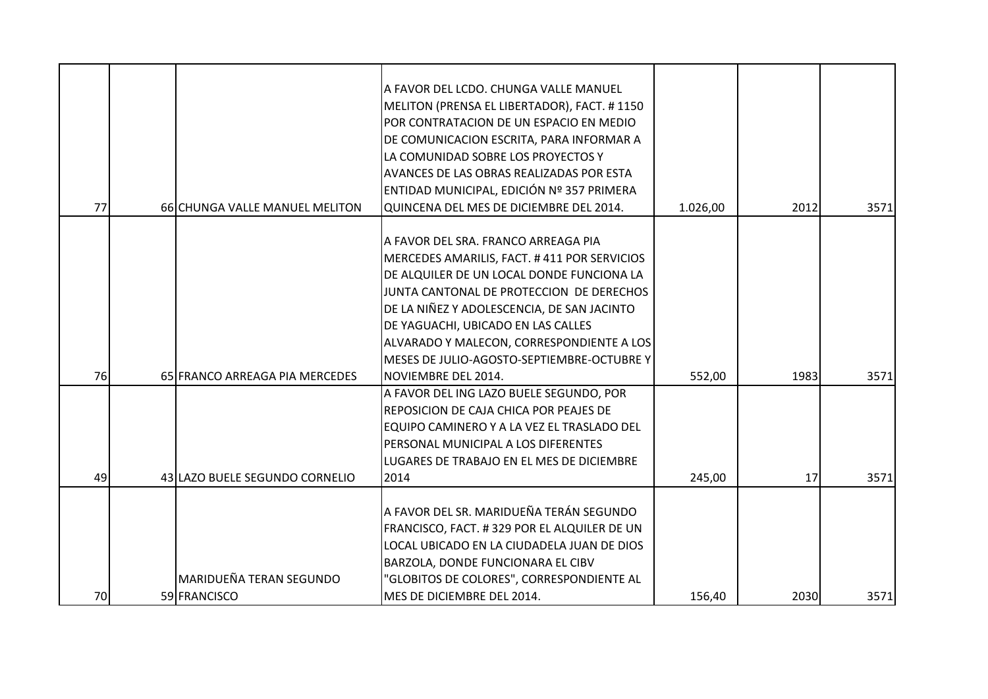| 77 | 66 CHUNGA VALLE MANUEL MELITON | A FAVOR DEL LCDO. CHUNGA VALLE MANUEL<br>MELITON (PRENSA EL LIBERTADOR), FACT. #1150<br>POR CONTRATACION DE UN ESPACIO EN MEDIO<br>DE COMUNICACION ESCRITA, PARA INFORMAR A<br>LA COMUNIDAD SOBRE LOS PROYECTOS Y<br>AVANCES DE LAS OBRAS REALIZADAS POR ESTA<br>ENTIDAD MUNICIPAL, EDICIÓN Nº 357 PRIMERA<br>QUINCENA DEL MES DE DICIEMBRE DEL 2014. | 1.026,00 | 2012 | 3571 |
|----|--------------------------------|-------------------------------------------------------------------------------------------------------------------------------------------------------------------------------------------------------------------------------------------------------------------------------------------------------------------------------------------------------|----------|------|------|
|    |                                | A FAVOR DEL SRA. FRANCO ARREAGA PIA                                                                                                                                                                                                                                                                                                                   |          |      |      |
|    |                                | MERCEDES AMARILIS, FACT. #411 POR SERVICIOS                                                                                                                                                                                                                                                                                                           |          |      |      |
|    |                                | DE ALQUILER DE UN LOCAL DONDE FUNCIONA LA                                                                                                                                                                                                                                                                                                             |          |      |      |
|    |                                | JUNTA CANTONAL DE PROTECCION DE DERECHOS                                                                                                                                                                                                                                                                                                              |          |      |      |
|    |                                | DE LA NIÑEZ Y ADOLESCENCIA, DE SAN JACINTO                                                                                                                                                                                                                                                                                                            |          |      |      |
|    |                                | DE YAGUACHI, UBICADO EN LAS CALLES                                                                                                                                                                                                                                                                                                                    |          |      |      |
|    |                                | ALVARADO Y MALECON, CORRESPONDIENTE A LOS                                                                                                                                                                                                                                                                                                             |          |      |      |
|    |                                | MESES DE JULIO-AGOSTO-SEPTIEMBRE-OCTUBRE Y                                                                                                                                                                                                                                                                                                            |          |      |      |
| 76 | 65 FRANCO ARREAGA PIA MERCEDES | <b>NOVIEMBRE DEL 2014.</b>                                                                                                                                                                                                                                                                                                                            | 552,00   | 1983 | 3571 |
|    |                                | A FAVOR DEL ING LAZO BUELE SEGUNDO, POR                                                                                                                                                                                                                                                                                                               |          |      |      |
|    |                                | REPOSICION DE CAJA CHICA POR PEAJES DE                                                                                                                                                                                                                                                                                                                |          |      |      |
|    |                                | EQUIPO CAMINERO Y A LA VEZ EL TRASLADO DEL<br>PERSONAL MUNICIPAL A LOS DIFERENTES                                                                                                                                                                                                                                                                     |          |      |      |
|    |                                | LUGARES DE TRABAJO EN EL MES DE DICIEMBRE                                                                                                                                                                                                                                                                                                             |          |      |      |
| 49 | 43 LAZO BUELE SEGUNDO CORNELIO | 2014                                                                                                                                                                                                                                                                                                                                                  | 245,00   | 17   | 3571 |
|    |                                |                                                                                                                                                                                                                                                                                                                                                       |          |      |      |
|    |                                | A FAVOR DEL SR. MARIDUEÑA TERÁN SEGUNDO                                                                                                                                                                                                                                                                                                               |          |      |      |
|    |                                | FRANCISCO, FACT. #329 POR EL ALQUILER DE UN                                                                                                                                                                                                                                                                                                           |          |      |      |
|    |                                | LOCAL UBICADO EN LA CIUDADELA JUAN DE DIOS                                                                                                                                                                                                                                                                                                            |          |      |      |
|    |                                | BARZOLA, DONDE FUNCIONARA EL CIBV                                                                                                                                                                                                                                                                                                                     |          |      |      |
|    | MARIDUEÑA TERAN SEGUNDO        | 'GLOBITOS DE COLORES", CORRESPONDIENTE AL                                                                                                                                                                                                                                                                                                             |          |      |      |
| 70 | 59 FRANCISCO                   | MES DE DICIEMBRE DEL 2014.                                                                                                                                                                                                                                                                                                                            | 156,40   | 2030 | 3571 |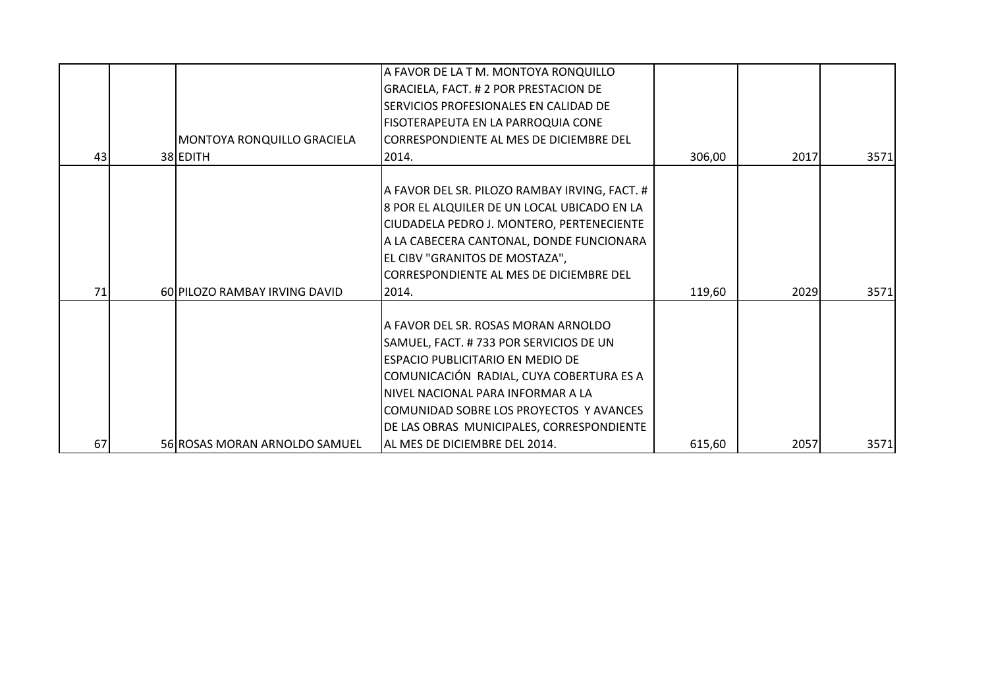|    |                               | A FAVOR DE LA T M. MONTOYA RONQUILLO<br>GRACIELA, FACT. # 2 POR PRESTACION DE<br>SERVICIOS PROFESIONALES EN CALIDAD DE<br>FISOTERAPEUTA EN LA PARROQUIA CONE                                                                                                                                                                        |        |      |      |
|----|-------------------------------|-------------------------------------------------------------------------------------------------------------------------------------------------------------------------------------------------------------------------------------------------------------------------------------------------------------------------------------|--------|------|------|
|    | MONTOYA RONQUILLO GRACIELA    | CORRESPONDIENTE AL MES DE DICIEMBRE DEL                                                                                                                                                                                                                                                                                             |        |      |      |
| 43 | 38 EDITH                      | 2014.                                                                                                                                                                                                                                                                                                                               | 306,00 | 2017 | 3571 |
|    |                               | A FAVOR DEL SR. PILOZO RAMBAY IRVING, FACT. #<br>8 POR EL ALQUILER DE UN LOCAL UBICADO EN LA<br>CIUDADELA PEDRO J. MONTERO, PERTENECIENTE<br>A LA CABECERA CANTONAL, DONDE FUNCIONARA<br>EL CIBV "GRANITOS DE MOSTAZA",<br>CORRESPONDIENTE AL MES DE DICIEMBRE DEL                                                                  |        |      |      |
| 71 | 60 PILOZO RAMBAY IRVING DAVID | 2014.                                                                                                                                                                                                                                                                                                                               | 119,60 | 2029 | 3571 |
| 67 |                               | A FAVOR DEL SR. ROSAS MORAN ARNOLDO<br>SAMUEL, FACT. #733 POR SERVICIOS DE UN<br><b>ESPACIO PUBLICITARIO EN MEDIO DE</b><br>COMUNICACIÓN RADIAL, CUYA COBERTURA ES A<br>NIVEL NACIONAL PARA INFORMAR A LA<br>COMUNIDAD SOBRE LOS PROYECTOS Y AVANCES<br>DE LAS OBRAS MUNICIPALES, CORRESPONDIENTE<br>lal MES DE DICIEMBRE DEL 2014. |        |      |      |
|    | 56 ROSAS MORAN ARNOLDO SAMUEL |                                                                                                                                                                                                                                                                                                                                     | 615,60 | 2057 | 3571 |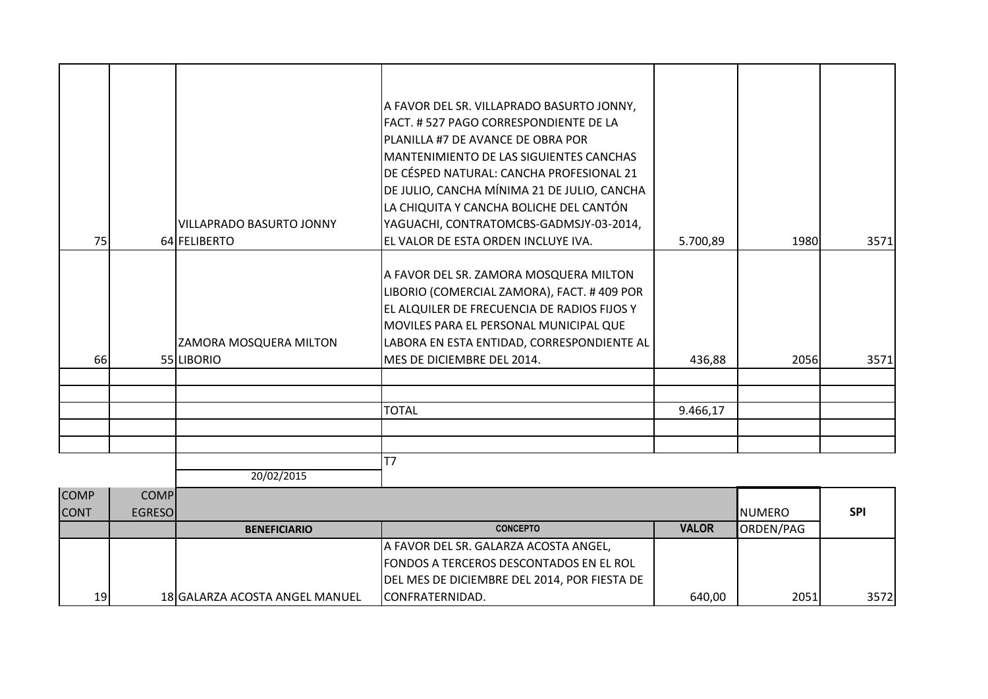| 75 | VILLAPRADO BASURTO JONNY                    | A FAVOR DEL SR. VILLAPRADO BASURTO JONNY,<br>FACT. #527 PAGO CORRESPONDIENTE DE LA<br>PLANILLA #7 DE AVANCE DE OBRA POR<br>IMANTENIMIENTO DE LAS SIGUIENTES CANCHAS<br>DE CÉSPED NATURAL: CANCHA PROFESIONAL 21<br>DE JULIO, CANCHA MÍNIMA 21 DE JULIO, CANCHA<br>LA CHIQUITA Y CANCHA BOLICHE DEL CANTÓN<br>YAGUACHI, CONTRATOMCBS-GADMSJY-03-2014,<br>EL VALOR DE ESTA ORDEN INCLUYE IVA. |          |      |      |
|----|---------------------------------------------|---------------------------------------------------------------------------------------------------------------------------------------------------------------------------------------------------------------------------------------------------------------------------------------------------------------------------------------------------------------------------------------------|----------|------|------|
|    | 64 FELIBERTO                                |                                                                                                                                                                                                                                                                                                                                                                                             | 5.700,89 | 1980 | 3571 |
| 66 | <b>ZAMORA MOSQUERA MILTON</b><br>55 LIBORIO | A FAVOR DEL SR. ZAMORA MOSQUERA MILTON<br>LIBORIO (COMERCIAL ZAMORA), FACT. #409 POR<br>EL ALQUILER DE FRECUENCIA DE RADIOS FIJOS Y<br>MOVILES PARA EL PERSONAL MUNICIPAL QUE<br>LABORA EN ESTA ENTIDAD, CORRESPONDIENTE AL<br>MES DE DICIEMBRE DEL 2014.                                                                                                                                   | 436,88   | 2056 | 3571 |
|    |                                             |                                                                                                                                                                                                                                                                                                                                                                                             |          |      |      |
|    |                                             | <b>TOTAL</b>                                                                                                                                                                                                                                                                                                                                                                                |          |      |      |
|    |                                             |                                                                                                                                                                                                                                                                                                                                                                                             | 9.466,17 |      |      |
|    |                                             |                                                                                                                                                                                                                                                                                                                                                                                             |          |      |      |
|    | 20/02/2015                                  | T7                                                                                                                                                                                                                                                                                                                                                                                          |          |      |      |

| <b>COMP</b><br><b>CONT</b> | <b>COMPI</b><br><b>EGRESOI</b> |                                |                                                |              | <b>I</b> NUMERO | <b>SPI</b> |
|----------------------------|--------------------------------|--------------------------------|------------------------------------------------|--------------|-----------------|------------|
|                            |                                | <b>BENEFICIARIO</b>            | <b>CONCEPTO</b>                                | <b>VALOR</b> | ORDEN/PAG       |            |
|                            |                                |                                | A FAVOR DEL SR. GALARZA ACOSTA ANGEL,          |              |                 |            |
|                            |                                |                                | <b>FONDOS A TERCEROS DESCONTADOS EN EL ROL</b> |              |                 |            |
|                            |                                |                                | DEL MES DE DICIEMBRE DEL 2014, POR FIESTA DE   |              |                 |            |
| 19 <sub>1</sub>            |                                | 18 GALARZA ACOSTA ANGEL MANUEL | CONFRATERNIDAD.                                | 640,00       | 2051            | 3572       |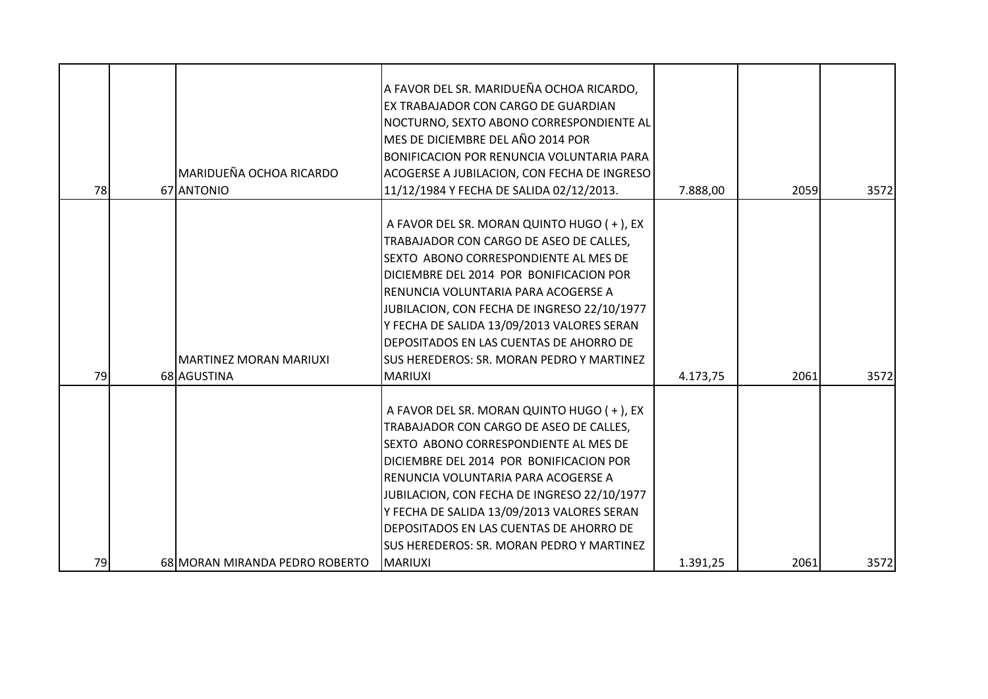| A FAVOR DEL SR. MARIDUEÑA OCHOA RICARDO,<br>EX TRABAJADOR CON CARGO DE GUARDIAN<br>NOCTURNO, SEXTO ABONO CORRESPONDIENTE AL<br>MES DE DICIEMBRE DEL AÑO 2014 POR<br><b>BONIFICACION POR RENUNCIA VOLUNTARIA PARA</b><br>MARIDUEÑA OCHOA RICARDO<br>ACOGERSE A JUBILACION, CON FECHA DE INGRESO<br>78<br>67 ANTONIO<br>11/12/1984 Y FECHA DE SALIDA 02/12/2013.<br>7.888,00<br>A FAVOR DEL SR. MORAN QUINTO HUGO (+), EX<br>TRABAJADOR CON CARGO DE ASEO DE CALLES,<br>SEXTO ABONO CORRESPONDIENTE AL MES DE<br>DICIEMBRE DEL 2014 POR BONIFICACION POR<br>RENUNCIA VOLUNTARIA PARA ACOGERSE A<br>JUBILACION, CON FECHA DE INGRESO 22/10/1977<br>Y FECHA DE SALIDA 13/09/2013 VALORES SERAN |      |      |
|--------------------------------------------------------------------------------------------------------------------------------------------------------------------------------------------------------------------------------------------------------------------------------------------------------------------------------------------------------------------------------------------------------------------------------------------------------------------------------------------------------------------------------------------------------------------------------------------------------------------------------------------------------------------------------------------|------|------|
|                                                                                                                                                                                                                                                                                                                                                                                                                                                                                                                                                                                                                                                                                            | 2059 | 3572 |
| DEPOSITADOS EN LAS CUENTAS DE AHORRO DE<br><b>SUS HEREDEROS: SR. MORAN PEDRO Y MARTINEZ</b><br>MARTINEZ MORAN MARIUXI<br>79<br>68 AGUSTINA<br><b>MARIUXI</b><br>4.173,75                                                                                                                                                                                                                                                                                                                                                                                                                                                                                                                   | 2061 | 3572 |
| A FAVOR DEL SR. MORAN QUINTO HUGO (+), EX<br>TRABAJADOR CON CARGO DE ASEO DE CALLES,<br>SEXTO ABONO CORRESPONDIENTE AL MES DE<br>DICIEMBRE DEL 2014 POR BONIFICACION POR<br>RENUNCIA VOLUNTARIA PARA ACOGERSE A<br>JUBILACION, CON FECHA DE INGRESO 22/10/1977<br>Y FECHA DE SALIDA 13/09/2013 VALORES SERAN<br>DEPOSITADOS EN LAS CUENTAS DE AHORRO DE<br>SUS HEREDEROS: SR. MORAN PEDRO Y MARTINEZ<br>79<br>MARIUXI<br>68 MORAN MIRANDA PEDRO ROBERTO<br>1.391,25                                                                                                                                                                                                                        | 2061 | 3572 |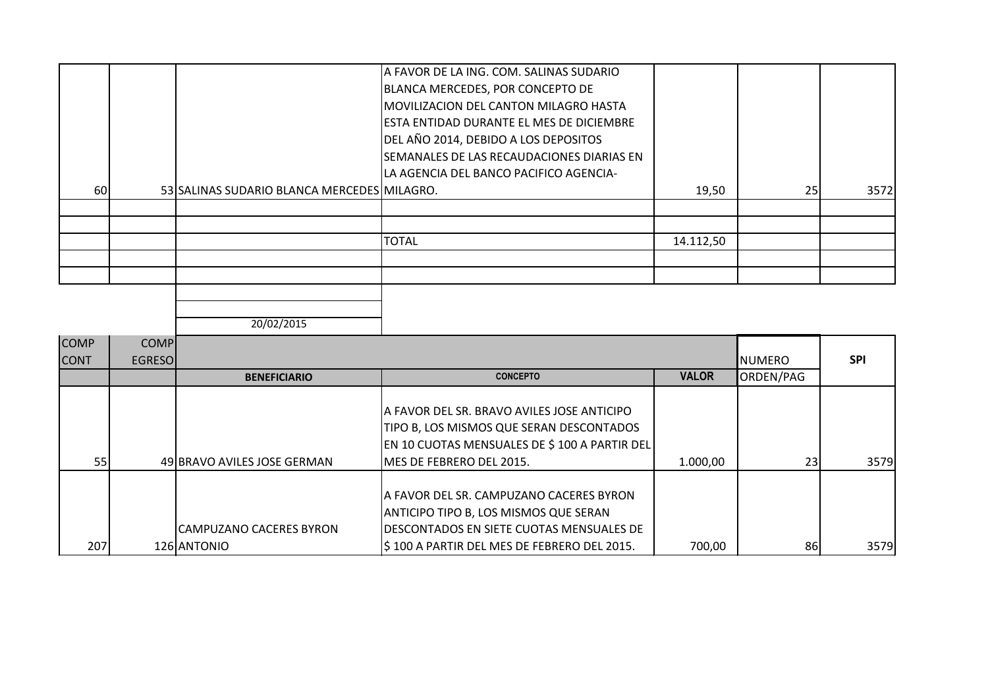|    |                                             | A FAVOR DE LA ING. COM. SALINAS SUDARIO          |           |    |      |
|----|---------------------------------------------|--------------------------------------------------|-----------|----|------|
|    |                                             | BLANCA MERCEDES, POR CONCEPTO DE                 |           |    |      |
|    |                                             | <b>IMOVILIZACION DEL CANTON MILAGRO HASTA</b>    |           |    |      |
|    |                                             | <b>IESTA ENTIDAD DURANTE EL MES DE DICIEMBRE</b> |           |    |      |
|    |                                             | DEL AÑO 2014, DEBIDO A LOS DEPOSITOS             |           |    |      |
|    |                                             | SEMANALES DE LAS RECAUDACIONES DIARIAS EN        |           |    |      |
|    |                                             | LA AGENCIA DEL BANCO PACIFICO AGENCIA-           |           |    |      |
| 60 | 53 SALINAS SUDARIO BLANCA MERCEDES MILAGRO. |                                                  | 19,50     | 25 | 3572 |
|    |                                             |                                                  |           |    |      |
|    |                                             |                                                  |           |    |      |
|    |                                             | <b>TOTAL</b>                                     | 14.112,50 |    |      |
|    |                                             |                                                  |           |    |      |
|    |                                             |                                                  |           |    |      |
|    |                                             |                                                  |           |    |      |
|    |                                             |                                                  |           |    |      |

| <b>COMP</b> | <b>COMP</b>    |                                               |                                                                                                                                                                               |              |                 |            |
|-------------|----------------|-----------------------------------------------|-------------------------------------------------------------------------------------------------------------------------------------------------------------------------------|--------------|-----------------|------------|
| <b>CONT</b> | <b>EGRESOI</b> |                                               |                                                                                                                                                                               |              | <b>I</b> NUMERO | <b>SPI</b> |
|             |                | <b>BENEFICIARIO</b>                           | <b>CONCEPTO</b>                                                                                                                                                               | <b>VALOR</b> | ORDEN/PAG       |            |
|             |                |                                               | IA FAVOR DEL SR. BRAVO AVILES JOSE ANTICIPO<br>TIPO B, LOS MISMOS QUE SERAN DESCONTADOS<br>EN 10 CUOTAS MENSUALES DE \$ 100 A PARTIR DEL                                      |              |                 |            |
| 55          |                | 49 BRAVO AVILES JOSE GERMAN                   | MES DE FEBRERO DEL 2015.                                                                                                                                                      | 1.000,00     | 23              | 3579       |
| 207         |                | <b>CAMPUZANO CACERES BYRON</b><br>126 ANTONIO | IA FAVOR DEL SR. CAMPUZANO CACERES BYRON<br>ANTICIPO TIPO B, LOS MISMOS QUE SERAN<br>IDESCONTADOS EN SIETE CUOTAS MENSUALES DE<br>\$100 A PARTIR DEL MES DE FEBRERO DEL 2015. | 700,00       | 86              | 3579       |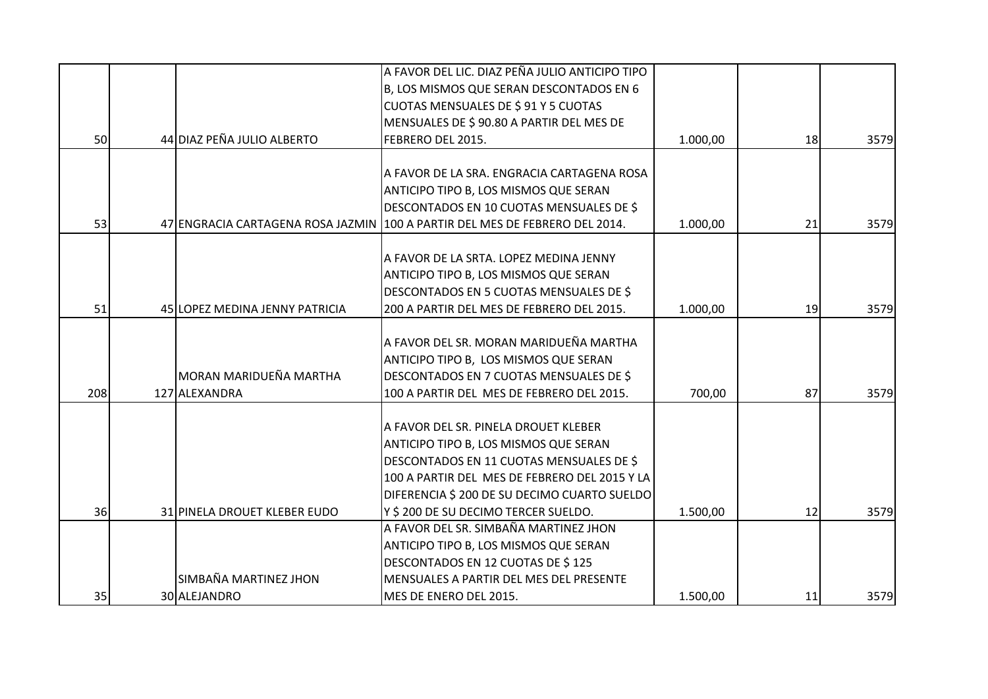|     |                                | A FAVOR DEL LIC. DIAZ PEÑA JULIO ANTICIPO TIPO                              |          |    |      |
|-----|--------------------------------|-----------------------------------------------------------------------------|----------|----|------|
|     |                                | B, LOS MISMOS QUE SERAN DESCONTADOS EN 6                                    |          |    |      |
|     |                                | CUOTAS MENSUALES DE \$91 Y 5 CUOTAS                                         |          |    |      |
|     |                                | MENSUALES DE \$90.80 A PARTIR DEL MES DE                                    |          |    |      |
| 50  | 44 DIAZ PEÑA JULIO ALBERTO     | FEBRERO DEL 2015.                                                           | 1.000,00 | 18 | 3579 |
|     |                                |                                                                             |          |    |      |
|     |                                | A FAVOR DE LA SRA. ENGRACIA CARTAGENA ROSA                                  |          |    |      |
|     |                                | ANTICIPO TIPO B, LOS MISMOS QUE SERAN                                       |          |    |      |
|     |                                | DESCONTADOS EN 10 CUOTAS MENSUALES DE \$                                    |          |    |      |
| 53  |                                | 47 ENGRACIA CARTAGENA ROSA JAZMIN 100 A PARTIR DEL MES DE FEBRERO DEL 2014. | 1.000,00 | 21 | 3579 |
|     |                                | A FAVOR DE LA SRTA. LOPEZ MEDINA JENNY                                      |          |    |      |
|     |                                |                                                                             |          |    |      |
|     |                                | ANTICIPO TIPO B, LOS MISMOS QUE SERAN                                       |          |    |      |
|     |                                | DESCONTADOS EN 5 CUOTAS MENSUALES DE \$                                     |          |    |      |
| 51  | 45 LOPEZ MEDINA JENNY PATRICIA | 200 A PARTIR DEL MES DE FEBRERO DEL 2015.                                   | 1.000,00 | 19 | 3579 |
|     |                                | A FAVOR DEL SR. MORAN MARIDUEÑA MARTHA                                      |          |    |      |
|     |                                |                                                                             |          |    |      |
|     |                                | ANTICIPO TIPO B, LOS MISMOS QUE SERAN                                       |          |    |      |
|     | <b>MORAN MARIDUEÑA MARTHA</b>  | DESCONTADOS EN 7 CUOTAS MENSUALES DE \$                                     |          |    |      |
| 208 | 127 ALEXANDRA                  | 100 A PARTIR DEL MES DE FEBRERO DEL 2015.                                   | 700,00   | 87 | 3579 |
|     |                                | A FAVOR DEL SR. PINELA DROUET KLEBER                                        |          |    |      |
|     |                                | ANTICIPO TIPO B, LOS MISMOS QUE SERAN                                       |          |    |      |
|     |                                | DESCONTADOS EN 11 CUOTAS MENSUALES DE \$                                    |          |    |      |
|     |                                | 100 A PARTIR DEL MES DE FEBRERO DEL 2015 Y LA                               |          |    |      |
|     |                                |                                                                             |          |    |      |
|     |                                | DIFERENCIA \$ 200 DE SU DECIMO CUARTO SUELDO                                |          |    |      |
| 36  | 31 PINELA DROUET KLEBER EUDO   | Y \$ 200 DE SU DECIMO TERCER SUELDO.                                        | 1.500,00 | 12 | 3579 |
|     |                                | A FAVOR DEL SR. SIMBAÑA MARTINEZ JHON                                       |          |    |      |
|     |                                | ANTICIPO TIPO B, LOS MISMOS QUE SERAN                                       |          |    |      |
|     |                                | DESCONTADOS EN 12 CUOTAS DE \$125                                           |          |    |      |
|     | SIMBAÑA MARTINEZ JHON          | MENSUALES A PARTIR DEL MES DEL PRESENTE                                     |          |    |      |
| 35  | 30 ALEJANDRO                   | MES DE ENERO DEL 2015.                                                      | 1.500,00 | 11 | 3579 |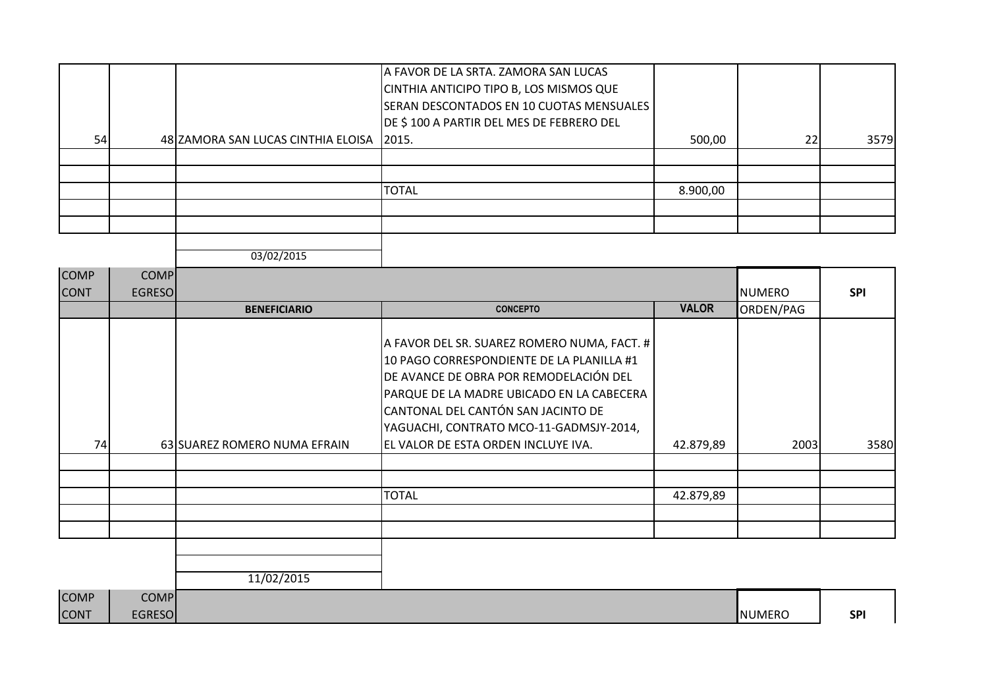| 54 | 48 ZAMORA SAN LUCAS CINTHIA ELOISA | A FAVOR DE LA SRTA. ZAMORA SAN LUCAS<br>CINTHIA ANTICIPO TIPO B, LOS MISMOS QUE<br>SERAN DESCONTADOS EN 10 CUOTAS MENSUALES  <br>DE \$100 A PARTIR DEL MES DE FEBRERO DEL<br>2015. | 500,00   | 22 | 3579 |
|----|------------------------------------|------------------------------------------------------------------------------------------------------------------------------------------------------------------------------------|----------|----|------|
|    |                                    |                                                                                                                                                                                    |          |    |      |
|    |                                    |                                                                                                                                                                                    |          |    |      |
|    |                                    | <b>TOTAL</b>                                                                                                                                                                       | 8.900,00 |    |      |
|    |                                    |                                                                                                                                                                                    |          |    |      |
|    |                                    |                                                                                                                                                                                    |          |    |      |
|    |                                    |                                                                                                                                                                                    |          |    |      |

| <b>COMP</b> | <b>COMP</b>   |                              |                                                                                                                                                                                                                                                                  |              |               |            |
|-------------|---------------|------------------------------|------------------------------------------------------------------------------------------------------------------------------------------------------------------------------------------------------------------------------------------------------------------|--------------|---------------|------------|
| <b>CONT</b> | <b>EGRESO</b> |                              |                                                                                                                                                                                                                                                                  |              | <b>NUMERO</b> | <b>SPI</b> |
|             |               | <b>BENEFICIARIO</b>          | <b>CONCEPTO</b>                                                                                                                                                                                                                                                  | <b>VALOR</b> | ORDEN/PAG     |            |
|             |               |                              | A FAVOR DEL SR. SUAREZ ROMERO NUMA, FACT. #<br>10 PAGO CORRESPONDIENTE DE LA PLANILLA #1<br>DE AVANCE DE OBRA POR REMODELACIÓN DEL<br>PARQUE DE LA MADRE UBICADO EN LA CABECERA<br>CANTONAL DEL CANTÓN SAN JACINTO DE<br>YAGUACHI, CONTRATO MCO-11-GADMSJY-2014, |              |               |            |
| 74          |               | 63 SUAREZ ROMERO NUMA EFRAIN | EL VALOR DE ESTA ORDEN INCLUYE IVA.                                                                                                                                                                                                                              | 42.879,89    | 2003          | 3580       |
|             |               |                              |                                                                                                                                                                                                                                                                  |              |               |            |
|             |               |                              | <b>TOTAL</b>                                                                                                                                                                                                                                                     | 42.879,89    |               |            |
|             |               |                              |                                                                                                                                                                                                                                                                  |              |               |            |
|             |               | 11/02/2015                   |                                                                                                                                                                                                                                                                  |              |               |            |
|             |               |                              |                                                                                                                                                                                                                                                                  |              |               |            |

| <b>COMP</b> | COMP          |               |            |
|-------------|---------------|---------------|------------|
| <b>CONT</b> | <b>EGRESO</b> | <b>NUMERO</b> | <b>SPI</b> |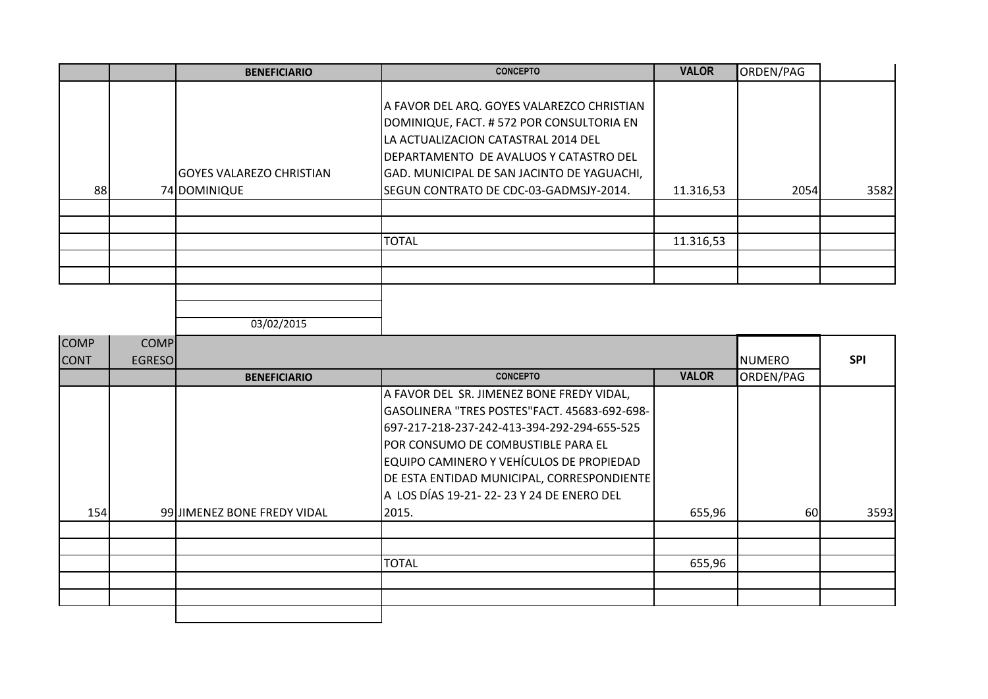|    | <b>BENEFICIARIO</b>                             | <b>CONCEPTO</b>                                                                                                                                                                                                                                                  | <b>VALOR</b> | ORDEN/PAG |      |
|----|-------------------------------------------------|------------------------------------------------------------------------------------------------------------------------------------------------------------------------------------------------------------------------------------------------------------------|--------------|-----------|------|
| 88 | <b>GOYES VALAREZO CHRISTIAN</b><br>74 DOMINIQUE | A FAVOR DEL ARQ. GOYES VALAREZCO CHRISTIAN<br>DOMINIQUE, FACT. # 572 POR CONSULTORIA EN<br>LA ACTUALIZACION CATASTRAL 2014 DEL<br>DEPARTAMENTO DE AVALUOS Y CATASTRO DEL<br>GAD. MUNICIPAL DE SAN JACINTO DE YAGUACHI,<br>SEGUN CONTRATO DE CDC-03-GADMSJY-2014. | 11.316,53    | 2054      | 3582 |
|    |                                                 |                                                                                                                                                                                                                                                                  |              |           |      |
|    |                                                 |                                                                                                                                                                                                                                                                  |              |           |      |
|    |                                                 | <b>TOTAL</b>                                                                                                                                                                                                                                                     | 11.316,53    |           |      |
|    |                                                 |                                                                                                                                                                                                                                                                  |              |           |      |
|    |                                                 |                                                                                                                                                                                                                                                                  |              |           |      |
|    |                                                 |                                                                                                                                                                                                                                                                  |              |           |      |

| <b>COMP</b><br><b>CONT</b> | <b>COMP</b><br><b>EGRESO</b> |                             |                                                                                                                                                                                                                                                                                                                         |              | <b>NUMERO</b> | <b>SPI</b> |
|----------------------------|------------------------------|-----------------------------|-------------------------------------------------------------------------------------------------------------------------------------------------------------------------------------------------------------------------------------------------------------------------------------------------------------------------|--------------|---------------|------------|
|                            |                              | <b>BENEFICIARIO</b>         | <b>CONCEPTO</b>                                                                                                                                                                                                                                                                                                         | <b>VALOR</b> | ORDEN/PAG     |            |
|                            |                              |                             | A FAVOR DEL SR. JIMENEZ BONE FREDY VIDAL,<br>GASOLINERA "TRES POSTES"FACT. 45683-692-698-<br>697-217-218-237-242-413-394-292-294-655-525<br> POR CONSUMO DE COMBUSTIBLE PARA EL<br>EQUIPO CAMINERO Y VEHÍCULOS DE PROPIEDAD<br>DE ESTA ENTIDAD MUNICIPAL, CORRESPONDIENTE<br>A LOS DÍAS 19-21- 22- 23 Y 24 DE ENERO DEL |              |               |            |
| 154                        |                              | 99 JIMENEZ BONE FREDY VIDAL | 2015.                                                                                                                                                                                                                                                                                                                   | 655,96       | 60            | 3593       |
|                            |                              |                             |                                                                                                                                                                                                                                                                                                                         |              |               |            |
|                            |                              |                             | <b>TOTAL</b>                                                                                                                                                                                                                                                                                                            | 655,96       |               |            |
|                            |                              |                             |                                                                                                                                                                                                                                                                                                                         |              |               |            |
|                            |                              |                             |                                                                                                                                                                                                                                                                                                                         |              |               |            |
|                            |                              |                             |                                                                                                                                                                                                                                                                                                                         |              |               |            |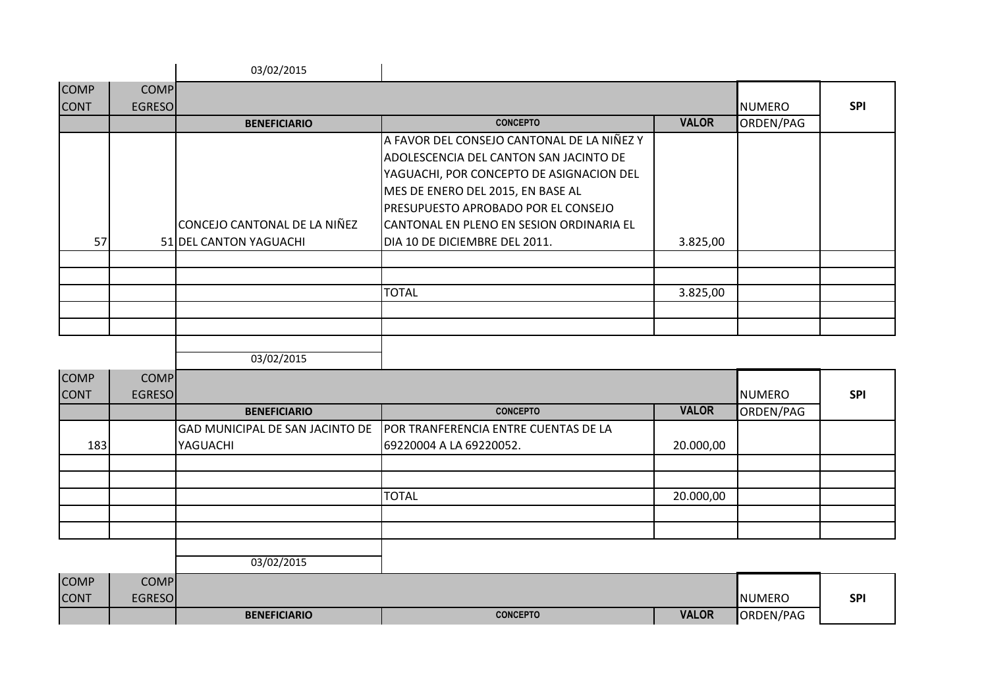|             |                | 03/02/2015                                             |                                                                                                                                                                                                                                                                                                           |              |               |            |
|-------------|----------------|--------------------------------------------------------|-----------------------------------------------------------------------------------------------------------------------------------------------------------------------------------------------------------------------------------------------------------------------------------------------------------|--------------|---------------|------------|
| <b>COMP</b> | <b>COMP</b>    |                                                        |                                                                                                                                                                                                                                                                                                           |              |               |            |
| <b>CONT</b> | <b>EGRESOI</b> |                                                        |                                                                                                                                                                                                                                                                                                           |              | <b>NUMERO</b> | <b>SPI</b> |
|             |                | <b>BENEFICIARIO</b>                                    | <b>CONCEPTO</b>                                                                                                                                                                                                                                                                                           | <b>VALOR</b> | ORDEN/PAG     |            |
| 57          |                | CONCEJO CANTONAL DE LA NIÑEZ<br>51 DEL CANTON YAGUACHI | A FAVOR DEL CONSEJO CANTONAL DE LA NIÑEZ Y<br>ADOLESCENCIA DEL CANTON SAN JACINTO DE<br>YAGUACHI, POR CONCEPTO DE ASIGNACION DEL<br>MES DE ENERO DEL 2015, EN BASE AL<br><b>IPRESUPUESTO APROBADO POR EL CONSEJO</b><br><b> CANTONAL EN PLENO EN SESION ORDINARIA EL</b><br>DIA 10 DE DICIEMBRE DEL 2011. | 3.825,00     |               |            |
|             |                |                                                        |                                                                                                                                                                                                                                                                                                           |              |               |            |
|             |                |                                                        | <b>TOTAL</b>                                                                                                                                                                                                                                                                                              | 3.825,00     |               |            |
|             |                |                                                        |                                                                                                                                                                                                                                                                                                           |              |               |            |
|             |                |                                                        |                                                                                                                                                                                                                                                                                                           |              |               |            |
|             |                | 03/02/2015                                             |                                                                                                                                                                                                                                                                                                           |              |               |            |

| <b>COMP</b> | COMP          |                                        |                                      |              |           |            |
|-------------|---------------|----------------------------------------|--------------------------------------|--------------|-----------|------------|
| <b>CONT</b> | <b>EGRESO</b> |                                        |                                      |              | NUMERO    | <b>SPI</b> |
|             |               | <b>BENEFICIARIO</b>                    | <b>CONCEPTO</b>                      | <b>VALOR</b> | ORDEN/PAG |            |
|             |               | <b>GAD MUNICIPAL DE SAN JACINTO DE</b> | POR TRANFERENCIA ENTRE CUENTAS DE LA |              |           |            |
| 183         |               | YAGUACHI                               | 69220004 A LA 69220052.              | 20.000,00    |           |            |
|             |               |                                        |                                      |              |           |            |
|             |               |                                        |                                      |              |           |            |
|             |               |                                        | <b>TOTAL</b>                         | 20.000,00    |           |            |
|             |               |                                        |                                      |              |           |            |
|             |               |                                        |                                      |              |           |            |
|             |               |                                        |                                      |              |           |            |

| <b>COMP</b>  | <b>COMP</b> |                     |                 |              |           |            |
|--------------|-------------|---------------------|-----------------|--------------|-----------|------------|
| <b>ICONT</b> | EGRESOL     |                     |                 |              | INUMERO   | <b>SPI</b> |
|              |             | <b>BENEFICIARIO</b> | <b>CONCEPTO</b> | <b>VALOR</b> | ORDEN/PAG |            |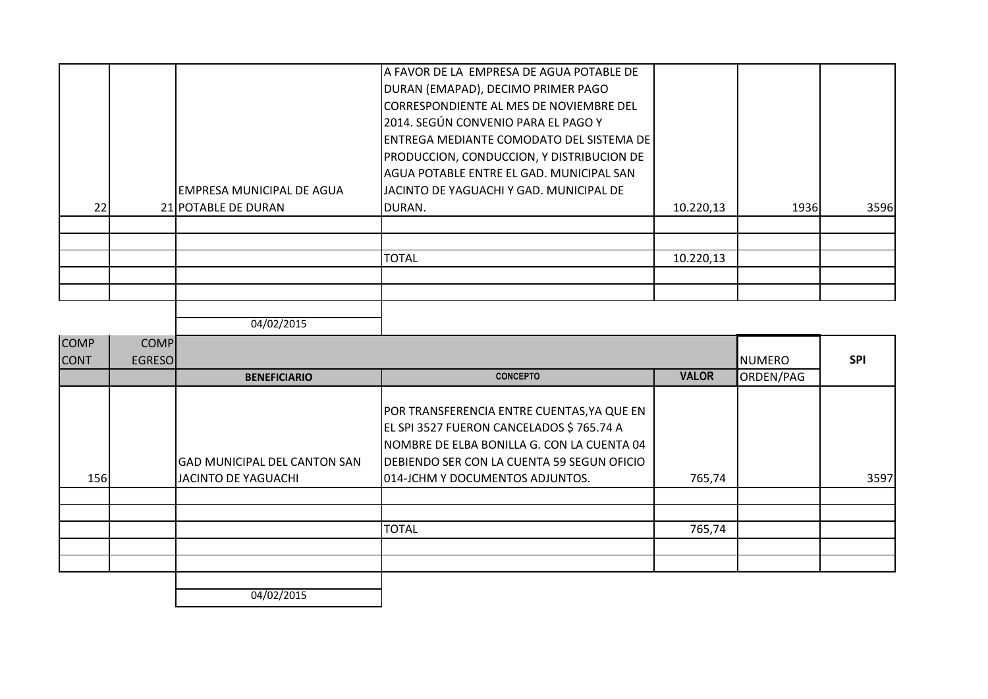| <b>COMP</b> | <b>COMP</b>   |                                     |                                                                                                                                                                                    |              |               |            |
|-------------|---------------|-------------------------------------|------------------------------------------------------------------------------------------------------------------------------------------------------------------------------------|--------------|---------------|------------|
| <b>CONT</b> | <b>EGRESO</b> |                                     |                                                                                                                                                                                    |              | <b>NUMERO</b> | <b>SPI</b> |
|             |               | <b>BENEFICIARIO</b>                 | <b>CONCEPTO</b>                                                                                                                                                                    | <b>VALOR</b> | ORDEN/PAG     |            |
|             |               | <b>GAD MUNICIPAL DEL CANTON SAN</b> | POR TRANSFERENCIA ENTRE CUENTAS, YA QUE EN<br>EL SPI 3527 FUERON CANCELADOS \$765.74 A<br>NOMBRE DE ELBA BONILLA G. CON LA CUENTA 04<br>DEBIENDO SER CON LA CUENTA 59 SEGUN OFICIO |              |               |            |
| <b>156</b>  |               | JACINTO DE YAGUACHI                 | 014-JCHM Y DOCUMENTOS ADJUNTOS.                                                                                                                                                    | 765,74       |               | 3597       |
|             |               |                                     |                                                                                                                                                                                    |              |               |            |
|             |               |                                     | <b>TOTAL</b>                                                                                                                                                                       | 765,74       |               |            |
|             |               |                                     |                                                                                                                                                                                    |              |               |            |
|             |               |                                     |                                                                                                                                                                                    |              |               |            |
|             |               | 01/02/2015                          |                                                                                                                                                                                    |              |               |            |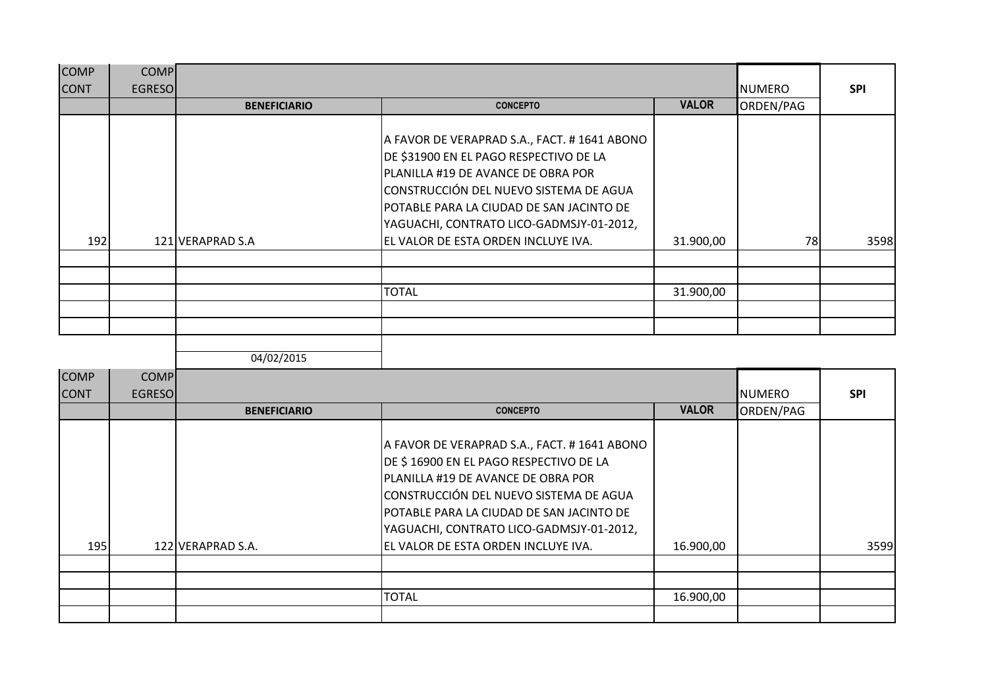| <b>COMP</b> | <b>COMP</b>   |                     |                                                                                                                                                                                                                                                                                                        |              |               |            |
|-------------|---------------|---------------------|--------------------------------------------------------------------------------------------------------------------------------------------------------------------------------------------------------------------------------------------------------------------------------------------------------|--------------|---------------|------------|
| <b>CONT</b> | <b>EGRESO</b> |                     |                                                                                                                                                                                                                                                                                                        |              | <b>NUMERO</b> | <b>SPI</b> |
|             |               | <b>BENEFICIARIO</b> | <b>CONCEPTO</b>                                                                                                                                                                                                                                                                                        | <b>VALOR</b> | ORDEN/PAG     |            |
| 192         |               | 121 VERAPRAD S.A    | A FAVOR DE VERAPRAD S.A., FACT. # 1641 ABONO<br>DE \$31900 EN EL PAGO RESPECTIVO DE LA<br>PLANILLA #19 DE AVANCE DE OBRA POR<br>CONSTRUCCIÓN DEL NUEVO SISTEMA DE AGUA<br> POTABLE PARA LA CIUDAD DE SAN JACINTO DE<br>YAGUACHI, CONTRATO LICO-GADMSJY-01-2012,<br>EL VALOR DE ESTA ORDEN INCLUYE IVA. | 31.900,00    | 78            | 3598       |
|             |               |                     |                                                                                                                                                                                                                                                                                                        |              |               |            |
|             |               |                     | <b>TOTAL</b>                                                                                                                                                                                                                                                                                           | 31.900,00    |               |            |
|             |               |                     |                                                                                                                                                                                                                                                                                                        |              |               |            |
|             |               |                     |                                                                                                                                                                                                                                                                                                        |              |               |            |
|             |               |                     |                                                                                                                                                                                                                                                                                                        |              |               |            |
|             |               | 04/02/2015          |                                                                                                                                                                                                                                                                                                        |              |               |            |

| <b>COMP</b> | <b>COMP</b>   |                     |                                                                                                                                                                                                                                                                |              |               |            |
|-------------|---------------|---------------------|----------------------------------------------------------------------------------------------------------------------------------------------------------------------------------------------------------------------------------------------------------------|--------------|---------------|------------|
| <b>CONT</b> | <b>EGRESO</b> |                     |                                                                                                                                                                                                                                                                |              | <b>NUMERO</b> | <b>SPI</b> |
|             |               | <b>BENEFICIARIO</b> | <b>CONCEPTO</b>                                                                                                                                                                                                                                                | <b>VALOR</b> | ORDEN/PAG     |            |
|             |               |                     | A FAVOR DE VERAPRAD S.A., FACT. # 1641 ABONO<br>DE \$16900 EN EL PAGO RESPECTIVO DE LA<br>PLANILLA #19 DE AVANCE DE OBRA POR<br>CONSTRUCCIÓN DEL NUEVO SISTEMA DE AGUA<br>POTABLE PARA LA CIUDAD DE SAN JACINTO DE<br>YAGUACHI, CONTRATO LICO-GADMSJY-01-2012, |              |               |            |
| 195         |               | 122 VERAPRAD S.A.   | EL VALOR DE ESTA ORDEN INCLUYE IVA.                                                                                                                                                                                                                            | 16.900,00    |               | 3599       |
|             |               |                     |                                                                                                                                                                                                                                                                |              |               |            |
|             |               |                     |                                                                                                                                                                                                                                                                |              |               |            |
|             |               |                     | <b>TOTAL</b>                                                                                                                                                                                                                                                   | 16.900,00    |               |            |
|             |               |                     |                                                                                                                                                                                                                                                                |              |               |            |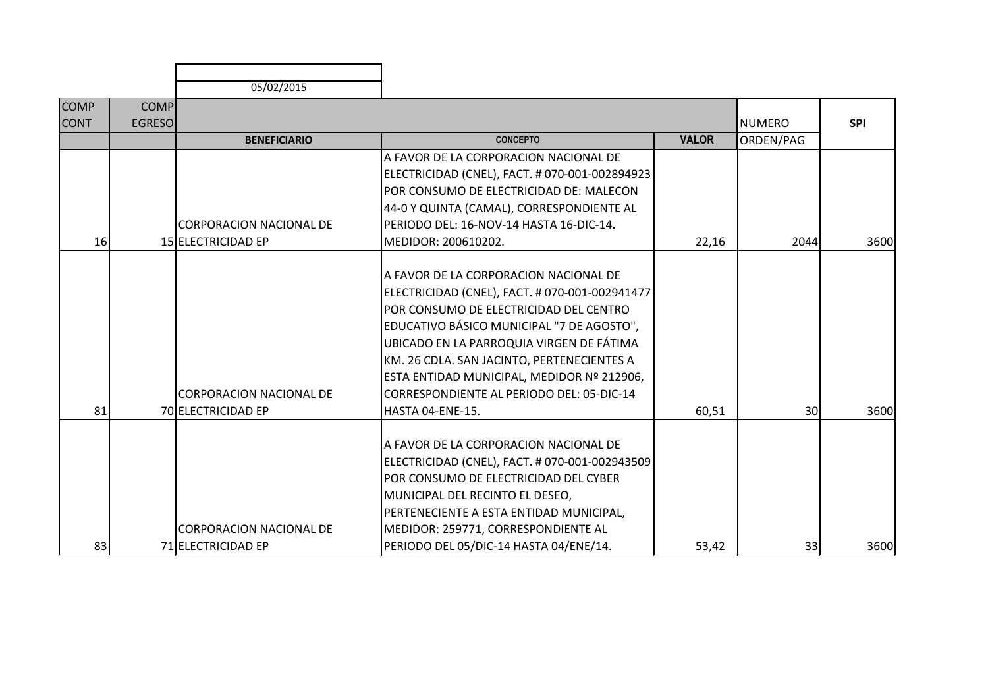|             |               | 05/02/2015                     |                                                |              |               |            |
|-------------|---------------|--------------------------------|------------------------------------------------|--------------|---------------|------------|
| <b>COMP</b> | <b>COMP</b>   |                                |                                                |              |               |            |
| <b>CONT</b> | <b>EGRESO</b> |                                |                                                |              | <b>NUMERO</b> | <b>SPI</b> |
|             |               | <b>BENEFICIARIO</b>            | <b>CONCEPTO</b>                                | <b>VALOR</b> | ORDEN/PAG     |            |
|             |               |                                | A FAVOR DE LA CORPORACION NACIONAL DE          |              |               |            |
|             |               |                                | ELECTRICIDAD (CNEL), FACT. # 070-001-002894923 |              |               |            |
|             |               |                                | POR CONSUMO DE ELECTRICIDAD DE: MALECON        |              |               |            |
|             |               |                                | 44-0 Y QUINTA (CAMAL), CORRESPONDIENTE AL      |              |               |            |
|             |               | <b>CORPORACION NACIONAL DE</b> | PERIODO DEL: 16-NOV-14 HASTA 16-DIC-14.        |              |               |            |
| 16          |               | 15 ELECTRICIDAD EP             | MEDIDOR: 200610202.                            | 22,16        | 2044          | 3600       |
|             |               |                                |                                                |              |               |            |
|             |               |                                | A FAVOR DE LA CORPORACION NACIONAL DE          |              |               |            |
|             |               |                                | ELECTRICIDAD (CNEL), FACT. # 070-001-002941477 |              |               |            |
|             |               |                                | POR CONSUMO DE ELECTRICIDAD DEL CENTRO         |              |               |            |
|             |               |                                | EDUCATIVO BÁSICO MUNICIPAL "7 DE AGOSTO",      |              |               |            |
|             |               |                                | UBICADO EN LA PARROQUIA VIRGEN DE FÁTIMA       |              |               |            |
|             |               |                                | KM. 26 CDLA. SAN JACINTO, PERTENECIENTES A     |              |               |            |
|             |               |                                | ESTA ENTIDAD MUNICIPAL, MEDIDOR Nº 212906,     |              |               |            |
|             |               | <b>CORPORACION NACIONAL DE</b> | CORRESPONDIENTE AL PERIODO DEL: 05-DIC-14      |              |               |            |
| 81          |               | 70 ELECTRICIDAD EP             | HASTA 04-ENE-15.                               | 60,51        | 30            | 3600       |
|             |               |                                |                                                |              |               |            |
|             |               |                                | A FAVOR DE LA CORPORACION NACIONAL DE          |              |               |            |
|             |               |                                | ELECTRICIDAD (CNEL), FACT. # 070-001-002943509 |              |               |            |
|             |               |                                | POR CONSUMO DE ELECTRICIDAD DEL CYBER          |              |               |            |
|             |               |                                | MUNICIPAL DEL RECINTO EL DESEO,                |              |               |            |
|             |               |                                | PERTENECIENTE A ESTA ENTIDAD MUNICIPAL,        |              |               |            |
|             |               | <b>CORPORACION NACIONAL DE</b> | MEDIDOR: 259771, CORRESPONDIENTE AL            |              |               |            |
| 83          |               | 71 ELECTRICIDAD EP             | PERIODO DEL 05/DIC-14 HASTA 04/ENE/14.         | 53,42        | 33            | 3600       |

г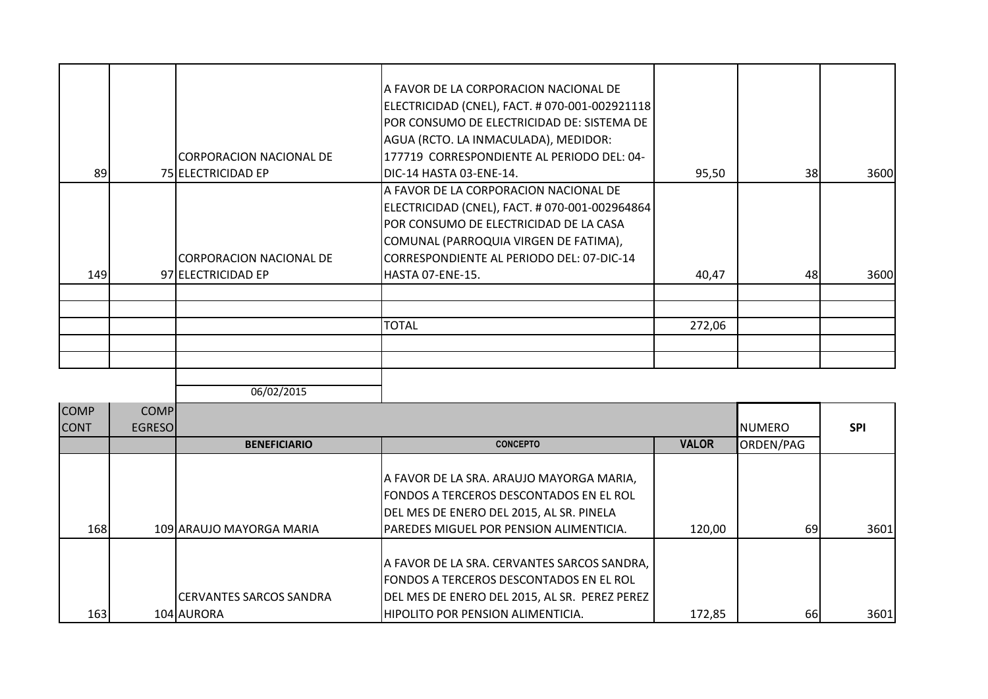|     | ICORPORACION NACIONAL DE                      | A FAVOR DE LA CORPORACION NACIONAL DE<br>ELECTRICIDAD (CNEL), FACT. # 070-001-002921118<br> POR CONSUMO DE ELECTRICIDAD DE: SISTEMA DE<br>AGUA (RCTO. LA INMACULADA), MEDIDOR:<br>177719 CORRESPONDIENTE AL PERIODO DEL: 04-                    |        |           |      |
|-----|-----------------------------------------------|-------------------------------------------------------------------------------------------------------------------------------------------------------------------------------------------------------------------------------------------------|--------|-----------|------|
| 89  | <b>75 ELECTRICIDAD EP</b>                     | DIC-14 HASTA 03-ENE-14.                                                                                                                                                                                                                         | 95,50  | <b>38</b> | 3600 |
| 149 | CORPORACION NACIONAL DE<br>97 ELECTRICIDAD EP | A FAVOR DE LA CORPORACION NACIONAL DE<br> ELECTRICIDAD (CNEL), FACT. # 070-001-002964864  <br>IPOR CONSUMO DE ELECTRICIDAD DE LA CASA<br>COMUNAL (PARROQUIA VIRGEN DE FATIMA),<br>CORRESPONDIENTE AL PERIODO DEL: 07-DIC-14<br>HASTA 07-ENE-15. | 40,47  | 48        | 3600 |
|     |                                               | <b>TOTAL</b>                                                                                                                                                                                                                                    | 272,06 |           |      |

| <b>COMP</b> | <b>COMP</b>    |                                |                                                |              |               |            |
|-------------|----------------|--------------------------------|------------------------------------------------|--------------|---------------|------------|
| <b>CONT</b> | <b>EGRESOI</b> |                                |                                                |              | <b>NUMERO</b> | <b>SPI</b> |
|             |                | <b>BENEFICIARIO</b>            | <b>CONCEPTO</b>                                | <b>VALOR</b> | ORDEN/PAG     |            |
|             |                |                                |                                                |              |               |            |
|             |                |                                | A FAVOR DE LA SRA. ARAUJO MAYORGA MARIA,       |              |               |            |
|             |                |                                | <b>FONDOS A TERCEROS DESCONTADOS EN EL ROL</b> |              |               |            |
|             |                |                                | DEL MES DE ENERO DEL 2015, AL SR. PINELA       |              |               |            |
| <b>168</b>  |                | 109 ARAUJO MAYORGA MARIA       | <b>PAREDES MIGUEL POR PENSION ALIMENTICIA.</b> | 120,00       | 69            | 3601       |
|             |                |                                |                                                |              |               |            |
|             |                |                                | A FAVOR DE LA SRA. CERVANTES SARCOS SANDRA,    |              |               |            |
|             |                |                                | <b>FONDOS A TERCEROS DESCONTADOS EN EL ROL</b> |              |               |            |
|             |                | <b>CERVANTES SARCOS SANDRA</b> | DEL MES DE ENERO DEL 2015, AL SR. PEREZ PEREZ  |              |               |            |
| 163         |                | 104 AURORA                     | <b>HIPOLITO POR PENSION ALIMENTICIA.</b>       | 172,85       | 66            | 3601       |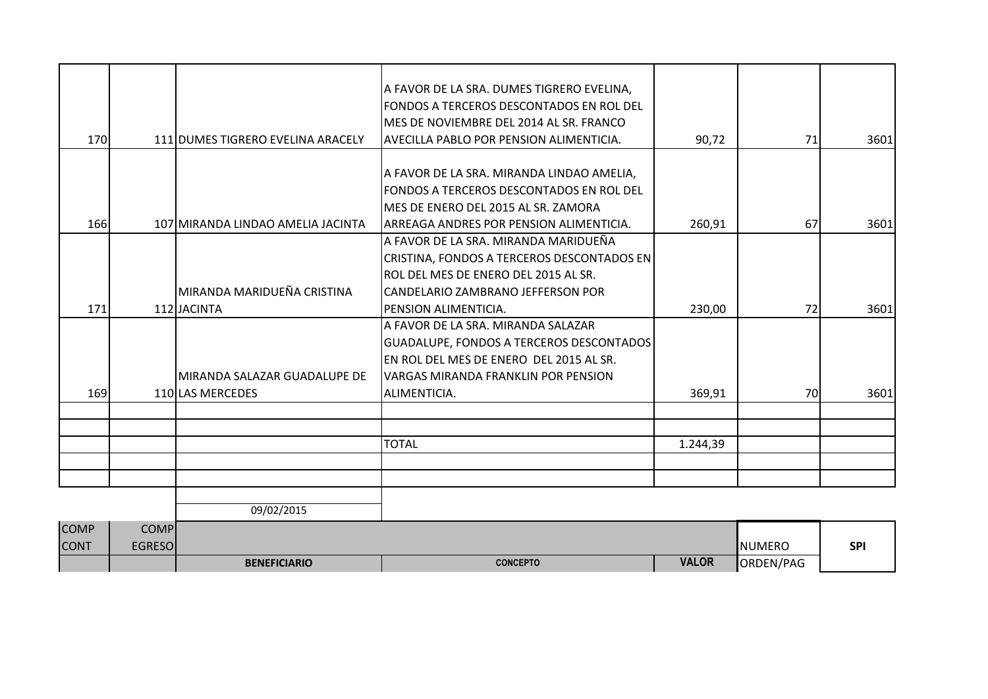| <b>CONT</b> | <b>EGRESO</b> | <b>BENEFICIARIO</b>               | <b>CONCEPTO</b>                                                                       | <b>VALOR</b> | <b>NUMERO</b><br>ORDEN/PAG | <b>SPI</b> |
|-------------|---------------|-----------------------------------|---------------------------------------------------------------------------------------|--------------|----------------------------|------------|
| <b>COMP</b> | <b>COMP</b>   |                                   |                                                                                       |              |                            |            |
|             |               | 09/02/2015                        |                                                                                       |              |                            |            |
|             |               |                                   |                                                                                       |              |                            |            |
|             |               |                                   |                                                                                       |              |                            |            |
|             |               |                                   | <b>TOTAL</b>                                                                          | 1.244,39     |                            |            |
|             |               |                                   |                                                                                       |              |                            |            |
| 169         |               | 110 LAS MERCEDES                  | ALIMENTICIA.                                                                          | 369,91       | <b>70</b>                  | 3601       |
|             |               | MIRANDA SALAZAR GUADALUPE DE      | VARGAS MIRANDA FRANKLIN POR PENSION                                                   |              |                            |            |
|             |               |                                   | EN ROL DEL MES DE ENERO DEL 2015 AL SR.                                               |              |                            |            |
|             |               |                                   | GUADALUPE, FONDOS A TERCEROS DESCONTADOS                                              |              |                            |            |
|             |               |                                   | A FAVOR DE LA SRA. MIRANDA SALAZAR                                                    |              |                            |            |
| 171         |               | 112 JACINTA                       | PENSION ALIMENTICIA.                                                                  | 230,00       | 72                         | 3601       |
|             |               | MIRANDA MARIDUEÑA CRISTINA        | CANDELARIO ZAMBRANO JEFFERSON POR                                                     |              |                            |            |
|             |               |                                   | ROL DEL MES DE ENERO DEL 2015 AL SR.                                                  |              |                            |            |
|             |               |                                   | CRISTINA, FONDOS A TERCEROS DESCONTADOS EN                                            |              |                            |            |
| 166         |               | 107 MIRANDA LINDAO AMELIA JACINTA | ARREAGA ANDRES POR PENSION ALIMENTICIA.<br>A FAVOR DE LA SRA. MIRANDA MARIDUEÑA       | 260,91       | 67                         | 3601       |
|             |               |                                   | MES DE ENERO DEL 2015 AL SR. ZAMORA                                                   |              |                            |            |
|             |               |                                   | FONDOS A TERCEROS DESCONTADOS EN ROL DEL                                              |              |                            |            |
|             |               |                                   | A FAVOR DE LA SRA. MIRANDA LINDAO AMELIA,                                             |              |                            |            |
|             |               |                                   |                                                                                       |              |                            |            |
| 170         |               | 111 DUMES TIGRERO EVELINA ARACELY | AVECILLA PABLO POR PENSION ALIMENTICIA.                                               | 90,72        | 71                         | 3601       |
|             |               |                                   | MES DE NOVIEMBRE DEL 2014 AL SR. FRANCO                                               |              |                            |            |
|             |               |                                   | A FAVOR DE LA SRA. DUMES TIGRERO EVELINA,<br>FONDOS A TERCEROS DESCONTADOS EN ROL DEL |              |                            |            |
|             |               |                                   |                                                                                       |              |                            |            |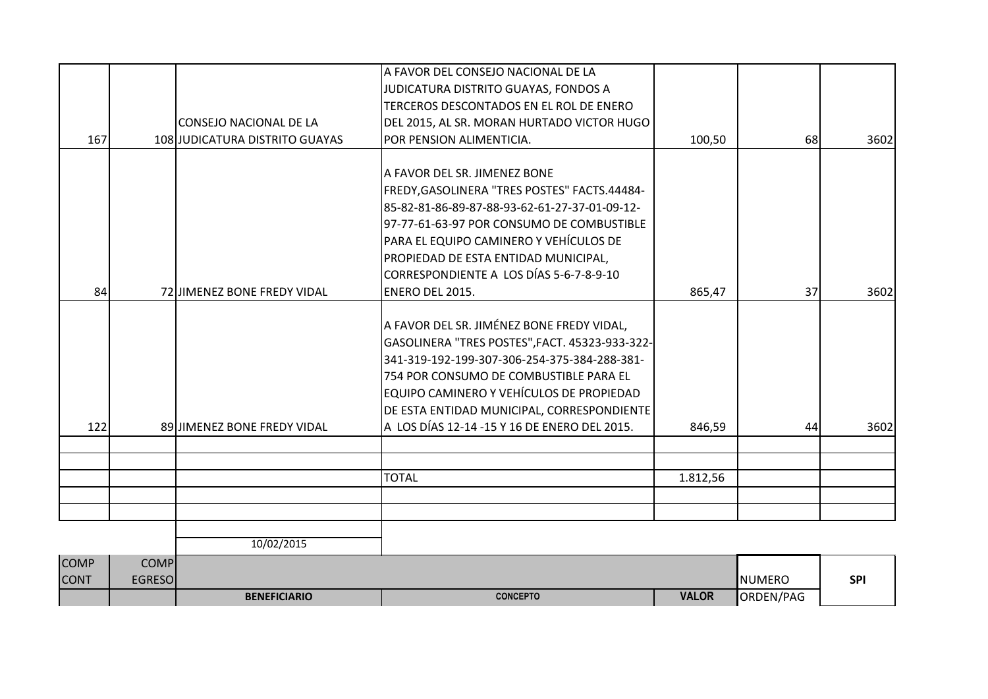| <b>COMP</b><br><b>CONT</b> | <b>COMP</b><br><b>EGRESO</b> |                                |                                                |          | <b>NUMERO</b> | <b>SPI</b> |
|----------------------------|------------------------------|--------------------------------|------------------------------------------------|----------|---------------|------------|
|                            |                              | 10/02/2015                     |                                                |          |               |            |
|                            |                              |                                |                                                |          |               |            |
|                            |                              |                                |                                                |          |               |            |
|                            |                              |                                | <b>TOTAL</b>                                   | 1.812,56 |               |            |
|                            |                              |                                |                                                |          |               |            |
| 122                        |                              | 89 JIMENEZ BONE FREDY VIDAL    | A LOS DÍAS 12-14 -15 Y 16 DE ENERO DEL 2015.   | 846,59   | 44            | 3602       |
|                            |                              |                                | DE ESTA ENTIDAD MUNICIPAL, CORRESPONDIENTE     |          |               |            |
|                            |                              |                                | EQUIPO CAMINERO Y VEHÍCULOS DE PROPIEDAD       |          |               |            |
|                            |                              |                                | 754 POR CONSUMO DE COMBUSTIBLE PARA EL         |          |               |            |
|                            |                              |                                | 341-319-192-199-307-306-254-375-384-288-381-   |          |               |            |
|                            |                              |                                | GASOLINERA "TRES POSTES", FACT. 45323-933-322- |          |               |            |
|                            |                              |                                | A FAVOR DEL SR. JIMÉNEZ BONE FREDY VIDAL,      |          |               |            |
| 84                         |                              | 72 JIMENEZ BONE FREDY VIDAL    | <b>ENERO DEL 2015.</b>                         | 865,47   | 37            | 3602       |
|                            |                              |                                | CORRESPONDIENTE A LOS DÍAS 5-6-7-8-9-10        |          |               |            |
|                            |                              |                                | PROPIEDAD DE ESTA ENTIDAD MUNICIPAL,           |          |               |            |
|                            |                              |                                | PARA EL EQUIPO CAMINERO Y VEHÍCULOS DE         |          |               |            |
|                            |                              |                                | 97-77-61-63-97 POR CONSUMO DE COMBUSTIBLE      |          |               |            |
|                            |                              |                                | 85-82-81-86-89-87-88-93-62-61-27-37-01-09-12-  |          |               |            |
|                            |                              |                                | FREDY, GASOLINERA "TRES POSTES" FACTS.44484-   |          |               |            |
|                            |                              |                                | A FAVOR DEL SR. JIMENEZ BONE                   |          |               |            |
| 167                        |                              | 108 JUDICATURA DISTRITO GUAYAS | POR PENSION ALIMENTICIA.                       | 100,50   | 68            | 3602       |
|                            |                              | <b>CONSEJO NACIONAL DE LA</b>  | DEL 2015, AL SR. MORAN HURTADO VICTOR HUGO     |          |               |            |
|                            |                              |                                | TERCEROS DESCONTADOS EN EL ROL DE ENERO        |          |               |            |
|                            |                              |                                | JUDICATURA DISTRITO GUAYAS, FONDOS A           |          |               |            |
|                            |                              |                                | LA FAVOR DEL CONSEJO NACIONAL DE LA            |          |               |            |

**BENEFICIARIO CONCEPTO VALOR** ORDEN/PAG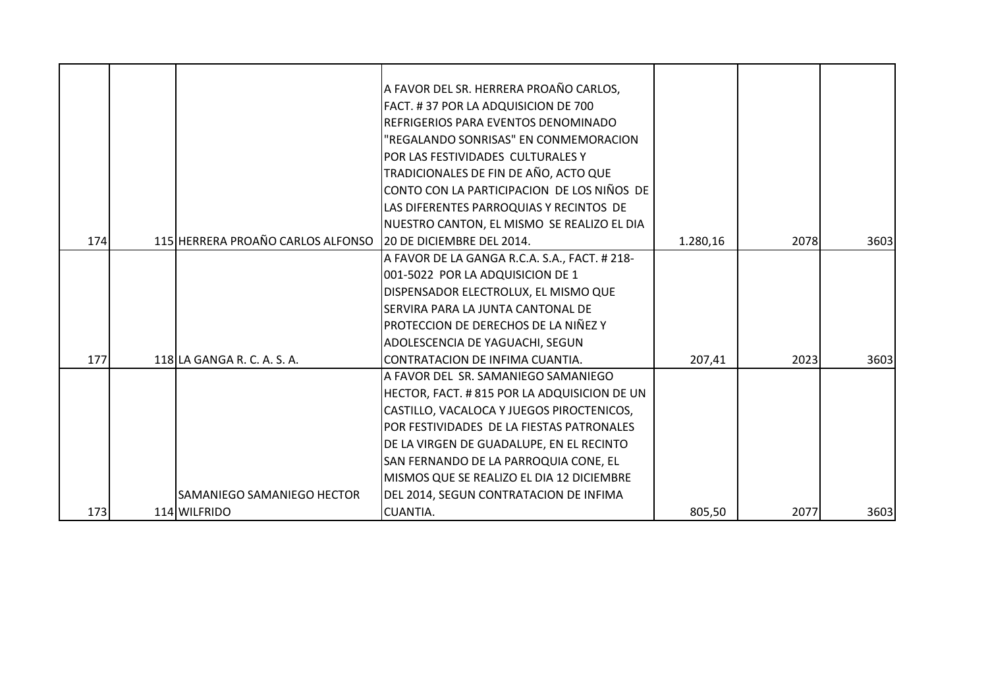|     |                                   | A FAVOR DEL SR. HERRERA PROAÑO CARLOS,        |          |      |      |
|-----|-----------------------------------|-----------------------------------------------|----------|------|------|
|     |                                   | FACT. #37 POR LA ADQUISICION DE 700           |          |      |      |
|     |                                   | REFRIGERIOS PARA EVENTOS DENOMINADO           |          |      |      |
|     |                                   | "REGALANDO SONRISAS" EN CONMEMORACION         |          |      |      |
|     |                                   | POR LAS FESTIVIDADES CULTURALES Y             |          |      |      |
|     |                                   | TRADICIONALES DE FIN DE AÑO, ACTO QUE         |          |      |      |
|     |                                   | CONTO CON LA PARTICIPACION DE LOS NIÑOS DE    |          |      |      |
|     |                                   | LAS DIFERENTES PARROQUIAS Y RECINTOS DE       |          |      |      |
|     |                                   | NUESTRO CANTON, EL MISMO SE REALIZO EL DIA    |          |      |      |
| 174 | 115 HERRERA PROAÑO CARLOS ALFONSO | 20 DE DICIEMBRE DEL 2014.                     | 1.280,16 | 2078 | 3603 |
|     |                                   | A FAVOR DE LA GANGA R.C.A. S.A., FACT. # 218- |          |      |      |
|     |                                   | 001-5022 POR LA ADQUISICION DE 1              |          |      |      |
|     |                                   | DISPENSADOR ELECTROLUX, EL MISMO QUE          |          |      |      |
|     |                                   | SERVIRA PARA LA JUNTA CANTONAL DE             |          |      |      |
|     |                                   | PROTECCION DE DERECHOS DE LA NIÑEZ Y          |          |      |      |
|     |                                   | ADOLESCENCIA DE YAGUACHI, SEGUN               |          |      |      |
| 177 | 118 LA GANGA R. C. A. S. A.       | CONTRATACION DE INFIMA CUANTIA.               | 207,41   | 2023 | 3603 |
|     |                                   | A FAVOR DEL SR. SAMANIEGO SAMANIEGO           |          |      |      |
|     |                                   | HECTOR, FACT. # 815 POR LA ADQUISICION DE UN  |          |      |      |
|     |                                   | CASTILLO, VACALOCA Y JUEGOS PIROCTENICOS,     |          |      |      |
|     |                                   | POR FESTIVIDADES DE LA FIESTAS PATRONALES     |          |      |      |
|     |                                   | DE LA VIRGEN DE GUADALUPE, EN EL RECINTO      |          |      |      |
|     |                                   | SAN FERNANDO DE LA PARROQUIA CONE, EL         |          |      |      |
|     |                                   | MISMOS QUE SE REALIZO EL DIA 12 DICIEMBRE     |          |      |      |
|     | SAMANIEGO SAMANIEGO HECTOR        | DEL 2014, SEGUN CONTRATACION DE INFIMA        |          |      |      |
| 173 | 114 WILFRIDO                      | <b>CUANTIA.</b>                               | 805,50   | 2077 | 3603 |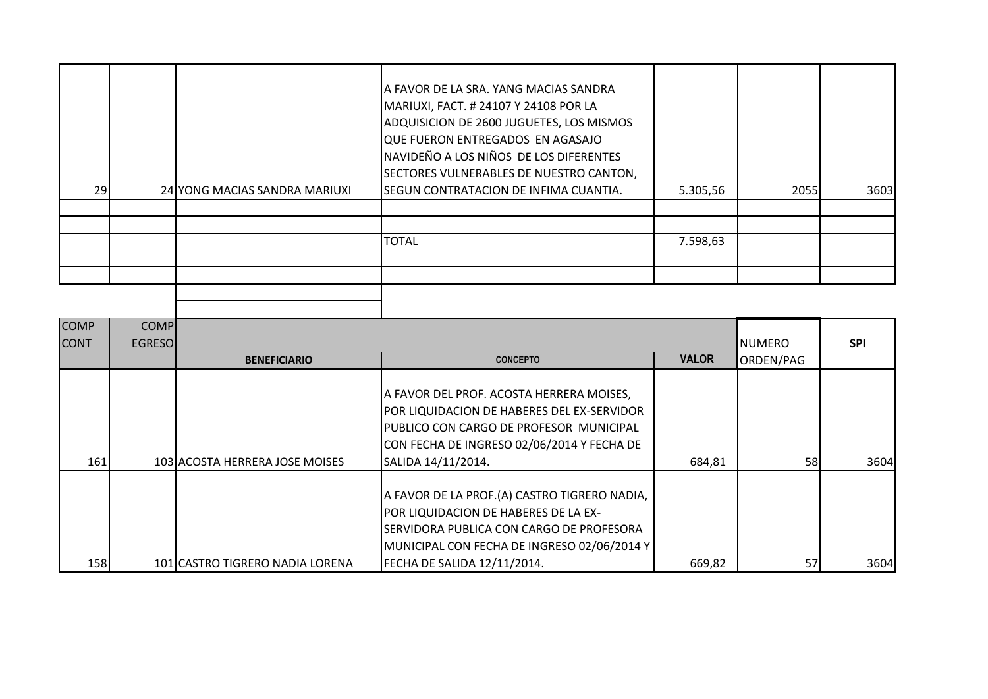| 29I | 24 YONG MACIAS SANDRA MARIUXI | A FAVOR DE LA SRA. YANG MACIAS SANDRA<br>MARIUXI, FACT. # 24107 Y 24108 POR LA<br>ADQUISICION DE 2600 JUGUETES, LOS MISMOS<br>QUE FUERON ENTREGADOS EN AGASAJO<br>NAVIDEÑO A LOS NIÑOS DE LOS DIFERENTES<br>SECTORES VULNERABLES DE NUESTRO CANTON,<br>SEGUN CONTRATACION DE INFIMA CUANTIA. | 5.305,56 | 2055 | 3603 |
|-----|-------------------------------|----------------------------------------------------------------------------------------------------------------------------------------------------------------------------------------------------------------------------------------------------------------------------------------------|----------|------|------|
|     |                               |                                                                                                                                                                                                                                                                                              |          |      |      |
|     |                               |                                                                                                                                                                                                                                                                                              |          |      |      |
|     |                               | <b>TOTAL</b>                                                                                                                                                                                                                                                                                 | 7.598,63 |      |      |
|     |                               |                                                                                                                                                                                                                                                                                              |          |      |      |
|     |                               |                                                                                                                                                                                                                                                                                              |          |      |      |
|     |                               |                                                                                                                                                                                                                                                                                              |          |      |      |
|     |                               |                                                                                                                                                                                                                                                                                              |          |      |      |

| <b>COMP</b> | <b>COMP</b>    |                                 |                                                                                                                                                                                  |              |                 |            |
|-------------|----------------|---------------------------------|----------------------------------------------------------------------------------------------------------------------------------------------------------------------------------|--------------|-----------------|------------|
| <b>CONT</b> | <b>EGRESOI</b> |                                 |                                                                                                                                                                                  |              | <b>I</b> NUMERO | <b>SPI</b> |
|             |                | <b>BENEFICIARIO</b>             | <b>CONCEPTO</b>                                                                                                                                                                  | <b>VALOR</b> | ORDEN/PAG       |            |
|             |                |                                 | A FAVOR DEL PROF. ACOSTA HERRERA MOISES,<br>POR LIQUIDACION DE HABERES DEL EX-SERVIDOR<br>PUBLICO CON CARGO DE PROFESOR MUNICIPAL<br>CON FECHA DE INGRESO 02/06/2014 Y FECHA DE  |              |                 |            |
| 161         |                | 103 ACOSTA HERRERA JOSE MOISES  | SALIDA 14/11/2014.                                                                                                                                                               | 684,81       | 58              | 3604       |
|             |                |                                 | A FAVOR DE LA PROF.(A) CASTRO TIGRERO NADIA,<br>POR LIQUIDACION DE HABERES DE LA EX-<br>ISERVIDORA PUBLICA CON CARGO DE PROFESORA<br>MUNICIPAL CON FECHA DE INGRESO 02/06/2014 Y |              |                 |            |
| <b>158</b>  |                | 101 CASTRO TIGRERO NADIA LORENA | FECHA DE SALIDA 12/11/2014.                                                                                                                                                      | 669,82       | 57              | 3604       |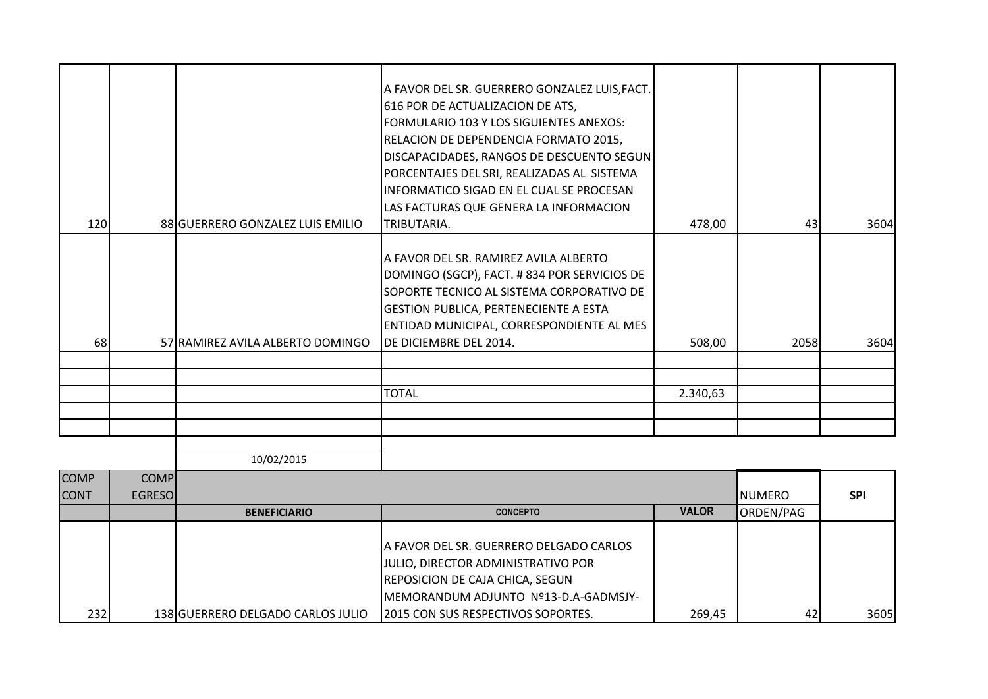|     |                                  | A FAVOR DEL SR. GUERRERO GONZALEZ LUIS, FACT. |          |      |      |
|-----|----------------------------------|-----------------------------------------------|----------|------|------|
|     |                                  | 616 POR DE ACTUALIZACION DE ATS,              |          |      |      |
|     |                                  | FORMULARIO 103 Y LOS SIGUIENTES ANEXOS:       |          |      |      |
|     |                                  | RELACION DE DEPENDENCIA FORMATO 2015,         |          |      |      |
|     |                                  | DISCAPACIDADES, RANGOS DE DESCUENTO SEGUN     |          |      |      |
|     |                                  | PORCENTAJES DEL SRI, REALIZADAS AL SISTEMA    |          |      |      |
|     |                                  | INFORMATICO SIGAD EN EL CUAL SE PROCESAN      |          |      |      |
|     |                                  | LAS FACTURAS QUE GENERA LA INFORMACION        |          |      |      |
| 120 | 88 GUERRERO GONZALEZ LUIS EMILIO | ITRIBUTARIA.                                  | 478,00   | 43   | 3604 |
|     |                                  |                                               |          |      |      |
|     |                                  | A FAVOR DEL SR. RAMIREZ AVILA ALBERTO         |          |      |      |
|     |                                  | DOMINGO (SGCP), FACT. # 834 POR SERVICIOS DE  |          |      |      |
|     |                                  | SOPORTE TECNICO AL SISTEMA CORPORATIVO DE     |          |      |      |
|     |                                  | <b>GESTION PUBLICA, PERTENECIENTE A ESTA</b>  |          |      |      |
|     |                                  | ENTIDAD MUNICIPAL, CORRESPONDIENTE AL MES     |          |      |      |
| 68  | 57 RAMIREZ AVILA ALBERTO DOMINGO | DE DICIEMBRE DEL 2014.                        | 508,00   | 2058 | 3604 |
|     |                                  |                                               |          |      |      |
|     |                                  |                                               |          |      |      |
|     |                                  | <b>TOTAL</b>                                  | 2.340,63 |      |      |
|     |                                  |                                               |          |      |      |
|     |                                  |                                               |          |      |      |
|     |                                  |                                               |          |      |      |
|     | 10/02/2015                       |                                               |          |      |      |

| <b>COMP</b><br><b>CONT</b> | <b>COMP</b><br><b>EGRESOI</b> |                                   |                                            |              | <b>I</b> NUMERO | <b>SPI</b> |
|----------------------------|-------------------------------|-----------------------------------|--------------------------------------------|--------------|-----------------|------------|
|                            |                               | <b>BENEFICIARIO</b>               | <b>CONCEPTO</b>                            | <b>VALOR</b> | ORDEN/PAG       |            |
|                            |                               |                                   |                                            |              |                 |            |
|                            |                               |                                   | A FAVOR DEL SR. GUERRERO DELGADO CARLOS    |              |                 |            |
|                            |                               |                                   | <b>JJULIO, DIRECTOR ADMINISTRATIVO POR</b> |              |                 |            |
|                            |                               |                                   | <b>REPOSICION DE CAJA CHICA, SEGUN</b>     |              |                 |            |
|                            |                               |                                   | IMEMORANDUM ADJUNTO Nº13-D.A-GADMSJY-      |              |                 |            |
| 232                        |                               | 138 GUERRERO DELGADO CARLOS JULIO | 2015 CON SUS RESPECTIVOS SOPORTES.         | 269,45       | 42              | 3605       |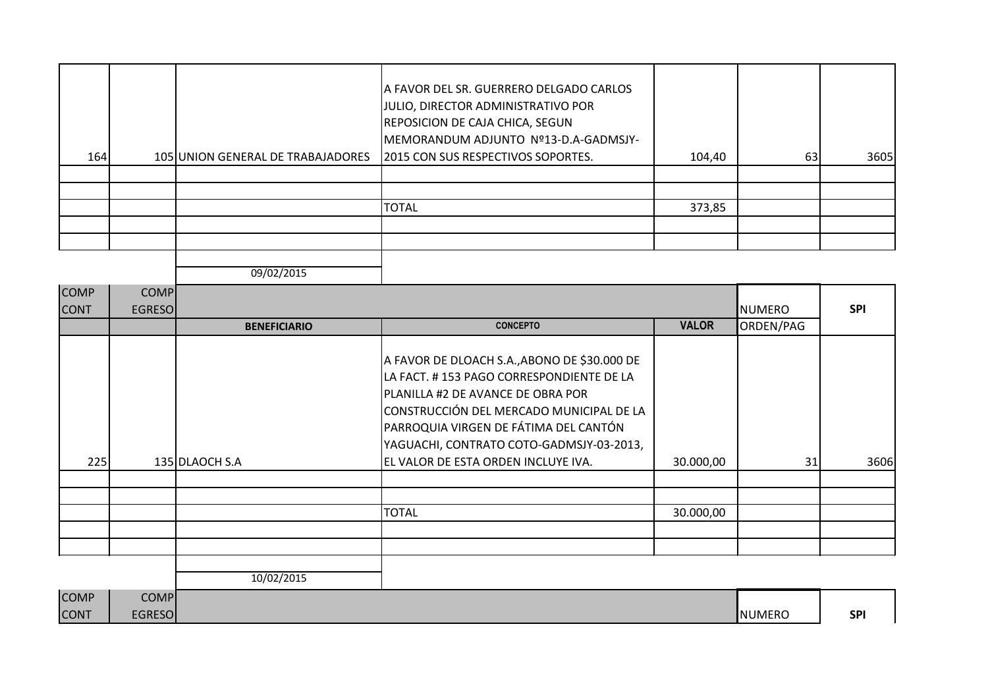| 164 | 105 UNION GENERAL DE TRABAJADORES | A FAVOR DEL SR. GUERRERO DELGADO CARLOS<br>JULIO, DIRECTOR ADMINISTRATIVO POR<br><b>REPOSICION DE CAJA CHICA, SEGUN</b><br>MEMORANDUM ADJUNTO Nº13-D.A-GADMSJY-<br>2015 CON SUS RESPECTIVOS SOPORTES. | 104,40 | 63 | 3605 |
|-----|-----------------------------------|-------------------------------------------------------------------------------------------------------------------------------------------------------------------------------------------------------|--------|----|------|
|     |                                   |                                                                                                                                                                                                       |        |    |      |
|     |                                   |                                                                                                                                                                                                       |        |    |      |
|     |                                   | <b>TOTAL</b>                                                                                                                                                                                          | 373,85 |    |      |
|     |                                   |                                                                                                                                                                                                       |        |    |      |
|     |                                   |                                                                                                                                                                                                       |        |    |      |
|     |                                   |                                                                                                                                                                                                       |        |    |      |

| <b>COMP</b><br><b>CONT</b> | <b>COMP</b><br><b>EGRESO</b> |                     |                                                                                                                                                                                                                                                                                                       |              | <b>NUMERO</b> | <b>SPI</b> |
|----------------------------|------------------------------|---------------------|-------------------------------------------------------------------------------------------------------------------------------------------------------------------------------------------------------------------------------------------------------------------------------------------------------|--------------|---------------|------------|
|                            |                              | <b>BENEFICIARIO</b> | <b>CONCEPTO</b>                                                                                                                                                                                                                                                                                       | <b>VALOR</b> | ORDEN/PAG     |            |
| 225                        |                              | 135 DLAOCH S.A      | A FAVOR DE DLOACH S.A., ABONO DE \$30.000 DE<br>LA FACT. #153 PAGO CORRESPONDIENTE DE LA<br>PLANILLA #2 DE AVANCE DE OBRA POR<br>CONSTRUCCIÓN DEL MERCADO MUNICIPAL DE LA<br>PARROQUIA VIRGEN DE FÁTIMA DEL CANTÓN<br>YAGUACHI, CONTRATO COTO-GADMSJY-03-2013,<br>EL VALOR DE ESTA ORDEN INCLUYE IVA. | 30.000,00    | 31            | 3606       |
|                            |                              |                     |                                                                                                                                                                                                                                                                                                       |              |               |            |
|                            |                              |                     | <b>TOTAL</b>                                                                                                                                                                                                                                                                                          | 30.000,00    |               |            |
|                            |                              |                     |                                                                                                                                                                                                                                                                                                       |              |               |            |
| $\overline{\phantom{a}}$   | $\cdots$                     | 10/02/2015          |                                                                                                                                                                                                                                                                                                       |              |               |            |

| <b>COMP</b> | <b>COMP</b>   |               |            |
|-------------|---------------|---------------|------------|
| <b>CONT</b> | <b>EGRESO</b> | <b>NUMERO</b> | <b>SPI</b> |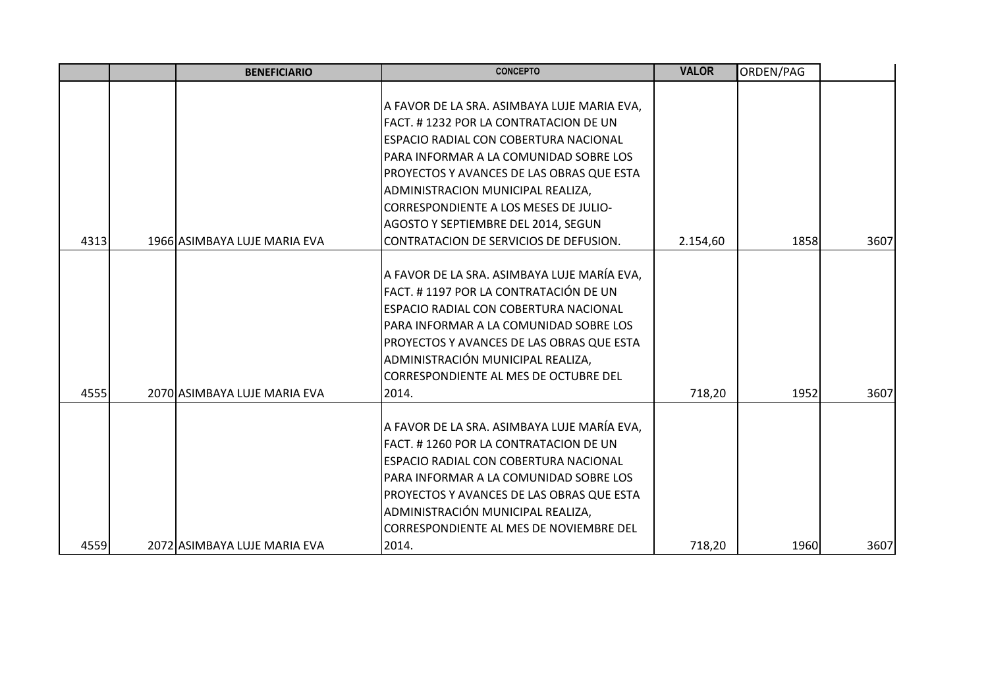|      | <b>BENEFICIARIO</b>          | <b>CONCEPTO</b>                                                                                                                                                                                                                                                                                                                                                                     | <b>VALOR</b> | ORDEN/PAG |      |
|------|------------------------------|-------------------------------------------------------------------------------------------------------------------------------------------------------------------------------------------------------------------------------------------------------------------------------------------------------------------------------------------------------------------------------------|--------------|-----------|------|
| 4313 | 1966 ASIMBAYA LUJE MARIA EVA | A FAVOR DE LA SRA. ASIMBAYA LUJE MARIA EVA,<br>FACT. #1232 POR LA CONTRATACION DE UN<br>ESPACIO RADIAL CON COBERTURA NACIONAL<br>PARA INFORMAR A LA COMUNIDAD SOBRE LOS<br>PROYECTOS Y AVANCES DE LAS OBRAS QUE ESTA<br>ADMINISTRACION MUNICIPAL REALIZA,<br>CORRESPONDIENTE A LOS MESES DE JULIO-<br>AGOSTO Y SEPTIEMBRE DEL 2014, SEGUN<br>CONTRATACION DE SERVICIOS DE DEFUSION. | 2.154,60     | 1858      | 3607 |
|      |                              |                                                                                                                                                                                                                                                                                                                                                                                     |              |           |      |
| 4555 | 2070 ASIMBAYA LUJE MARIA EVA | A FAVOR DE LA SRA. ASIMBAYA LUJE MARÍA EVA,<br>FACT. #1197 POR LA CONTRATACIÓN DE UN<br>ESPACIO RADIAL CON COBERTURA NACIONAL<br>PARA INFORMAR A LA COMUNIDAD SOBRE LOS<br>PROYECTOS Y AVANCES DE LAS OBRAS QUE ESTA<br>ADMINISTRACIÓN MUNICIPAL REALIZA,<br>CORRESPONDIENTE AL MES DE OCTUBRE DEL<br>2014.                                                                         | 718,20       | 1952      | 3607 |
| 4559 | 2072 ASIMBAYA LUJE MARIA EVA | A FAVOR DE LA SRA. ASIMBAYA LUJE MARÍA EVA,<br>FACT. #1260 POR LA CONTRATACION DE UN<br>ESPACIO RADIAL CON COBERTURA NACIONAL<br>PARA INFORMAR A LA COMUNIDAD SOBRE LOS<br>PROYECTOS Y AVANCES DE LAS OBRAS QUE ESTA<br>ADMINISTRACIÓN MUNICIPAL REALIZA,<br>CORRESPONDIENTE AL MES DE NOVIEMBRE DEL<br>2014.                                                                       | 718,20       | 1960      | 3607 |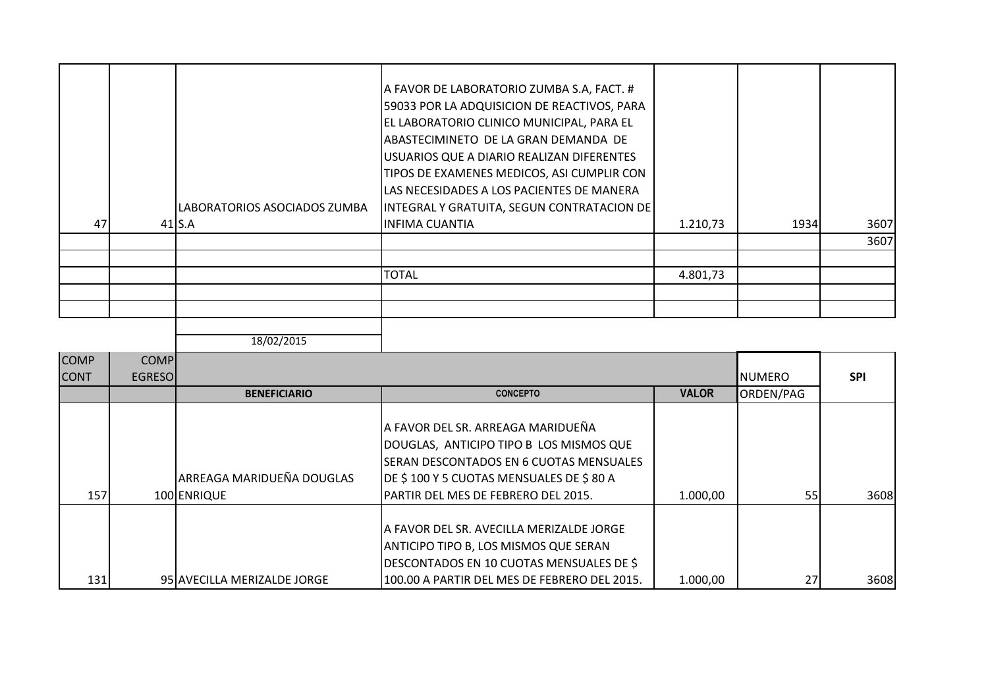|    | LABORATORIOS ASOCIADOS ZUMBA | A FAVOR DE LABORATORIO ZUMBA S.A, FACT. #<br>59033 POR LA ADQUISICION DE REACTIVOS, PARA<br>EL LABORATORIO CLINICO MUNICIPAL, PARA EL<br>ABASTECIMINETO DE LA GRAN DEMANDA DE<br>USUARIOS QUE A DIARIO REALIZAN DIFERENTES<br>TIPOS DE EXAMENES MEDICOS, ASI CUMPLIR CON<br>LAS NECESIDADES A LOS PACIENTES DE MANERA<br>INTEGRAL Y GRATUITA, SEGUN CONTRATACION DE |          |      |      |
|----|------------------------------|---------------------------------------------------------------------------------------------------------------------------------------------------------------------------------------------------------------------------------------------------------------------------------------------------------------------------------------------------------------------|----------|------|------|
| 47 | $41$ S.A                     | <b>INFIMA CUANTIA</b>                                                                                                                                                                                                                                                                                                                                               | 1.210,73 | 1934 | 3607 |
|    |                              |                                                                                                                                                                                                                                                                                                                                                                     |          |      | 3607 |
|    |                              |                                                                                                                                                                                                                                                                                                                                                                     |          |      |      |
|    |                              | <b>TOTAL</b>                                                                                                                                                                                                                                                                                                                                                        | 4.801,73 |      |      |
|    |                              |                                                                                                                                                                                                                                                                                                                                                                     |          |      |      |
|    |                              |                                                                                                                                                                                                                                                                                                                                                                     |          |      |      |
|    |                              |                                                                                                                                                                                                                                                                                                                                                                     |          |      |      |

| <b>COMP</b><br><b>CONT</b> | <b>COMP</b><br><b>EGRESOI</b> |                                          |                                                                                                                                                                                                            |              | <b>NUMERO</b> | <b>SPI</b> |
|----------------------------|-------------------------------|------------------------------------------|------------------------------------------------------------------------------------------------------------------------------------------------------------------------------------------------------------|--------------|---------------|------------|
|                            |                               | <b>BENEFICIARIO</b>                      | <b>CONCEPTO</b>                                                                                                                                                                                            | <b>VALOR</b> | ORDEN/PAG     |            |
| 157                        |                               | ARREAGA MARIDUEÑA DOUGLAS<br>100 ENRIQUE | A FAVOR DEL SR. ARREAGA MARIDUEÑA<br>DOUGLAS, ANTICIPO TIPO B LOS MISMOS QUE<br>ISERAN DESCONTADOS EN 6 CUOTAS MENSUALES<br>DE \$100 Y 5 CUOTAS MENSUALES DE \$80 A<br>PARTIR DEL MES DE FEBRERO DEL 2015. | 1.000,00     | 55            | 3608       |
| 131                        |                               | 95 AVECILLA MERIZALDE JORGE              | IA FAVOR DEL SR. AVECILLA MERIZALDE JORGE<br><b>ANTICIPO TIPO B, LOS MISMOS QUE SERAN</b><br>DESCONTADOS EN 10 CUOTAS MENSUALES DE \$<br>100.00 A PARTIR DEL MES DE FEBRERO DEL 2015.                      | 1.000,00     | 27            | 3608       |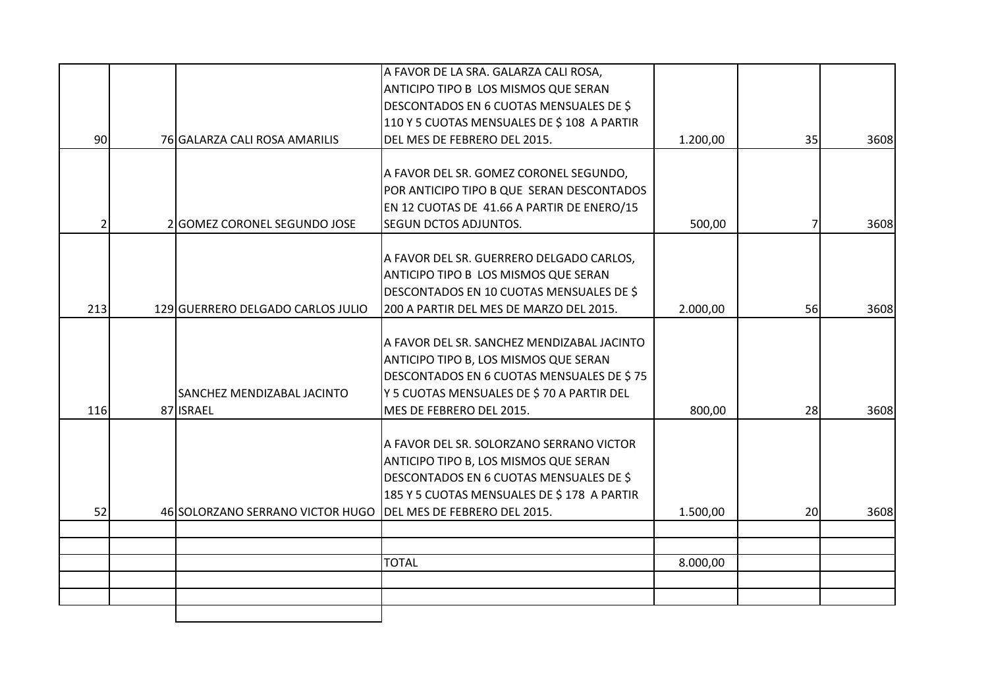|     |                                   | A FAVOR DE LA SRA. GALARZA CALI ROSA,       |          |    |      |
|-----|-----------------------------------|---------------------------------------------|----------|----|------|
|     |                                   | ANTICIPO TIPO B LOS MISMOS QUE SERAN        |          |    |      |
|     |                                   | DESCONTADOS EN 6 CUOTAS MENSUALES DE \$     |          |    |      |
|     |                                   | 110 Y 5 CUOTAS MENSUALES DE \$ 108 A PARTIR |          |    |      |
| 90  | 76 GALARZA CALI ROSA AMARILIS     | DEL MES DE FEBRERO DEL 2015.                | 1.200,00 | 35 | 3608 |
|     |                                   |                                             |          |    |      |
|     |                                   | A FAVOR DEL SR. GOMEZ CORONEL SEGUNDO,      |          |    |      |
|     |                                   | POR ANTICIPO TIPO B QUE SERAN DESCONTADOS   |          |    |      |
|     |                                   | EN 12 CUOTAS DE 41.66 A PARTIR DE ENERO/15  |          |    |      |
| 2   | 2 GOMEZ CORONEL SEGUNDO JOSE      | <b>SEGUN DCTOS ADJUNTOS.</b>                | 500,00   |    | 3608 |
|     |                                   |                                             |          |    |      |
|     |                                   | A FAVOR DEL SR. GUERRERO DELGADO CARLOS,    |          |    |      |
|     |                                   | ANTICIPO TIPO B LOS MISMOS QUE SERAN        |          |    |      |
|     |                                   | DESCONTADOS EN 10 CUOTAS MENSUALES DE \$    |          |    |      |
| 213 | 129 GUERRERO DELGADO CARLOS JULIO | 200 A PARTIR DEL MES DE MARZO DEL 2015.     | 2.000,00 | 56 | 3608 |
|     |                                   | A FAVOR DEL SR. SANCHEZ MENDIZABAL JACINTO  |          |    |      |
|     |                                   | ANTICIPO TIPO B, LOS MISMOS QUE SERAN       |          |    |      |
|     |                                   | DESCONTADOS EN 6 CUOTAS MENSUALES DE \$75   |          |    |      |
|     | SANCHEZ MENDIZABAL JACINTO        | Y 5 CUOTAS MENSUALES DE \$70 A PARTIR DEL   |          |    |      |
| 116 | 87 ISRAEL                         | MES DE FEBRERO DEL 2015.                    | 800,00   | 28 | 3608 |
|     |                                   |                                             |          |    |      |
|     |                                   | A FAVOR DEL SR. SOLORZANO SERRANO VICTOR    |          |    |      |
|     |                                   | ANTICIPO TIPO B, LOS MISMOS QUE SERAN       |          |    |      |
|     |                                   | DESCONTADOS EN 6 CUOTAS MENSUALES DE \$     |          |    |      |
|     |                                   | 185 Y 5 CUOTAS MENSUALES DE \$178 A PARTIR  |          |    |      |
| 52  | 46 SOLORZANO SERRANO VICTOR HUGO  | DEL MES DE FEBRERO DEL 2015.                | 1.500,00 | 20 | 3608 |
|     |                                   |                                             |          |    |      |
|     |                                   |                                             |          |    |      |
|     |                                   | <b>TOTAL</b>                                | 8.000,00 |    |      |
|     |                                   |                                             |          |    |      |
|     |                                   |                                             |          |    |      |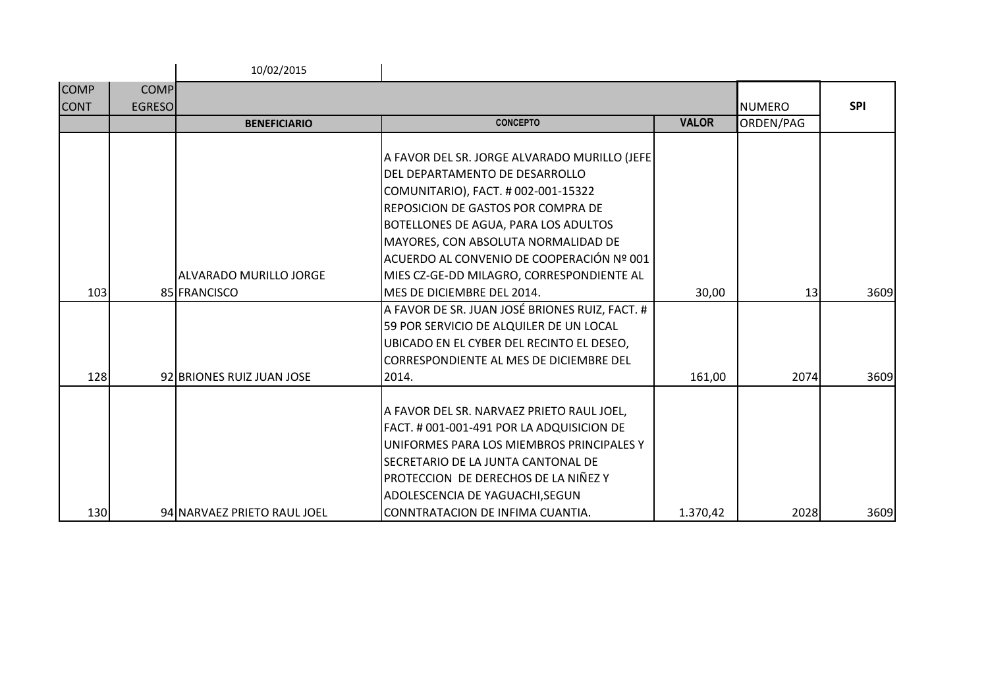|             |               | 10/02/2015                  |                                                                                                                                                                                                                                                                                                                                             |              |               |            |
|-------------|---------------|-----------------------------|---------------------------------------------------------------------------------------------------------------------------------------------------------------------------------------------------------------------------------------------------------------------------------------------------------------------------------------------|--------------|---------------|------------|
| <b>COMP</b> | <b>COMP</b>   |                             |                                                                                                                                                                                                                                                                                                                                             |              |               |            |
| <b>CONT</b> | <b>EGRESO</b> |                             |                                                                                                                                                                                                                                                                                                                                             |              | <b>NUMERO</b> | <b>SPI</b> |
|             |               | <b>BENEFICIARIO</b>         | <b>CONCEPTO</b>                                                                                                                                                                                                                                                                                                                             | <b>VALOR</b> | ORDEN/PAG     |            |
|             |               | ALVARADO MURILLO JORGE      | A FAVOR DEL SR. JORGE ALVARADO MURILLO (JEFE<br>DEL DEPARTAMENTO DE DESARROLLO<br>COMUNITARIO), FACT. # 002-001-15322<br><b>REPOSICION DE GASTOS POR COMPRA DE</b><br>BOTELLONES DE AGUA, PARA LOS ADULTOS<br>MAYORES, CON ABSOLUTA NORMALIDAD DE<br>ACUERDO AL CONVENIO DE COOPERACIÓN Nº 001<br>MIES CZ-GE-DD MILAGRO, CORRESPONDIENTE AL |              |               |            |
| 103         |               | 85 FRANCISCO                | <b>I</b> MES DE DICIEMBRE DEL 2014.                                                                                                                                                                                                                                                                                                         | 30,00        | 13            | 3609       |
|             |               |                             | A FAVOR DE SR. JUAN JOSÉ BRIONES RUIZ, FACT. #<br>59 POR SERVICIO DE ALQUILER DE UN LOCAL<br>UBICADO EN EL CYBER DEL RECINTO EL DESEO,<br><b>CORRESPONDIENTE AL MES DE DICIEMBRE DEL</b>                                                                                                                                                    |              |               |            |
| 128         |               | 92 BRIONES RUIZ JUAN JOSE   | 2014.                                                                                                                                                                                                                                                                                                                                       | 161,00       | 2074          | 3609       |
| 130         |               | 94 NARVAEZ PRIETO RAUL JOEL | A FAVOR DEL SR. NARVAEZ PRIETO RAUL JOEL,<br>FACT. # 001-001-491 POR LA ADQUISICION DE<br>IUNIFORMES PARA LOS MIEMBROS PRINCIPALES Y<br>SECRETARIO DE LA JUNTA CANTONAL DE<br>Proteccion de derechos de la niñez y<br>ADOLESCENCIA DE YAGUACHI, SEGUN<br>CONNTRATACION DE INFIMA CUANTIA.                                                   | 1.370,42     | 2028          | 3609       |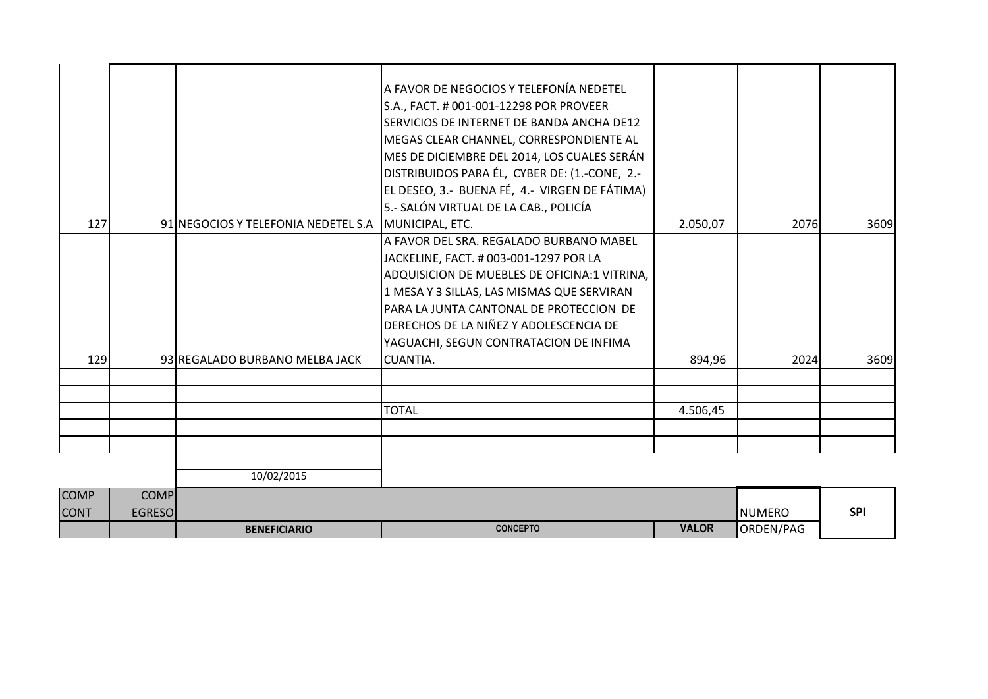|             |               |                                     | A FAVOR DE NEGOCIOS Y TELEFONÍA NEDETEL<br>S.A., FACT. # 001-001-12298 POR PROVEER<br>SERVICIOS DE INTERNET DE BANDA ANCHA DE12<br>MEGAS CLEAR CHANNEL, CORRESPONDIENTE AL<br>MES DE DICIEMBRE DEL 2014, LOS CUALES SERÁN<br>DISTRIBUIDOS PARA ÉL, CYBER DE: (1.-CONE, 2.- |              |               |            |
|-------------|---------------|-------------------------------------|----------------------------------------------------------------------------------------------------------------------------------------------------------------------------------------------------------------------------------------------------------------------------|--------------|---------------|------------|
|             |               |                                     | EL DESEO, 3.- BUENA FÉ, 4.- VIRGEN DE FÁTIMA)                                                                                                                                                                                                                              |              |               |            |
|             |               |                                     | 5.- SALÓN VIRTUAL DE LA CAB., POLICÍA                                                                                                                                                                                                                                      |              |               |            |
| 127         |               | 91 NEGOCIOS Y TELEFONIA NEDETEL S.A | MUNICIPAL, ETC.                                                                                                                                                                                                                                                            | 2.050,07     | 2076          | 3609       |
|             |               |                                     | A FAVOR DEL SRA. REGALADO BURBANO MABEL                                                                                                                                                                                                                                    |              |               |            |
|             |               |                                     | JACKELINE, FACT. # 003-001-1297 POR LA                                                                                                                                                                                                                                     |              |               |            |
|             |               |                                     | ADQUISICION DE MUEBLES DE OFICINA:1 VITRINA,                                                                                                                                                                                                                               |              |               |            |
|             |               |                                     | 1 MESA Y 3 SILLAS, LAS MISMAS QUE SERVIRAN                                                                                                                                                                                                                                 |              |               |            |
|             |               |                                     | PARA LA JUNTA CANTONAL DE PROTECCION DE                                                                                                                                                                                                                                    |              |               |            |
|             |               |                                     | DERECHOS DE LA NIÑEZ Y ADOLESCENCIA DE                                                                                                                                                                                                                                     |              |               |            |
|             |               |                                     | YAGUACHI, SEGUN CONTRATACION DE INFIMA                                                                                                                                                                                                                                     |              |               |            |
| 129         |               | 93 REGALADO BURBANO MELBA JACK      | CUANTIA.                                                                                                                                                                                                                                                                   | 894,96       | 2024          | 3609       |
|             |               |                                     |                                                                                                                                                                                                                                                                            |              |               |            |
|             |               |                                     | <b>TOTAL</b>                                                                                                                                                                                                                                                               | 4.506,45     |               |            |
|             |               |                                     |                                                                                                                                                                                                                                                                            |              |               |            |
|             |               |                                     |                                                                                                                                                                                                                                                                            |              |               |            |
|             |               |                                     |                                                                                                                                                                                                                                                                            |              |               |            |
|             |               | 10/02/2015                          |                                                                                                                                                                                                                                                                            |              |               |            |
| <b>COMP</b> | <b>COMP</b>   |                                     |                                                                                                                                                                                                                                                                            |              |               |            |
| <b>CONT</b> | <b>EGRESO</b> |                                     |                                                                                                                                                                                                                                                                            |              | <b>NUMERO</b> | <b>SPI</b> |
|             |               | <b>BENEFICIARIO</b>                 | <b>CONCEPTO</b>                                                                                                                                                                                                                                                            | <b>VALOR</b> | ORDEN/PAG     |            |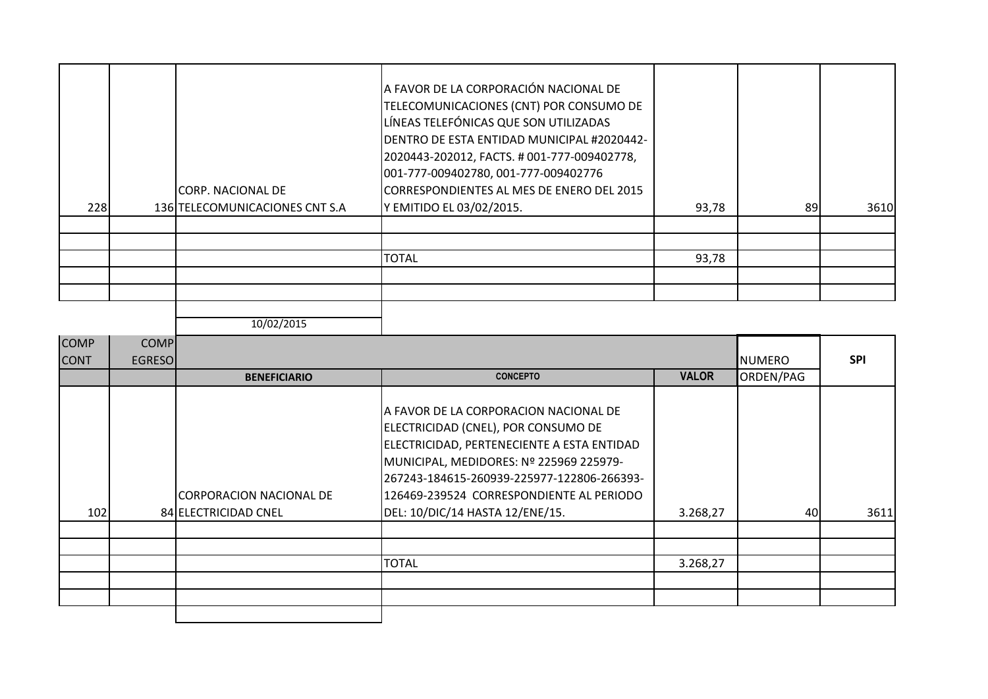| 228 | <b>CORP. NACIONAL DE</b><br>136 TELECOMUNICACIONES CNT S.A | A FAVOR DE LA CORPORACIÓN NACIONAL DE<br>TELECOMUNICACIONES (CNT) POR CONSUMO DE<br>LÍNEAS TELEFÓNICAS QUE SON UTILIZADAS<br>IDENTRO DE ESTA ENTIDAD MUNICIPAL #2020442-<br>2020443-202012, FACTS. #001-777-009402778,<br>001-777-009402780, 001-777-009402776<br>CORRESPONDIENTES AL MES DE ENERO DEL 2015<br>Y EMITIDO EL 03/02/2015. | 93,78 | 89 | 3610 |
|-----|------------------------------------------------------------|-----------------------------------------------------------------------------------------------------------------------------------------------------------------------------------------------------------------------------------------------------------------------------------------------------------------------------------------|-------|----|------|
|     |                                                            |                                                                                                                                                                                                                                                                                                                                         |       |    |      |
|     |                                                            |                                                                                                                                                                                                                                                                                                                                         |       |    |      |
|     |                                                            | <b>TOTAL</b>                                                                                                                                                                                                                                                                                                                            | 93,78 |    |      |
|     |                                                            |                                                                                                                                                                                                                                                                                                                                         |       |    |      |
|     |                                                            |                                                                                                                                                                                                                                                                                                                                         |       |    |      |

| <b>COMP</b><br><b>CONT</b> | <b>COMP</b><br><b>EGRESO</b> |                                                  |                                                                                                                                                                                                                                                                                                    |              | <b>NUMERO</b> | <b>SPI</b> |
|----------------------------|------------------------------|--------------------------------------------------|----------------------------------------------------------------------------------------------------------------------------------------------------------------------------------------------------------------------------------------------------------------------------------------------------|--------------|---------------|------------|
|                            |                              | <b>BENEFICIARIO</b>                              | <b>CONCEPTO</b>                                                                                                                                                                                                                                                                                    | <b>VALOR</b> | ORDEN/PAG     |            |
| 102                        |                              | ICORPORACION NACIONAL DE<br>84 ELECTRICIDAD CNEL | A FAVOR DE LA CORPORACION NACIONAL DE<br>ELECTRICIDAD (CNEL), POR CONSUMO DE<br>ELECTRICIDAD, PERTENECIENTE A ESTA ENTIDAD<br>MUNICIPAL, MEDIDORES: Nº 225969 225979-<br>267243-184615-260939-225977-122806-266393-<br>126469-239524 CORRESPONDIENTE AL PERIODO<br>DEL: 10/DIC/14 HASTA 12/ENE/15. | 3.268,27     | 40            | 3611       |
|                            |                              |                                                  |                                                                                                                                                                                                                                                                                                    |              |               |            |
|                            |                              |                                                  | <b>TOTAL</b>                                                                                                                                                                                                                                                                                       | 3.268,27     |               |            |
|                            |                              |                                                  |                                                                                                                                                                                                                                                                                                    |              |               |            |
|                            |                              |                                                  |                                                                                                                                                                                                                                                                                                    |              |               |            |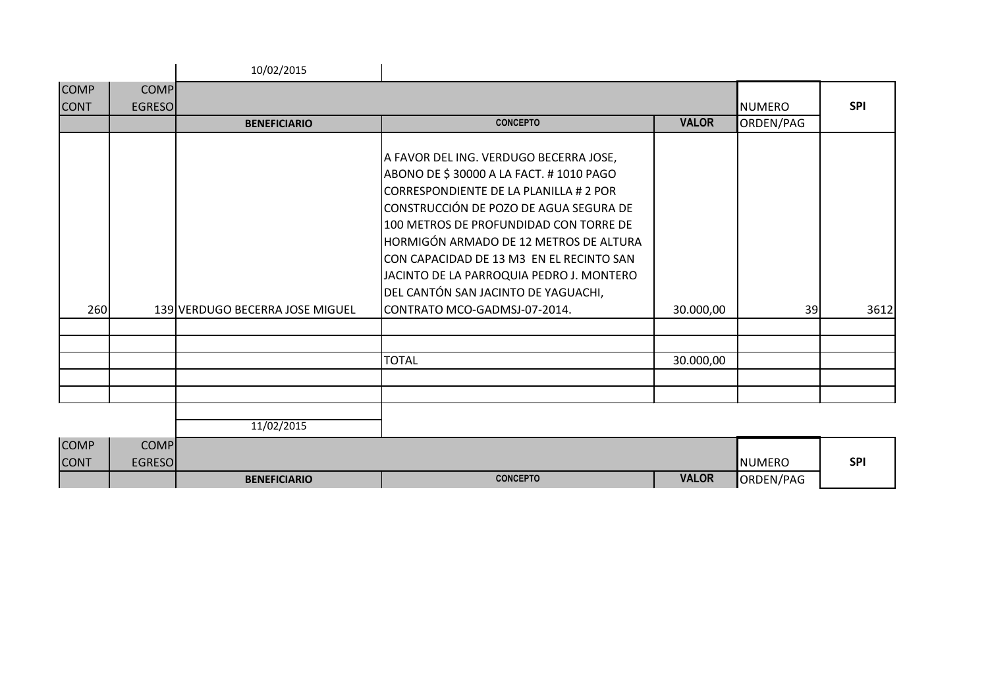|                            |                              | 10/02/2015                      |                                                                                                                                                                                                                                                                                                                                                                                         |              |               |            |
|----------------------------|------------------------------|---------------------------------|-----------------------------------------------------------------------------------------------------------------------------------------------------------------------------------------------------------------------------------------------------------------------------------------------------------------------------------------------------------------------------------------|--------------|---------------|------------|
| <b>COMP</b>                | <b>COMP</b>                  |                                 |                                                                                                                                                                                                                                                                                                                                                                                         |              |               |            |
| <b>CONT</b>                | <b>EGRESO</b>                |                                 |                                                                                                                                                                                                                                                                                                                                                                                         |              | <b>NUMERO</b> | <b>SPI</b> |
|                            |                              | <b>BENEFICIARIO</b>             | <b>CONCEPTO</b>                                                                                                                                                                                                                                                                                                                                                                         | <b>VALOR</b> | ORDEN/PAG     |            |
|                            |                              |                                 | A FAVOR DEL ING. VERDUGO BECERRA JOSE,<br>ABONO DE \$30000 A LA FACT. #1010 PAGO<br>CORRESPONDIENTE DE LA PLANILLA # 2 POR<br>CONSTRUCCIÓN DE POZO DE AGUA SEGURA DE<br>100 METROS DE PROFUNDIDAD CON TORRE DE<br>HORMIGÓN ARMADO DE 12 METROS DE ALTURA<br>CON CAPACIDAD DE 13 M3 EN EL RECINTO SAN<br>JACINTO DE LA PARROQUIA PEDRO J. MONTERO<br>DEL CANTÓN SAN JACINTO DE YAGUACHI, |              |               |            |
| 260                        |                              | 139 VERDUGO BECERRA JOSE MIGUEL | CONTRATO MCO-GADMSJ-07-2014.                                                                                                                                                                                                                                                                                                                                                            | 30.000,00    | 39            | 3612       |
|                            |                              |                                 |                                                                                                                                                                                                                                                                                                                                                                                         |              |               |            |
|                            |                              |                                 | <b>TOTAL</b>                                                                                                                                                                                                                                                                                                                                                                            | 30.000,00    |               |            |
|                            |                              |                                 |                                                                                                                                                                                                                                                                                                                                                                                         |              |               |            |
|                            |                              | 11/02/2015                      |                                                                                                                                                                                                                                                                                                                                                                                         |              |               |            |
| <b>COMP</b><br><b>CONT</b> | <b>COMP</b><br><b>EGRESO</b> |                                 |                                                                                                                                                                                                                                                                                                                                                                                         |              | <b>NUMERO</b> | <b>SPI</b> |
|                            |                              | <b>BENEFICIARIO</b>             | <b>CONCEPTO</b>                                                                                                                                                                                                                                                                                                                                                                         | <b>VALOR</b> | ORDEN/PAG     |            |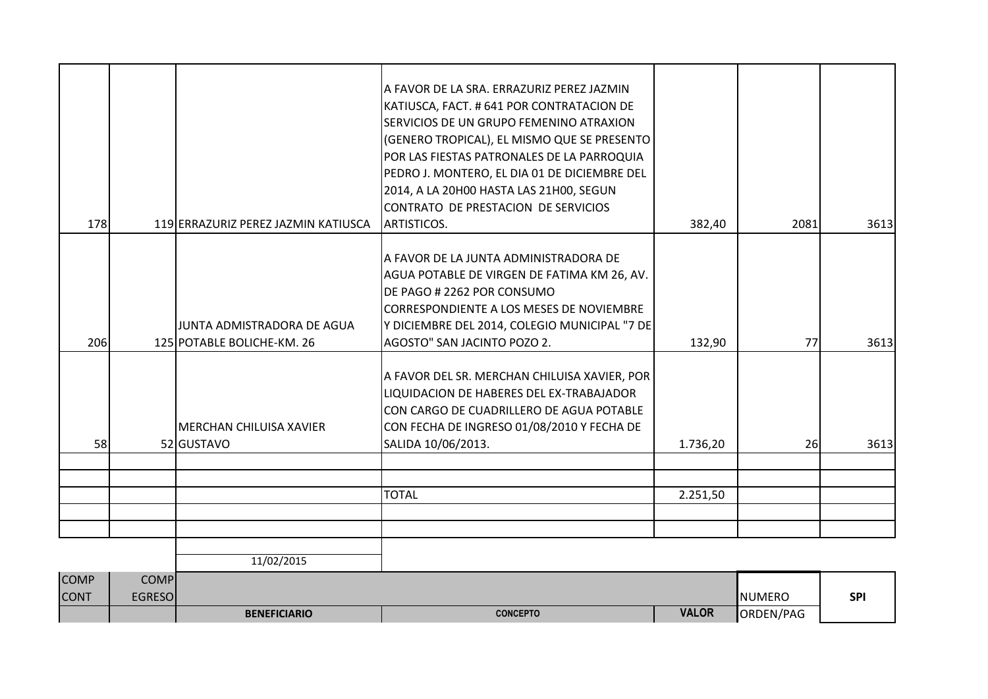| <b>COMP</b> | <b>COMP</b> | 11/02/2015                                               |                                                                                                                                                                                                                                                                                                                                                                                 |          |           |      |
|-------------|-------------|----------------------------------------------------------|---------------------------------------------------------------------------------------------------------------------------------------------------------------------------------------------------------------------------------------------------------------------------------------------------------------------------------------------------------------------------------|----------|-----------|------|
|             |             |                                                          |                                                                                                                                                                                                                                                                                                                                                                                 |          |           |      |
|             |             |                                                          |                                                                                                                                                                                                                                                                                                                                                                                 |          |           |      |
|             |             |                                                          | <b>TOTAL</b>                                                                                                                                                                                                                                                                                                                                                                    | 2.251,50 |           |      |
|             |             |                                                          |                                                                                                                                                                                                                                                                                                                                                                                 |          |           |      |
|             |             |                                                          |                                                                                                                                                                                                                                                                                                                                                                                 |          |           |      |
| 58          |             | İMERCHAN CHILUISA XAVIER<br>52 GUSTAVO                   | A FAVOR DEL SR. MERCHAN CHILUISA XAVIER, POR<br>LIQUIDACION DE HABERES DEL EX-TRABAJADOR<br>CON CARGO DE CUADRILLERO DE AGUA POTABLE<br>CON FECHA DE INGRESO 01/08/2010 Y FECHA DE<br>SALIDA 10/06/2013.                                                                                                                                                                        | 1.736,20 | <b>26</b> | 3613 |
| 206         |             | JUNTA ADMISTRADORA DE AGUA<br>125 POTABLE BOLICHE-KM. 26 | A FAVOR DE LA JUNTA ADMINISTRADORA DE<br>AGUA POTABLE DE VIRGEN DE FATIMA KM 26, AV.<br>DE PAGO # 2262 POR CONSUMO<br><b>CORRESPONDIENTE A LOS MESES DE NOVIEMBRE</b><br>Y DICIEMBRE DEL 2014, COLEGIO MUNICIPAL "7 DE<br>AGOSTO" SAN JACINTO POZO 2.                                                                                                                           | 132,90   | 77        | 3613 |
| 178         |             | 119 ERRAZURIZ PEREZ JAZMIN KATIUSCA                      | A FAVOR DE LA SRA. ERRAZURIZ PEREZ JAZMIN<br>KATIUSCA, FACT. # 641 POR CONTRATACION DE<br>SERVICIOS DE UN GRUPO FEMENINO ATRAXION<br>(GENERO TROPICAL), EL MISMO QUE SE PRESENTO<br>POR LAS FIESTAS PATRONALES DE LA PARROQUIA<br>PEDRO J. MONTERO, EL DIA 01 DE DICIEMBRE DEL<br>2014, A LA 20H00 HASTA LAS 21H00, SEGUN<br>CONTRATO DE PRESTACION DE SERVICIOS<br>ARTISTICOS. | 382,40   | 2081      | 3613 |

**BENEFICIARIO CONCEPTO VALOR** ORDEN/PAG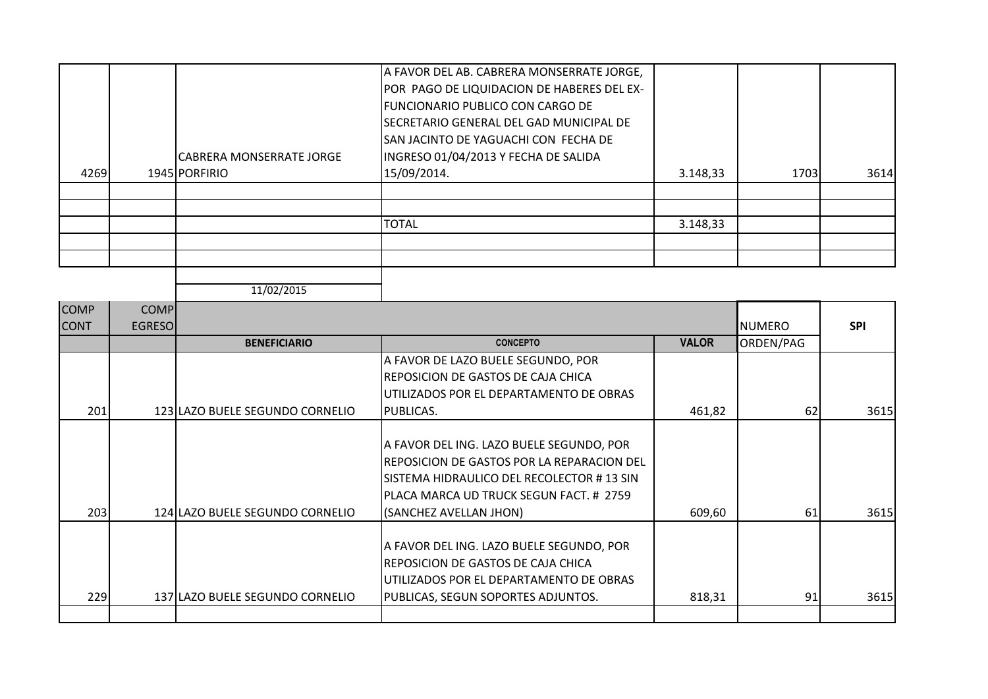|      |                                 | A FAVOR DEL AB. CABRERA MONSERRATE JORGE,<br>POR PAGO DE LIQUIDACION DE HABERES DEL EX- |          |      |      |
|------|---------------------------------|-----------------------------------------------------------------------------------------|----------|------|------|
|      |                                 | <b>FUNCIONARIO PUBLICO CON CARGO DE</b>                                                 |          |      |      |
|      |                                 | SECRETARIO GENERAL DEL GAD MUNICIPAL DE<br>SAN JACINTO DE YAGUACHI CON FECHA DE         |          |      |      |
|      | <b>CABRERA MONSERRATE JORGE</b> | INGRESO 01/04/2013 Y FECHA DE SALIDA                                                    |          |      |      |
| 4269 | 1945 PORFIRIO                   | 15/09/2014.                                                                             | 3.148,33 | 1703 | 3614 |
|      |                                 |                                                                                         |          |      |      |
|      |                                 |                                                                                         |          |      |      |
|      |                                 | <b>TOTAL</b>                                                                            | 3.148,33 |      |      |
|      |                                 |                                                                                         |          |      |      |
|      |                                 |                                                                                         |          |      |      |
|      |                                 |                                                                                         |          |      |      |

|                            |                              | 11/02/2015                      |                                                                                                                                                                                                           |              |                 |            |
|----------------------------|------------------------------|---------------------------------|-----------------------------------------------------------------------------------------------------------------------------------------------------------------------------------------------------------|--------------|-----------------|------------|
| <b>COMP</b><br><b>CONT</b> | <b>COMP</b><br><b>EGRESO</b> |                                 |                                                                                                                                                                                                           |              | <b>I</b> NUMERO | <b>SPI</b> |
|                            |                              | <b>BENEFICIARIO</b>             | <b>CONCEPTO</b>                                                                                                                                                                                           | <b>VALOR</b> | ORDEN/PAG       |            |
| 201                        |                              | 123 LAZO BUELE SEGUNDO CORNELIO | A FAVOR DE LAZO BUELE SEGUNDO, POR<br>REPOSICION DE GASTOS DE CAJA CHICA<br>UTILIZADOS POR EL DEPARTAMENTO DE OBRAS<br>IPUBLICAS.                                                                         | 461,82       | 62              | 3615       |
| 203                        |                              | 124 LAZO BUELE SEGUNDO CORNELIO | A FAVOR DEL ING. LAZO BUELE SEGUNDO, POR<br>REPOSICION DE GASTOS POR LA REPARACION DEL<br>SISTEMA HIDRAULICO DEL RECOLECTOR # 13 SIN<br>PLACA MARCA UD TRUCK SEGUN FACT. # 2759<br>(SANCHEZ AVELLAN JHON) | 609,60       | 61              | 3615       |
| 229                        |                              | 137 LAZO BUELE SEGUNDO CORNELIO | A FAVOR DEL ING. LAZO BUELE SEGUNDO, POR<br>REPOSICION DE GASTOS DE CAJA CHICA<br>UTILIZADOS POR EL DEPARTAMENTO DE OBRAS<br>PUBLICAS, SEGUN SOPORTES ADJUNTOS.                                           | 818,31       | 91              | 3615       |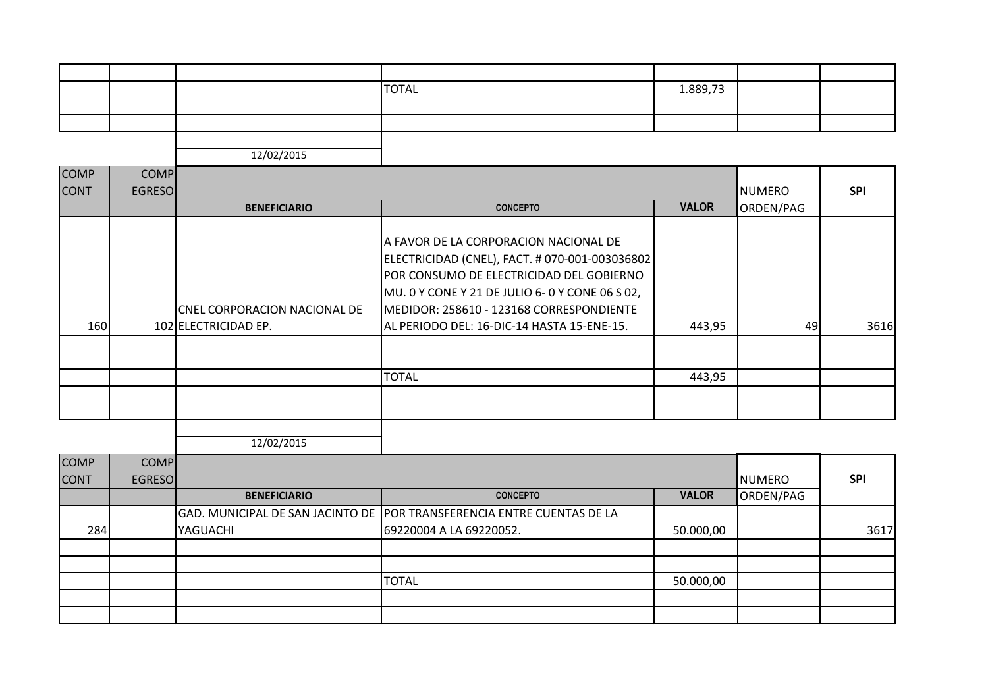|  | <b>TOTAL</b> | 1.889,73 |  |
|--|--------------|----------|--|
|  |              |          |  |
|  |              |          |  |
|  |              |          |  |

| <b>COMP</b> | <b>COMP</b>   |                                                      |                                                                                                                                                                                                                                                                                          |              |                 |            |
|-------------|---------------|------------------------------------------------------|------------------------------------------------------------------------------------------------------------------------------------------------------------------------------------------------------------------------------------------------------------------------------------------|--------------|-----------------|------------|
| <b>CONT</b> | <b>EGRESO</b> |                                                      |                                                                                                                                                                                                                                                                                          |              | <b>I</b> NUMERO | <b>SPI</b> |
|             |               | <b>BENEFICIARIO</b>                                  | <b>CONCEPTO</b>                                                                                                                                                                                                                                                                          | <b>VALOR</b> | ORDEN/PAG       |            |
| <b>160</b>  |               | CNEL CORPORACION NACIONAL DE<br>102 ELECTRICIDAD EP. | A FAVOR DE LA CORPORACION NACIONAL DE<br>ELECTRICIDAD (CNEL), FACT. # 070-001-003036802<br><b>JPOR CONSUMO DE ELECTRICIDAD DEL GOBIERNO</b><br>MU. 0 Y CONE Y 21 DE JULIO 6- 0 Y CONE 06 S 02,<br>MEDIDOR: 258610 - 123168 CORRESPONDIENTE<br>AL PERIODO DEL: 16-DIC-14 HASTA 15-ENE-15. | 443,95       | 49              | 3616       |
|             |               |                                                      |                                                                                                                                                                                                                                                                                          |              |                 |            |
|             |               |                                                      |                                                                                                                                                                                                                                                                                          |              |                 |            |
|             |               |                                                      | <b>TOTAL</b>                                                                                                                                                                                                                                                                             | 443,95       |                 |            |
|             |               |                                                      |                                                                                                                                                                                                                                                                                          |              |                 |            |
|             |               |                                                      |                                                                                                                                                                                                                                                                                          |              |                 |            |
|             |               |                                                      |                                                                                                                                                                                                                                                                                          |              |                 |            |

| <b>COMP</b><br><b>CONT</b> | <b>COMP</b><br><b>EGRESO</b> |                     |                                                                        |              | <b>NUMERO</b> | <b>SPI</b> |
|----------------------------|------------------------------|---------------------|------------------------------------------------------------------------|--------------|---------------|------------|
|                            |                              | <b>BENEFICIARIO</b> | <b>CONCEPTO</b>                                                        | <b>VALOR</b> | ORDEN/PAG     |            |
|                            |                              |                     | GAD. MUNICIPAL DE SAN JACINTO DE POR TRANSFERENCIA ENTRE CUENTAS DE LA |              |               |            |
| 284                        |                              | YAGUACHI            | 69220004 A LA 69220052.                                                | 50.000,00    |               | 3617       |
|                            |                              |                     |                                                                        |              |               |            |
|                            |                              |                     |                                                                        |              |               |            |
|                            |                              |                     | <b>TOTAL</b>                                                           | 50.000,00    |               |            |
|                            |                              |                     |                                                                        |              |               |            |
|                            |                              |                     |                                                                        |              |               |            |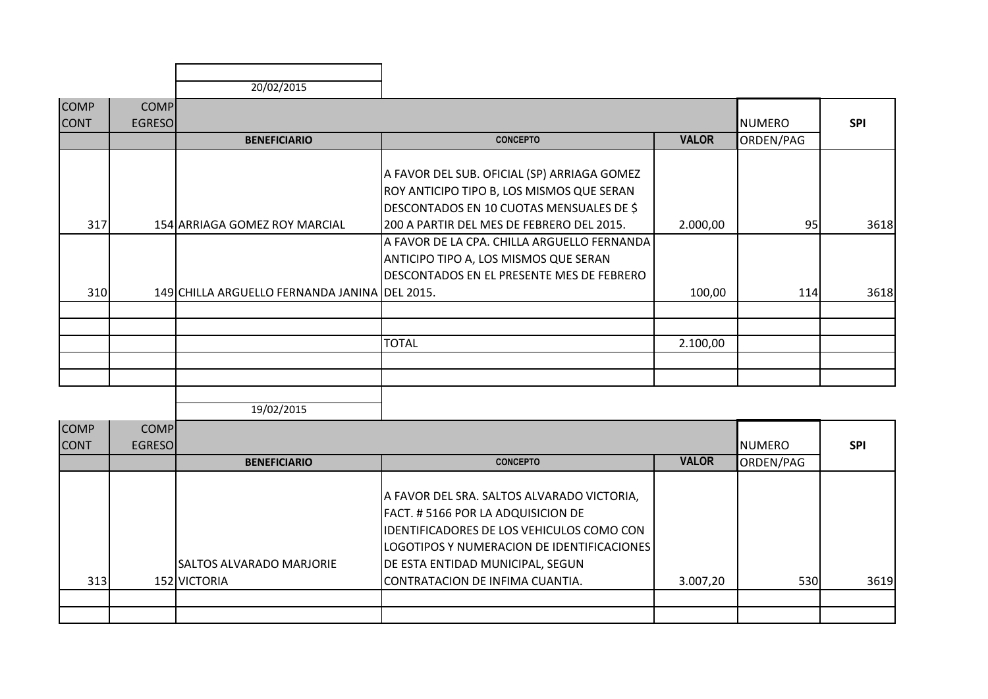| 20/02/2015 |
|------------|

| <b>COMP</b> | <b>COMP</b>   |                                               |                                             |              |               |            |
|-------------|---------------|-----------------------------------------------|---------------------------------------------|--------------|---------------|------------|
| <b>CONT</b> | <b>EGRESO</b> |                                               |                                             |              | <b>NUMERO</b> | <b>SPI</b> |
|             |               | <b>BENEFICIARIO</b>                           | <b>CONCEPTO</b>                             | <b>VALOR</b> | ORDEN/PAG     |            |
|             |               |                                               |                                             |              |               |            |
|             |               |                                               | A FAVOR DEL SUB. OFICIAL (SP) ARRIAGA GOMEZ |              |               |            |
|             |               |                                               | ROY ANTICIPO TIPO B, LOS MISMOS QUE SERAN   |              |               |            |
|             |               |                                               | DESCONTADOS EN 10 CUOTAS MENSUALES DE \$    |              |               |            |
| 317         |               | 154 ARRIAGA GOMEZ ROY MARCIAL                 | 200 A PARTIR DEL MES DE FEBRERO DEL 2015.   | 2.000,00     | 95            | 3618       |
|             |               |                                               | A FAVOR DE LA CPA. CHILLA ARGUELLO FERNANDA |              |               |            |
|             |               |                                               | ANTICIPO TIPO A, LOS MISMOS QUE SERAN       |              |               |            |
|             |               |                                               | DESCONTADOS EN EL PRESENTE MES DE FEBRERO   |              |               |            |
| 310         |               | 149 CHILLA ARGUELLO FERNANDA JANINA DEL 2015. |                                             | 100,00       | 114           | 3618       |
|             |               |                                               |                                             |              |               |            |
|             |               |                                               |                                             |              |               |            |
|             |               |                                               | <b>TOTAL</b>                                | 2.100,00     |               |            |
|             |               |                                               |                                             |              |               |            |
|             |               |                                               |                                             |              |               |            |
|             |               |                                               |                                             |              |               |            |

| <b>COMP</b><br><b>CONT</b> | <b>COMP</b><br><b>EGRESO</b> | <b>BENEFICIARIO</b>                       | <b>CONCEPTO</b>                                                                                                                                                                                                                                           | <b>VALOR</b> | <b>NUMERO</b><br>ORDEN/PAG | <b>SPI</b> |
|----------------------------|------------------------------|-------------------------------------------|-----------------------------------------------------------------------------------------------------------------------------------------------------------------------------------------------------------------------------------------------------------|--------------|----------------------------|------------|
| 313                        |                              | ISALTOS ALVARADO MARJORIE<br>152 VICTORIA | A FAVOR DEL SRA. SALTOS ALVARADO VICTORIA,<br>FACT. #5166 POR LA ADQUISICION DE<br>IDENTIFICADORES DE LOS VEHICULOS COMO CON<br>LOGOTIPOS Y NUMERACION DE IDENTIFICACIONES<br><b>JDE ESTA ENTIDAD MUNICIPAL, SEGUN</b><br>CONTRATACION DE INFIMA CUANTIA. | 3.007,20     | 530                        | 3619       |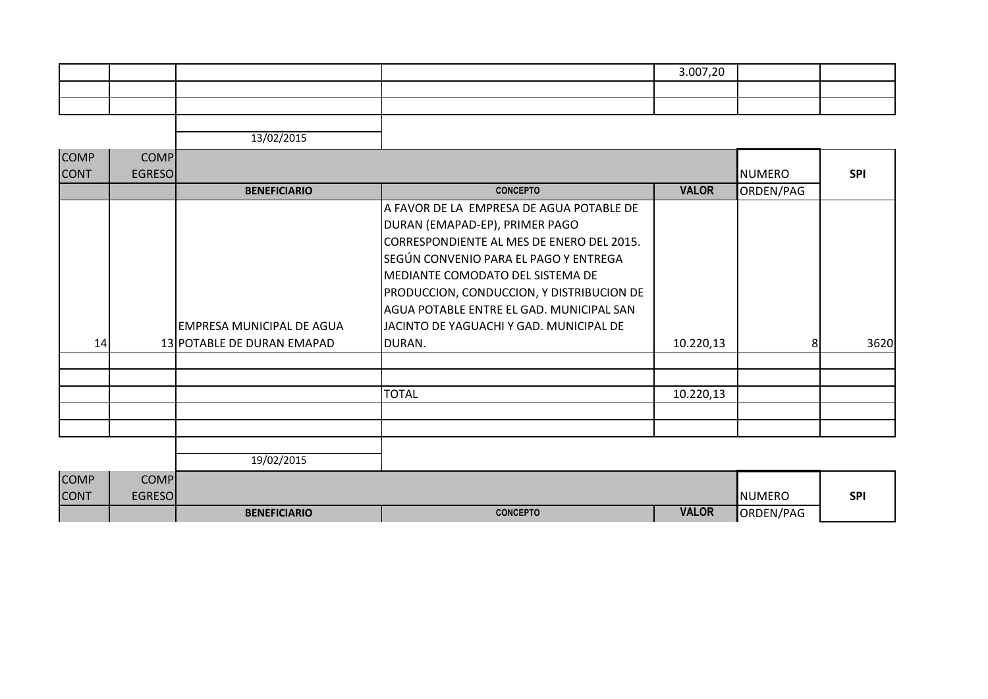|  |  | 3.007,20 |  |
|--|--|----------|--|
|  |  |          |  |
|  |  |          |  |
|  |  |          |  |

| <b>COMP</b><br><b>CONT</b> | <b>COMP</b><br><b>EGRESO</b> |                                  |                                                                                                                                                                                                                                                                                                                                          |              | <b>NUMERO</b> | <b>SPI</b> |
|----------------------------|------------------------------|----------------------------------|------------------------------------------------------------------------------------------------------------------------------------------------------------------------------------------------------------------------------------------------------------------------------------------------------------------------------------------|--------------|---------------|------------|
|                            |                              | <b>BENEFICIARIO</b>              | <b>CONCEPTO</b>                                                                                                                                                                                                                                                                                                                          | <b>VALOR</b> | ORDEN/PAG     |            |
|                            |                              | <b>EMPRESA MUNICIPAL DE AGUA</b> | A FAVOR DE LA EMPRESA DE AGUA POTABLE DE<br>DURAN (EMAPAD-EP), PRIMER PAGO<br>CORRESPONDIENTE AL MES DE ENERO DEL 2015.<br>SEGÚN CONVENIO PARA EL PAGO Y ENTREGA<br>MEDIANTE COMODATO DEL SISTEMA DE<br>PRODUCCION, CONDUCCION, Y DISTRIBUCION DE<br>AGUA POTABLE ENTRE EL GAD. MUNICIPAL SAN<br>JACINTO DE YAGUACHI Y GAD. MUNICIPAL DE |              |               |            |
| 14                         |                              | 13 POTABLE DE DURAN EMAPAD       | DURAN.                                                                                                                                                                                                                                                                                                                                   | 10.220,13    | 81            | 3620       |
|                            |                              |                                  |                                                                                                                                                                                                                                                                                                                                          |              |               |            |
|                            |                              |                                  | <b>TOTAL</b>                                                                                                                                                                                                                                                                                                                             | 10.220,13    |               |            |
|                            |                              |                                  |                                                                                                                                                                                                                                                                                                                                          |              |               |            |
|                            |                              | 19/02/2015                       |                                                                                                                                                                                                                                                                                                                                          |              |               |            |
| <b>COMP</b>                | <b>COMP</b>                  |                                  |                                                                                                                                                                                                                                                                                                                                          |              |               |            |

|                |                | <b>BENEFICIARIO</b> | <b>CONCEPTO</b> | <b>VALOR</b> | ORDEN/PAG      |     |
|----------------|----------------|---------------------|-----------------|--------------|----------------|-----|
| <b>CONT</b>    | EGRESOI        |                     |                 |              | <b>INUMERO</b> | SPI |
| <b>ILUIVIP</b> | <b>JUIVIFI</b> |                     |                 |              |                |     |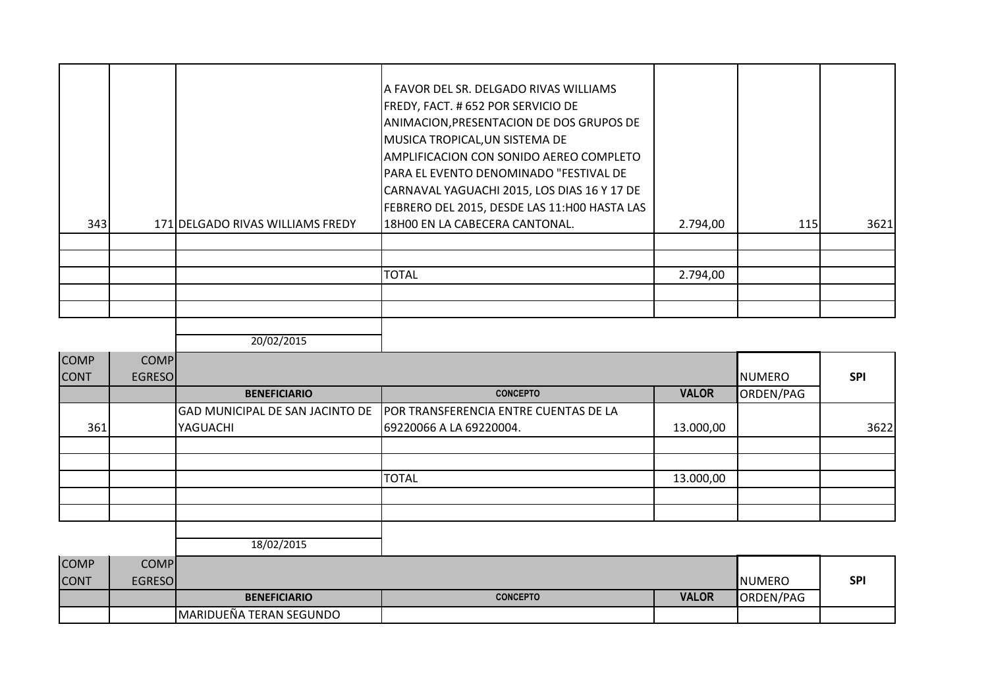|     |                                  | IA FAVOR DEL SR. DELGADO RIVAS WILLIAMS<br>FREDY, FACT. #652 POR SERVICIO DE<br>ANIMACION, PRESENTACION DE DOS GRUPOS DE<br>MUSICA TROPICAL, UN SISTEMA DE<br><b>AMPLIFICACION CON SONIDO AEREO COMPLETO</b><br> PARA EL EVENTO DENOMINADO "FESTIVAL DE<br>CARNAVAL YAGUACHI 2015, LOS DIAS 16 Y 17 DE<br>FEBRERO DEL 2015, DESDE LAS 11:H00 HASTA LAS |          |     |      |
|-----|----------------------------------|--------------------------------------------------------------------------------------------------------------------------------------------------------------------------------------------------------------------------------------------------------------------------------------------------------------------------------------------------------|----------|-----|------|
| 343 | 171 DELGADO RIVAS WILLIAMS FREDY | 18H00 EN LA CABECERA CANTONAL.                                                                                                                                                                                                                                                                                                                         | 2.794,00 | 115 | 3621 |
|     |                                  |                                                                                                                                                                                                                                                                                                                                                        |          |     |      |
|     |                                  |                                                                                                                                                                                                                                                                                                                                                        |          |     |      |
|     |                                  | <b>TOTAL</b>                                                                                                                                                                                                                                                                                                                                           | 2.794,00 |     |      |
|     |                                  |                                                                                                                                                                                                                                                                                                                                                        |          |     |      |
|     |                                  |                                                                                                                                                                                                                                                                                                                                                        |          |     |      |
|     |                                  |                                                                                                                                                                                                                                                                                                                                                        |          |     |      |

| <b>COMP</b> | <b>COMP</b>   |                     |                                                                       |              |           |            |
|-------------|---------------|---------------------|-----------------------------------------------------------------------|--------------|-----------|------------|
| <b>CONT</b> | <b>EGRESO</b> |                     |                                                                       |              | NUMERO    | <b>SPI</b> |
|             |               | <b>BENEFICIARIO</b> | <b>CONCEPTO</b>                                                       | <b>VALOR</b> | ORDEN/PAG |            |
|             |               |                     | GAD MUNICIPAL DE SAN JACINTO DE POR TRANSFERENCIA ENTRE CUENTAS DE LA |              |           |            |
| 361         |               | YAGUACHI            | 69220066 A LA 69220004.                                               | 13.000,00    |           | 3622       |
|             |               |                     |                                                                       |              |           |            |
|             |               |                     |                                                                       |              |           |            |
|             |               |                     | <b>TOTAL</b>                                                          | 13.000,00    |           |            |
|             |               |                     |                                                                       |              |           |            |
|             |               |                     |                                                                       |              |           |            |
|             |               |                     |                                                                       |              |           |            |

| <b>COMP</b> | <b>COMPI</b> |                                 |                 |              |                |            |
|-------------|--------------|---------------------------------|-----------------|--------------|----------------|------------|
| <b>CONT</b> | EGRESOL      |                                 |                 |              | <b>INUMERO</b> | <b>SPI</b> |
|             |              | <b>BENEFICIARIO</b>             | <b>CONCEPTO</b> | <b>VALOR</b> | ORDEN/PAG      |            |
|             |              | <b>IMARIDUEÑA TERAN SEGUNDO</b> |                 |              |                |            |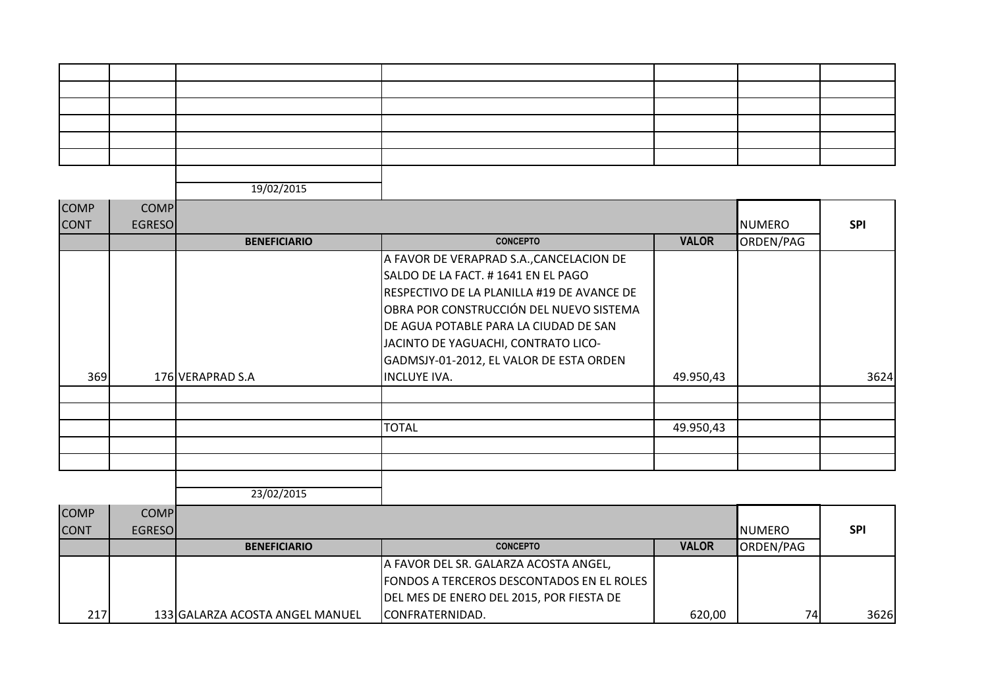| <b>COMP</b><br><b>CONT</b> | <b>COMP</b><br><b>EGRESO</b> |                     |                                                                                                                                                                                                                                                                                                                           |              | <b>NUMERO</b> | <b>SPI</b> |
|----------------------------|------------------------------|---------------------|---------------------------------------------------------------------------------------------------------------------------------------------------------------------------------------------------------------------------------------------------------------------------------------------------------------------------|--------------|---------------|------------|
|                            |                              | <b>BENEFICIARIO</b> | <b>CONCEPTO</b>                                                                                                                                                                                                                                                                                                           | <b>VALOR</b> | ORDEN/PAG     |            |
| 369                        |                              | 176 VERAPRAD S.A    | A FAVOR DE VERAPRAD S.A., CANCELACION DE<br>SALDO DE LA FACT. #1641 EN EL PAGO<br>RESPECTIVO DE LA PLANILLA #19 DE AVANCE DE<br>OBRA POR CONSTRUCCIÓN DEL NUEVO SISTEMA<br>DE AGUA POTABLE PARA LA CIUDAD DE SAN<br>JACINTO DE YAGUACHI, CONTRATO LICO-<br>GADMSJY-01-2012, EL VALOR DE ESTA ORDEN<br><b>INCLUYE IVA.</b> | 49.950,43    |               | 3624       |
|                            |                              |                     | <b>TOTAL</b>                                                                                                                                                                                                                                                                                                              | 49.950,43    |               |            |
|                            |                              | 23/02/2015          |                                                                                                                                                                                                                                                                                                                           |              |               |            |

| <b>COMP</b>  | <b>COMPI</b>   |                                 |                                                  |              |                 |            |
|--------------|----------------|---------------------------------|--------------------------------------------------|--------------|-----------------|------------|
| <b>ICONT</b> | <b>EGRESOI</b> |                                 |                                                  |              | <b>I</b> NUMERO | <b>SPI</b> |
|              |                | <b>BENEFICIARIO</b>             | <b>CONCEPTO</b>                                  | <b>VALOR</b> | ORDEN/PAG       |            |
|              |                |                                 | A FAVOR DEL SR. GALARZA ACOSTA ANGEL,            |              |                 |            |
|              |                |                                 | <b>FONDOS A TERCEROS DESCONTADOS EN EL ROLES</b> |              |                 |            |
|              |                |                                 | DEL MES DE ENERO DEL 2015, POR FIESTA DE         |              |                 |            |
| 217          |                | 133 GALARZA ACOSTA ANGEL MANUEL | ICONFRATERNIDAD.                                 | 620,00       | 74              | 3626       |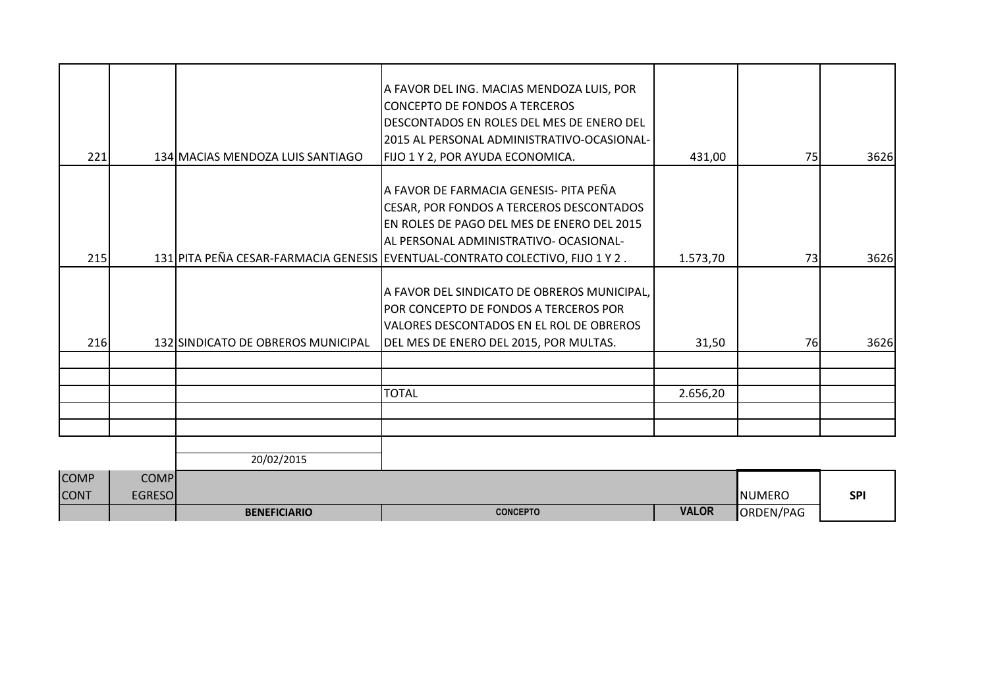|                            |                              | <b>BENEFICIARIO</b>                | <b>CONCEPTO</b>                                                                                                                                                                                                                                                                                 | <b>VALOR</b>       | ORDEN/PAG     |              |
|----------------------------|------------------------------|------------------------------------|-------------------------------------------------------------------------------------------------------------------------------------------------------------------------------------------------------------------------------------------------------------------------------------------------|--------------------|---------------|--------------|
| <b>COMP</b><br><b>CONT</b> | <b>COMP</b><br><b>EGRESO</b> |                                    |                                                                                                                                                                                                                                                                                                 |                    | <b>NUMERO</b> | <b>SPI</b>   |
|                            |                              | 20/02/2015                         |                                                                                                                                                                                                                                                                                                 |                    |               |              |
|                            |                              |                                    |                                                                                                                                                                                                                                                                                                 |                    |               |              |
|                            |                              |                                    | <b>TOTAL</b>                                                                                                                                                                                                                                                                                    | 2.656,20           |               |              |
|                            |                              |                                    |                                                                                                                                                                                                                                                                                                 |                    |               |              |
|                            |                              |                                    |                                                                                                                                                                                                                                                                                                 |                    |               |              |
| 216                        |                              | 132 SINDICATO DE OBREROS MUNICIPAL | A FAVOR DEL SINDICATO DE OBREROS MUNICIPAL,<br>POR CONCEPTO DE FONDOS A TERCEROS POR<br>VALORES DESCONTADOS EN EL ROL DE OBREROS<br>DEL MES DE ENERO DEL 2015, POR MULTAS.                                                                                                                      | 31,50              | <b>76</b>     | 3626         |
|                            |                              |                                    |                                                                                                                                                                                                                                                                                                 |                    |               |              |
| 221<br>215                 |                              | 134 MACIAS MENDOZA LUIS SANTIAGO   | FIJO 1 Y 2, POR AYUDA ECONOMICA.<br>A FAVOR DE FARMACIA GENESIS- PITA PEÑA<br>CESAR, POR FONDOS A TERCEROS DESCONTADOS<br>EN ROLES DE PAGO DEL MES DE ENERO DEL 2015<br>AL PERSONAL ADMINISTRATIVO- OCASIONAL-<br>131 PITA PEÑA CESAR-FARMACIA GENESIS EVENTUAL-CONTRATO COLECTIVO, FIJO 1 Y 2. | 431,00<br>1.573,70 | 75<br>73      | 3626<br>3626 |
|                            |                              |                                    | A FAVOR DEL ING. MACIAS MENDOZA LUIS, POR<br><b>ICONCEPTO DE FONDOS A TERCEROS</b><br>DESCONTADOS EN ROLES DEL MES DE ENERO DEL<br>2015 AL PERSONAL ADMINISTRATIVO-OCASIONAL-                                                                                                                   |                    |               |              |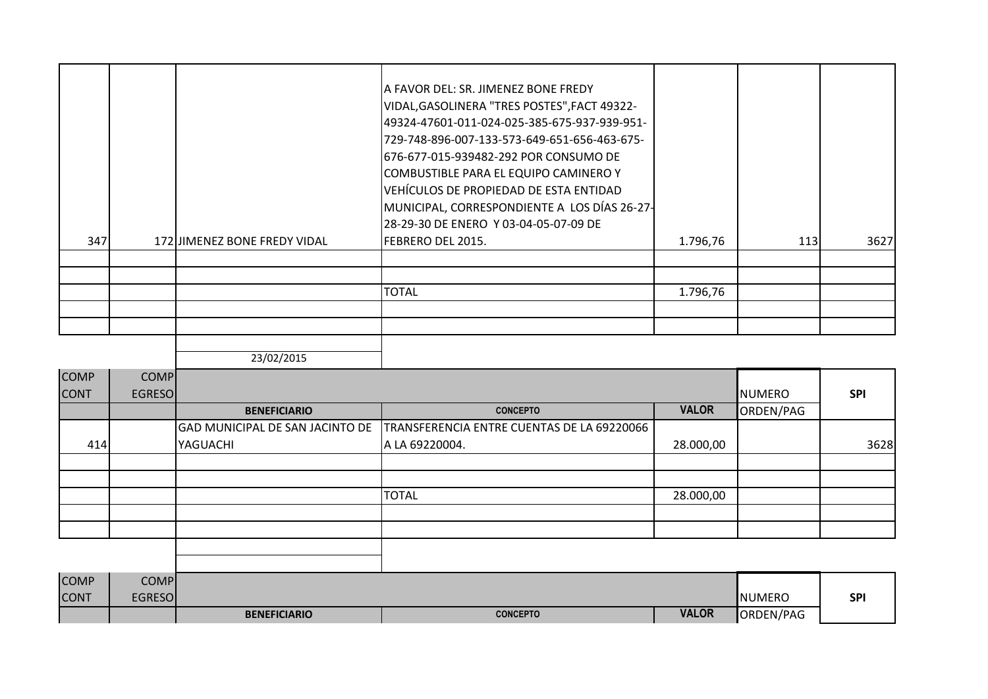|     |                              | A FAVOR DEL: SR. JIMENEZ BONE FREDY<br>VIDAL, GASOLINERA "TRES POSTES", FACT 49322-<br> 49324-47601-011-024-025-385-675-937-939-951-<br>729-748-896-007-133-573-649-651-656-463-675-<br>676-677-015-939482-292 POR CONSUMO DE<br> COMBUSTIBLE PARA EL EQUIPO CAMINERO Y<br>VEHÍCULOS DE PROPIEDAD DE ESTA ENTIDAD<br>MUNICIPAL, CORRESPONDIENTE A LOS DÍAS 26-27-<br>28-29-30 DE ENERO Y 03-04-05-07-09 DE |          |     |      |
|-----|------------------------------|------------------------------------------------------------------------------------------------------------------------------------------------------------------------------------------------------------------------------------------------------------------------------------------------------------------------------------------------------------------------------------------------------------|----------|-----|------|
| 347 | 172 JIMENEZ BONE FREDY VIDAL | FEBRERO DEL 2015.                                                                                                                                                                                                                                                                                                                                                                                          | 1.796,76 | 113 | 3627 |
|     |                              |                                                                                                                                                                                                                                                                                                                                                                                                            |          |     |      |
|     |                              |                                                                                                                                                                                                                                                                                                                                                                                                            |          |     |      |
|     |                              | <b>TOTAL</b>                                                                                                                                                                                                                                                                                                                                                                                               | 1.796,76 |     |      |
|     |                              |                                                                                                                                                                                                                                                                                                                                                                                                            |          |     |      |
|     |                              |                                                                                                                                                                                                                                                                                                                                                                                                            |          |     |      |

| <b>COMP</b> | <b>COMP</b>   |                                 |                                            |              |                            |            |
|-------------|---------------|---------------------------------|--------------------------------------------|--------------|----------------------------|------------|
| <b>CONT</b> | <b>EGRESO</b> | <b>BENEFICIARIO</b>             | <b>CONCEPTO</b>                            | <b>VALOR</b> | <b>NUMERO</b><br>ORDEN/PAG | <b>SPI</b> |
|             |               | GAD MUNICIPAL DE SAN JACINTO DE | TRANSFERENCIA ENTRE CUENTAS DE LA 69220066 |              |                            |            |
| 414         |               | YAGUACHI                        | A LA 69220004.                             | 28.000,00    |                            | 3628       |
|             |               |                                 |                                            |              |                            |            |
|             |               |                                 |                                            |              |                            |            |
|             |               |                                 | <b>TOTAL</b>                               | 28.000,00    |                            |            |
|             |               |                                 |                                            |              |                            |            |
|             |               |                                 |                                            |              |                            |            |
|             |               |                                 |                                            |              |                            |            |
|             |               |                                 |                                            |              |                            |            |

| <b>COMP</b> | <b>COMP</b> |                     |                 |              |               |            |
|-------------|-------------|---------------------|-----------------|--------------|---------------|------------|
| <b>CONT</b> | EGRESO      |                     |                 |              | <b>NUMERO</b> | <b>SPI</b> |
|             |             | <b>BENEFICIARIO</b> | <b>CONCEPTO</b> | <b>VALOR</b> | JRDEN/PAG     |            |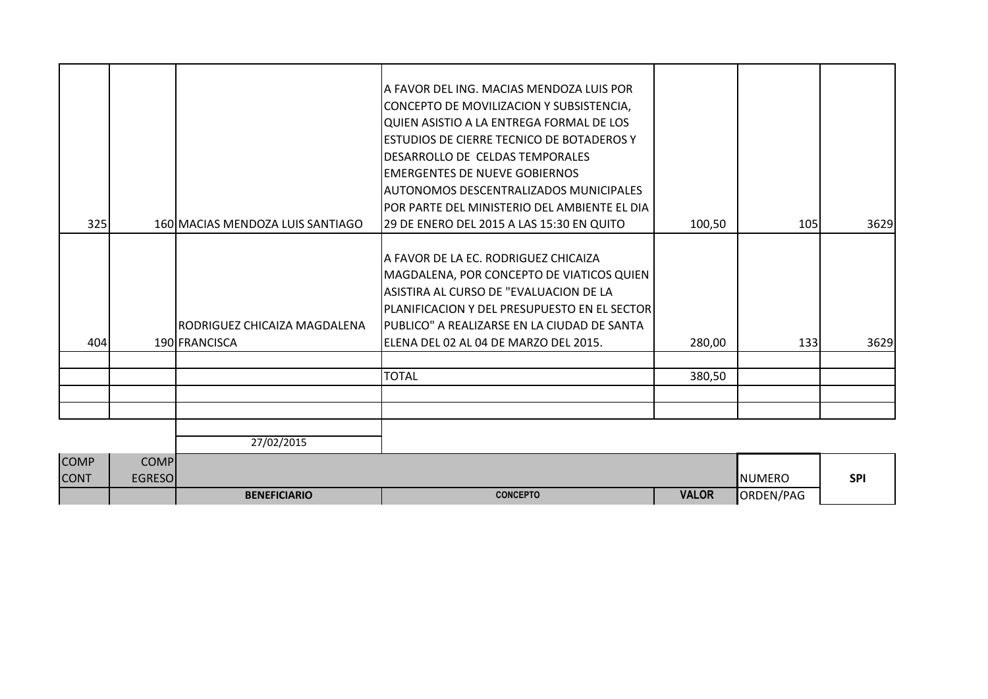| 27/02/2015                   | <b>TOTAL</b>                                                                                                                                                                                                                                                                                                                                                                                                                                                                           | 380,50                                    |     |              |
|------------------------------|----------------------------------------------------------------------------------------------------------------------------------------------------------------------------------------------------------------------------------------------------------------------------------------------------------------------------------------------------------------------------------------------------------------------------------------------------------------------------------------|-------------------------------------------|-----|--------------|
|                              |                                                                                                                                                                                                                                                                                                                                                                                                                                                                                        |                                           |     |              |
|                              |                                                                                                                                                                                                                                                                                                                                                                                                                                                                                        |                                           |     |              |
|                              |                                                                                                                                                                                                                                                                                                                                                                                                                                                                                        |                                           |     |              |
|                              |                                                                                                                                                                                                                                                                                                                                                                                                                                                                                        |                                           |     |              |
|                              |                                                                                                                                                                                                                                                                                                                                                                                                                                                                                        |                                           |     |              |
| RODRIGUEZ CHICAIZA MAGDALENA | DESARROLLO DE CELDAS TEMPORALES<br><b>EMERGENTES DE NUEVE GOBIERNOS</b><br>AUTONOMOS DESCENTRALIZADOS MUNICIPALES<br>IPOR PARTE DEL MINISTERIO DEL AMBIENTE EL DIA<br>29 DE ENERO DEL 2015 A LAS 15:30 EN QUITO<br>A FAVOR DE LA EC. RODRIGUEZ CHICAIZA<br>MAGDALENA, POR CONCEPTO DE VIATICOS QUIEN<br>ASISTIRA AL CURSO DE "EVALUACION DE LA<br>PLANIFICACION Y DEL PRESUPUESTO EN EL SECTOR<br>PUBLICO" A REALIZARSE EN LA CIUDAD DE SANTA<br>ELENA DEL 02 AL 04 DE MARZO DEL 2015. | 100,50<br>280,00                          | 105 | 3629<br>3629 |
|                              | A FAVOR DEL ING. MACIAS MENDOZA LUIS POR<br>CONCEPTO DE MOVILIZACION Y SUBSISTENCIA,<br>QUIEN ASISTIO A LA ENTREGA FORMAL DE LOS                                                                                                                                                                                                                                                                                                                                                       |                                           |     |              |
|                              | 160 MACIAS MENDOZA LUIS SANTIAGO<br>190 FRANCISCA                                                                                                                                                                                                                                                                                                                                                                                                                                      | ESTUDIOS DE CIERRE TECNICO DE BOTADEROS Y |     | 133          |

|              |         | <b>BENEFICIARIO</b> | <b>CONCEPTO</b> | <b>VALOR</b> | ORDEN/PAG     |            |
|--------------|---------|---------------------|-----------------|--------------|---------------|------------|
| <b>CONT</b>  | EGRESOI |                     |                 |              | <b>NUMERO</b> | <b>SPI</b> |
| <b>ICOMP</b> | COMPI   |                     |                 |              |               |            |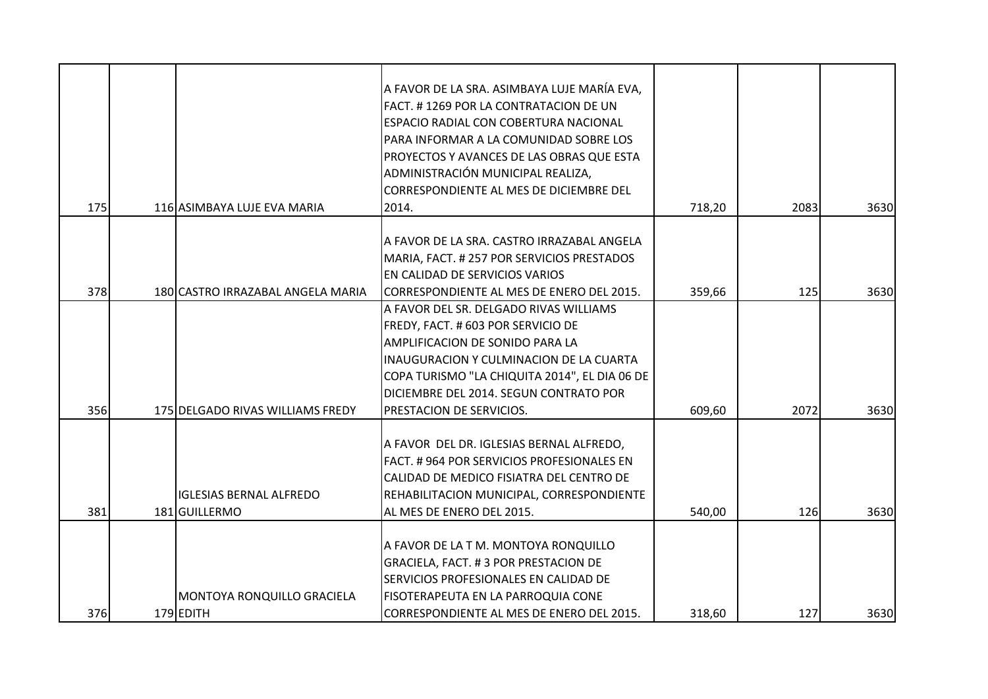|     |                                                 | A FAVOR DE LA SRA. ASIMBAYA LUJE MARÍA EVA,<br>FACT. #1269 POR LA CONTRATACION DE UN<br>ESPACIO RADIAL CON COBERTURA NACIONAL<br>PARA INFORMAR A LA COMUNIDAD SOBRE LOS<br>PROYECTOS Y AVANCES DE LAS OBRAS QUE ESTA                                  |        |      |      |
|-----|-------------------------------------------------|-------------------------------------------------------------------------------------------------------------------------------------------------------------------------------------------------------------------------------------------------------|--------|------|------|
|     |                                                 | ADMINISTRACIÓN MUNICIPAL REALIZA,                                                                                                                                                                                                                     |        |      |      |
|     |                                                 | CORRESPONDIENTE AL MES DE DICIEMBRE DEL                                                                                                                                                                                                               |        |      |      |
| 175 | 116 ASIMBAYA LUJE EVA MARIA                     | 2014.                                                                                                                                                                                                                                                 | 718,20 | 2083 | 3630 |
|     |                                                 | A FAVOR DE LA SRA. CASTRO IRRAZABAL ANGELA<br>MARIA, FACT. # 257 POR SERVICIOS PRESTADOS<br>EN CALIDAD DE SERVICIOS VARIOS                                                                                                                            |        |      |      |
| 378 | 180 CASTRO IRRAZABAL ANGELA MARIA               | CORRESPONDIENTE AL MES DE ENERO DEL 2015.                                                                                                                                                                                                             | 359,66 | 125  | 3630 |
|     |                                                 | A FAVOR DEL SR. DELGADO RIVAS WILLIAMS<br>FREDY, FACT. # 603 POR SERVICIO DE<br>AMPLIFICACION DE SONIDO PARA LA<br>INAUGURACION Y CULMINACION DE LA CUARTA<br>COPA TURISMO "LA CHIQUITA 2014", EL DIA 06 DE<br>DICIEMBRE DEL 2014. SEGUN CONTRATO POR |        |      |      |
| 356 | 175 DELGADO RIVAS WILLIAMS FREDY                | PRESTACION DE SERVICIOS.                                                                                                                                                                                                                              | 609,60 | 2072 | 3630 |
| 381 | <b>IGLESIAS BERNAL ALFREDO</b><br>181 GUILLERMO | A FAVOR DEL DR. IGLESIAS BERNAL ALFREDO,<br>FACT. #964 POR SERVICIOS PROFESIONALES EN<br>CALIDAD DE MEDICO FISIATRA DEL CENTRO DE<br>REHABILITACION MUNICIPAL, CORRESPONDIENTE<br>AL MES DE ENERO DEL 2015.                                           | 540,00 | 126  | 3630 |
|     |                                                 |                                                                                                                                                                                                                                                       |        |      |      |
|     |                                                 | A FAVOR DE LA T M. MONTOYA RONQUILLO                                                                                                                                                                                                                  |        |      |      |
|     |                                                 | GRACIELA, FACT. #3 POR PRESTACION DE                                                                                                                                                                                                                  |        |      |      |
|     | <b>MONTOYA RONQUILLO GRACIELA</b>               | SERVICIOS PROFESIONALES EN CALIDAD DE<br>FISOTERAPEUTA EN LA PARROQUIA CONE                                                                                                                                                                           |        |      |      |
| 376 | 179 EDITH                                       | CORRESPONDIENTE AL MES DE ENERO DEL 2015.                                                                                                                                                                                                             | 318,60 | 127  | 3630 |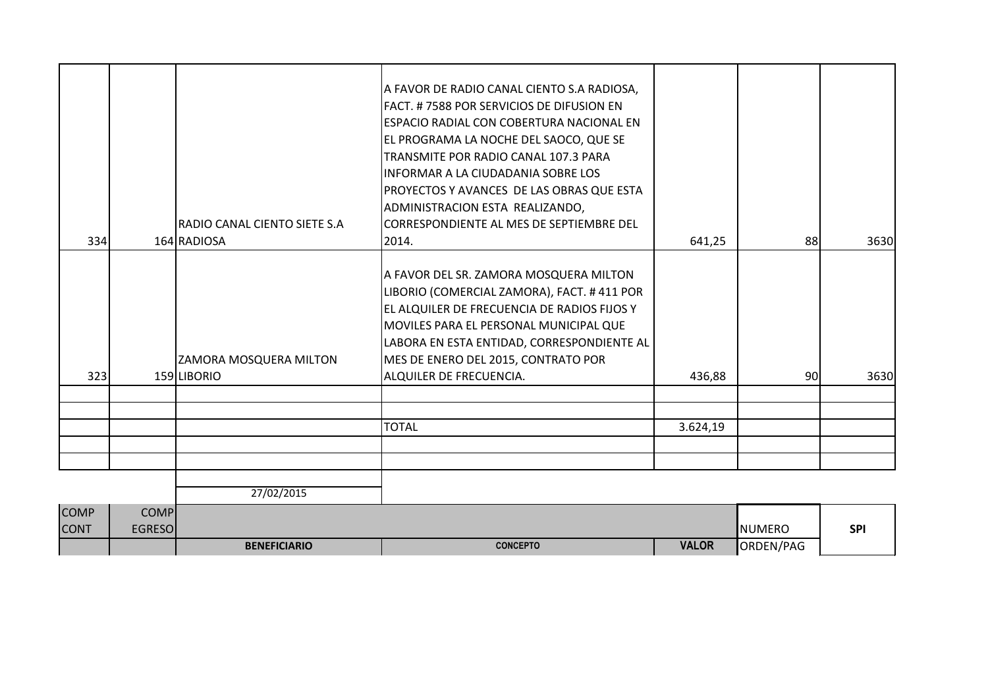|             |               |                              | A FAVOR DE RADIO CANAL CIENTO S.A RADIOSA,<br>FACT. #7588 POR SERVICIOS DE DIFUSION EN    |              |               |            |
|-------------|---------------|------------------------------|-------------------------------------------------------------------------------------------|--------------|---------------|------------|
|             |               |                              | <b>ESPACIO RADIAL CON COBERTURA NACIONAL EN</b>                                           |              |               |            |
|             |               |                              | EL PROGRAMA LA NOCHE DEL SAOCO, QUE SE<br>TRANSMITE POR RADIO CANAL 107.3 PARA            |              |               |            |
|             |               |                              | INFORMAR A LA CIUDADANIA SOBRE LOS                                                        |              |               |            |
|             |               |                              | PROYECTOS Y AVANCES DE LAS OBRAS QUE ESTA                                                 |              |               |            |
|             |               |                              | ADMINISTRACION ESTA REALIZANDO,                                                           |              |               |            |
|             |               | RADIO CANAL CIENTO SIETE S.A | <b>ICORRESPONDIENTE AL MES DE SEPTIEMBRE DEL</b>                                          |              |               |            |
| 334         |               | 164 RADIOSA                  | 2014.                                                                                     | 641,25       | 88            | 3630       |
|             |               |                              |                                                                                           |              |               |            |
|             |               |                              | A FAVOR DEL SR. ZAMORA MOSQUERA MILTON                                                    |              |               |            |
|             |               |                              | LIBORIO (COMERCIAL ZAMORA), FACT. #411 POR<br>EL ALQUILER DE FRECUENCIA DE RADIOS FIJOS Y |              |               |            |
|             |               |                              | MOVILES PARA EL PERSONAL MUNICIPAL QUE                                                    |              |               |            |
|             |               |                              | LABORA EN ESTA ENTIDAD, CORRESPONDIENTE AL                                                |              |               |            |
|             |               | ZAMORA MOSQUERA MILTON       | MES DE ENERO DEL 2015, CONTRATO POR                                                       |              |               |            |
| 323         |               | 159 LIBORIO                  | ALQUILER DE FRECUENCIA.                                                                   | 436,88       | 90            | 3630       |
|             |               |                              |                                                                                           |              |               |            |
|             |               |                              |                                                                                           |              |               |            |
|             |               |                              | <b>TOTAL</b>                                                                              | 3.624,19     |               |            |
|             |               |                              |                                                                                           |              |               |            |
|             |               |                              |                                                                                           |              |               |            |
|             |               | 27/02/2015                   |                                                                                           |              |               |            |
| <b>COMP</b> | <b>COMP</b>   |                              |                                                                                           |              |               |            |
| <b>CONT</b> | <b>EGRESO</b> |                              |                                                                                           |              | <b>NUMERO</b> | <b>SPI</b> |
|             |               | <b>BENEFICIARIO</b>          | <b>CONCEPTO</b>                                                                           | <b>VALOR</b> | ORDEN/PAG     |            |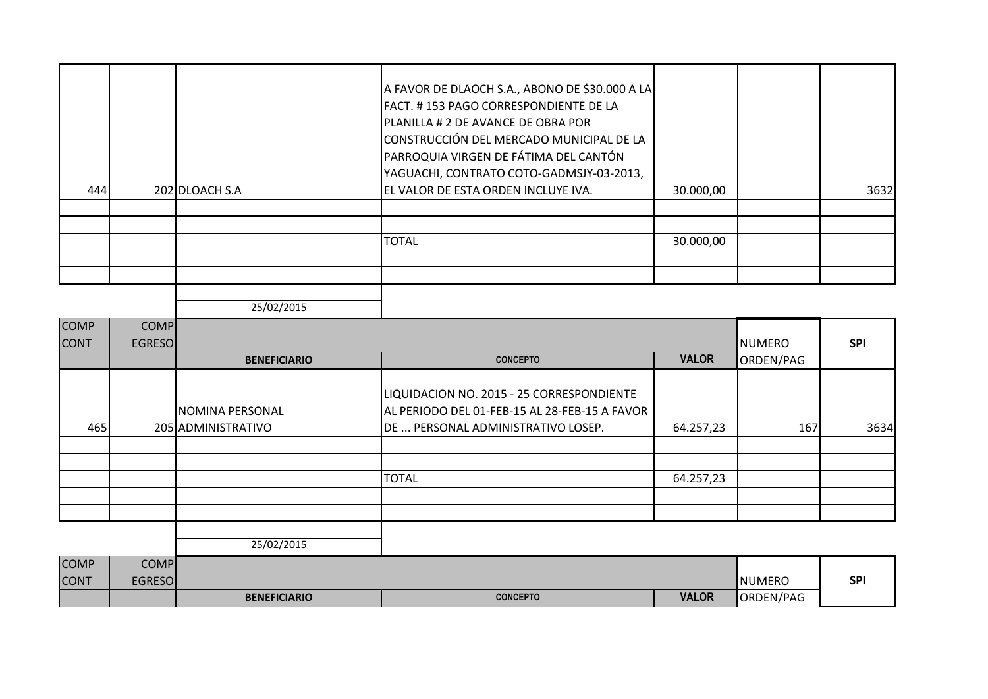| 444 | 202 DLOACH S.A | A FAVOR DE DLAOCH S.A., ABONO DE \$30.000 A LA<br>FACT. #153 PAGO CORRESPONDIENTE DE LA<br><b>PLANILLA # 2 DE AVANCE DE OBRA POR</b><br>CONSTRUCCIÓN DEL MERCADO MUNICIPAL DE LA<br>PARROQUIA VIRGEN DE FÁTIMA DEL CANTÓN<br>YAGUACHI, CONTRATO COTO-GADMSJY-03-2013,<br>EL VALOR DE ESTA ORDEN INCLUYE IVA. | 30.000,00 | 3632 |
|-----|----------------|--------------------------------------------------------------------------------------------------------------------------------------------------------------------------------------------------------------------------------------------------------------------------------------------------------------|-----------|------|
|     |                |                                                                                                                                                                                                                                                                                                              |           |      |
|     |                |                                                                                                                                                                                                                                                                                                              |           |      |
|     |                | <b>TOTAL</b>                                                                                                                                                                                                                                                                                                 | 30.000,00 |      |
|     |                |                                                                                                                                                                                                                                                                                                              |           |      |
|     |                |                                                                                                                                                                                                                                                                                                              |           |      |

| <b>COMP</b><br><b>CONT</b> | <b>COMP</b><br><b>EGRESO</b> |                                       |                                                                                                                                  |              | <b>NUMERO</b> | <b>SPI</b> |
|----------------------------|------------------------------|---------------------------------------|----------------------------------------------------------------------------------------------------------------------------------|--------------|---------------|------------|
|                            |                              | <b>BENEFICIARIO</b>                   | <b>CONCEPTO</b>                                                                                                                  | <b>VALOR</b> | ORDEN/PAG     |            |
| 465                        |                              | NOMINA PERSONAL<br>205 ADMINISTRATIVO | LIQUIDACION NO. 2015 - 25 CORRESPONDIENTE<br>AL PERIODO DEL 01-FEB-15 AL 28-FEB-15 A FAVOR<br>DE  PERSONAL ADMINISTRATIVO LOSEP. | 64.257,23    | 167           | 3634       |
|                            |                              |                                       |                                                                                                                                  |              |               |            |
|                            |                              |                                       |                                                                                                                                  |              |               |            |
|                            |                              |                                       | <b>TOTAL</b>                                                                                                                     | 64.257,23    |               |            |
|                            |                              |                                       |                                                                                                                                  |              |               |            |
|                            |                              |                                       |                                                                                                                                  |              |               |            |

| <b>COMP</b> | COMP <sub>I</sub> |                     |                 |              |                 |            |
|-------------|-------------------|---------------------|-----------------|--------------|-----------------|------------|
| <b>CONT</b> | <b>EGRESO</b>     |                     |                 |              | <b>I</b> NUMERO | <b>SPI</b> |
|             |                   | <b>BENEFICIARIO</b> | <b>CONCEPTO</b> | <b>VALOR</b> | ORDEN/PAG       |            |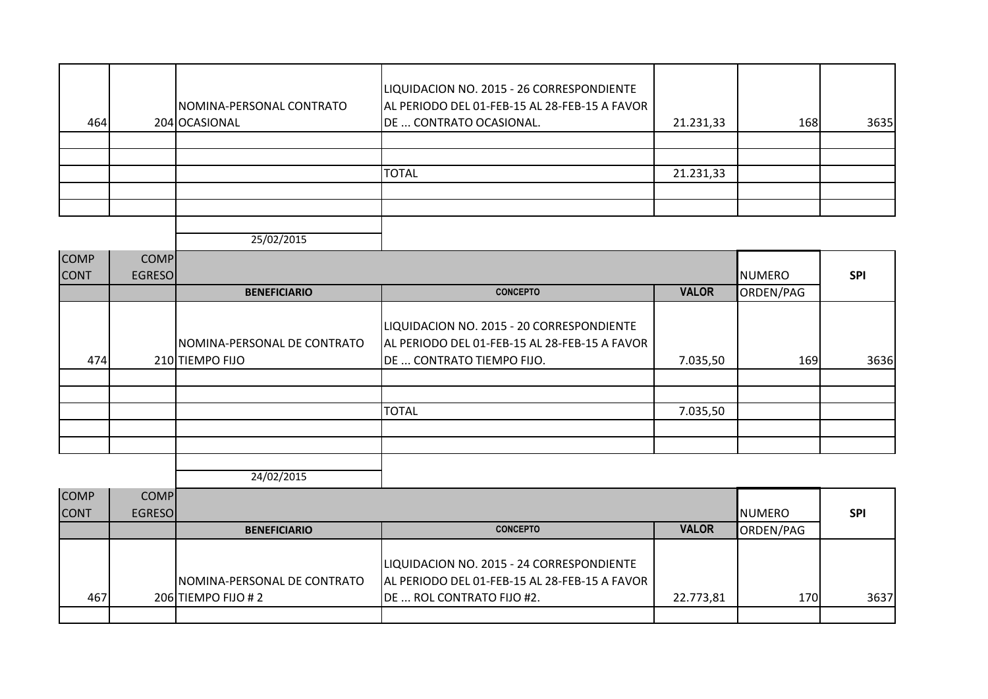| 464 | NOMINA-PERSONAL CONTRATO<br>204 OCASIONAL | LIQUIDACION NO. 2015 - 26 CORRESPONDIENTE<br>AL PERIODO DEL 01-FEB-15 AL 28-FEB-15 A FAVOR<br>DE  CONTRATO OCASIONAL. | 21.231,33 | <b>168</b> | 3635 |
|-----|-------------------------------------------|-----------------------------------------------------------------------------------------------------------------------|-----------|------------|------|
|     |                                           |                                                                                                                       |           |            |      |
|     |                                           |                                                                                                                       |           |            |      |
|     |                                           | <b>TOTAL</b>                                                                                                          | 21.231,33 |            |      |
|     |                                           |                                                                                                                       |           |            |      |
|     |                                           |                                                                                                                       |           |            |      |
|     |                                           |                                                                                                                       |           |            |      |

| <b>COMP</b> | <b>COMP</b>   |                                                 |                                                                                                                         |              |               |            |
|-------------|---------------|-------------------------------------------------|-------------------------------------------------------------------------------------------------------------------------|--------------|---------------|------------|
| <b>CONT</b> | <b>EGRESO</b> |                                                 |                                                                                                                         |              | <b>NUMERO</b> | <b>SPI</b> |
|             |               | <b>BENEFICIARIO</b>                             | <b>CONCEPTO</b>                                                                                                         | <b>VALOR</b> | ORDEN/PAG     |            |
| 474         |               | INOMINA-PERSONAL DE CONTRATO<br>210 TIEMPO FIJO | LIQUIDACION NO. 2015 - 20 CORRESPONDIENTE<br>AL PERIODO DEL 01-FEB-15 AL 28-FEB-15 A FAVOR<br>DE  CONTRATO TIEMPO FIJO. | 7.035,50     | 169           | 3636       |
|             |               |                                                 |                                                                                                                         |              |               |            |
|             |               |                                                 |                                                                                                                         |              |               |            |
|             |               |                                                 | <b>TOTAL</b>                                                                                                            | 7.035,50     |               |            |
|             |               |                                                 |                                                                                                                         |              |               |            |
|             |               |                                                 |                                                                                                                         |              |               |            |

| <b>COMP</b><br><b>CONT</b> | <b>COMPI</b><br><b>EGRESOI</b> |                             |                                                                                            |              | <b>I</b> NUMERO | <b>SPI</b> |
|----------------------------|--------------------------------|-----------------------------|--------------------------------------------------------------------------------------------|--------------|-----------------|------------|
|                            |                                | <b>BENEFICIARIO</b>         | <b>CONCEPTO</b>                                                                            | <b>VALOR</b> | ORDEN/PAG       |            |
|                            |                                | NOMINA-PERSONAL DE CONTRATO | LIQUIDACION NO. 2015 - 24 CORRESPONDIENTE<br>AL PERIODO DEL 01-FEB-15 AL 28-FEB-15 A FAVOR |              |                 |            |
| 467                        |                                | 206 TIEMPO FIJO #2          | DE  ROL CONTRATO FIJO #2.                                                                  | 22.773,81    | 170             | 3637       |
|                            |                                |                             |                                                                                            |              |                 |            |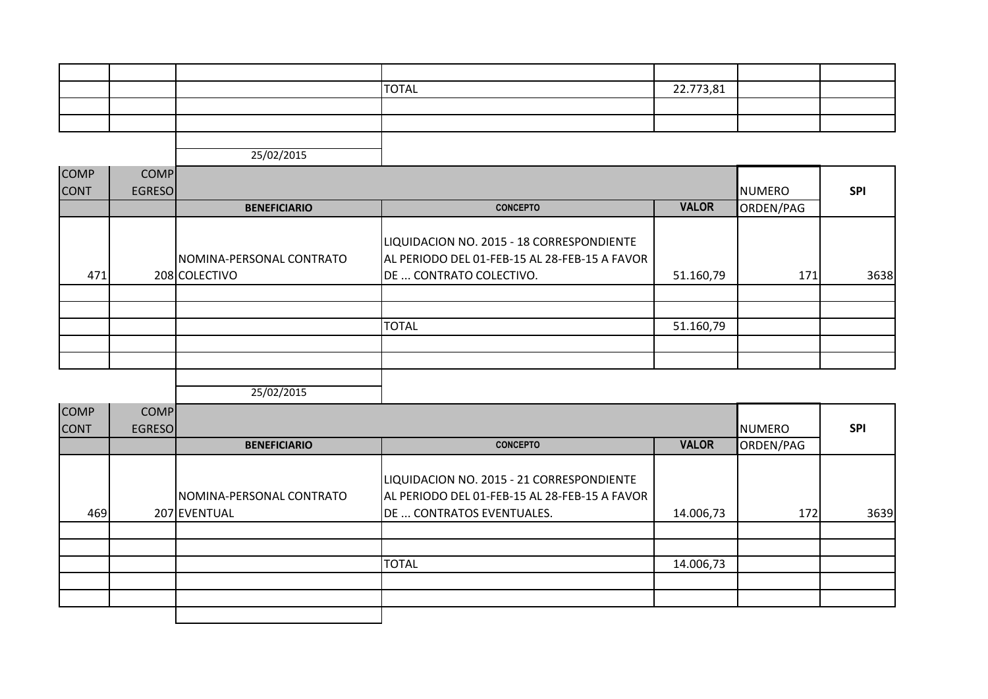|  | <b>TOTAL</b> | 22.773,81 |  |
|--|--------------|-----------|--|
|  |              |           |  |
|  |              |           |  |
|  |              |           |  |

| <b>COMP</b> | <b>COMP</b>   |                                           |                                                                                                                       |              |               |            |
|-------------|---------------|-------------------------------------------|-----------------------------------------------------------------------------------------------------------------------|--------------|---------------|------------|
| <b>CONT</b> | <b>EGRESO</b> |                                           |                                                                                                                       |              | <b>NUMERO</b> | <b>SPI</b> |
|             |               | <b>BENEFICIARIO</b>                       | <b>CONCEPTO</b>                                                                                                       | <b>VALOR</b> | ORDEN/PAG     |            |
| 471         |               | NOMINA-PERSONAL CONTRATO<br>208 COLECTIVO | LIQUIDACION NO. 2015 - 18 CORRESPONDIENTE<br>AL PERIODO DEL 01-FEB-15 AL 28-FEB-15 A FAVOR<br>DE  CONTRATO COLECTIVO. | 51.160,79    | 171           | 3638       |
|             |               |                                           |                                                                                                                       |              |               |            |
|             |               |                                           |                                                                                                                       |              |               |            |
|             |               |                                           | <b>TOTAL</b>                                                                                                          | 51.160,79    |               |            |
|             |               |                                           |                                                                                                                       |              |               |            |
|             |               |                                           |                                                                                                                       |              |               |            |
|             |               |                                           |                                                                                                                       |              |               |            |

| <b>COMP</b> | <b>COMP</b>   |                                          |                                                                                                                         |              |               |            |
|-------------|---------------|------------------------------------------|-------------------------------------------------------------------------------------------------------------------------|--------------|---------------|------------|
| <b>CONT</b> | <b>EGRESO</b> |                                          |                                                                                                                         |              | <b>NUMERO</b> | <b>SPI</b> |
|             |               | <b>BENEFICIARIO</b>                      | <b>CONCEPTO</b>                                                                                                         | <b>VALOR</b> | ORDEN/PAG     |            |
| 469         |               | NOMINA-PERSONAL CONTRATO<br>207 EVENTUAL | LIQUIDACION NO. 2015 - 21 CORRESPONDIENTE<br>AL PERIODO DEL 01-FEB-15 AL 28-FEB-15 A FAVOR<br>DE  CONTRATOS EVENTUALES. | 14.006,73    | 172           | 3639       |
|             |               |                                          |                                                                                                                         |              |               |            |
|             |               |                                          | <b>TOTAL</b>                                                                                                            | 14.006,73    |               |            |
|             |               |                                          |                                                                                                                         |              |               |            |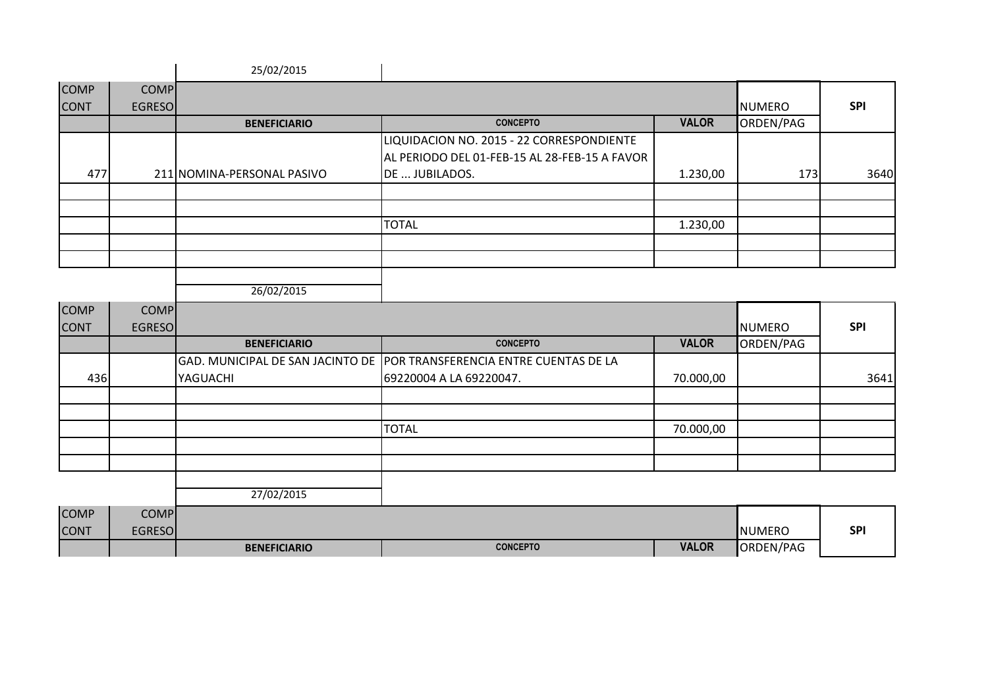|             |               | 25/02/2015                 |                                               |              |               |            |
|-------------|---------------|----------------------------|-----------------------------------------------|--------------|---------------|------------|
| <b>COMP</b> | <b>COMP</b>   |                            |                                               |              |               |            |
| <b>CONT</b> | <b>EGRESO</b> |                            |                                               |              | <b>NUMERO</b> | <b>SPI</b> |
|             |               | <b>BENEFICIARIO</b>        | <b>CONCEPTO</b>                               | <b>VALOR</b> | ORDEN/PAG     |            |
|             |               |                            | LIQUIDACION NO. 2015 - 22 CORRESPONDIENTE     |              |               |            |
|             |               |                            | AL PERIODO DEL 01-FEB-15 AL 28-FEB-15 A FAVOR |              |               |            |
| 477         |               | 211 NOMINA-PERSONAL PASIVO | DE  JUBILADOS.                                | 1.230,00     | 173           | 3640       |
|             |               |                            |                                               |              |               |            |
|             |               |                            |                                               |              |               |            |
|             |               |                            | <b>TOTAL</b>                                  | 1.230,00     |               |            |
|             |               |                            |                                               |              |               |            |
|             |               |                            |                                               |              |               |            |
|             |               |                            |                                               |              |               |            |
|             |               | 26/02/2015                 |                                               |              |               |            |

| <b>COMP</b> | <b>COMP</b>   |                     |                                                                        |              |               |            |
|-------------|---------------|---------------------|------------------------------------------------------------------------|--------------|---------------|------------|
| <b>CONT</b> | <b>EGRESO</b> |                     |                                                                        |              | <b>NUMERO</b> | <b>SPI</b> |
|             |               | <b>BENEFICIARIO</b> | <b>CONCEPTO</b>                                                        | <b>VALOR</b> | ORDEN/PAG     |            |
|             |               |                     | GAD. MUNICIPAL DE SAN JACINTO DE POR TRANSFERENCIA ENTRE CUENTAS DE LA |              |               |            |
| 436         |               | YAGUACHI            | 69220004 A LA 69220047.                                                | 70.000,00    |               | 3641       |
|             |               |                     |                                                                        |              |               |            |
|             |               |                     |                                                                        |              |               |            |
|             |               |                     | <b>TOTAL</b>                                                           | 70.000,00    |               |            |
|             |               |                     |                                                                        |              |               |            |
|             |               |                     |                                                                        |              |               |            |
|             |               |                     |                                                                        |              |               |            |
|             |               | 27/02/2015          |                                                                        |              |               |            |

| <b>COMP</b> | COMP    |                     |                 |              |                |            |
|-------------|---------|---------------------|-----------------|--------------|----------------|------------|
| <b>CONT</b> | EGRESOI |                     |                 |              | <b>INUMERO</b> | <b>SPI</b> |
|             |         | <b>BENEFICIARIO</b> | <b>CONCEPTO</b> | <b>VALOR</b> | ORDEN/PAG      |            |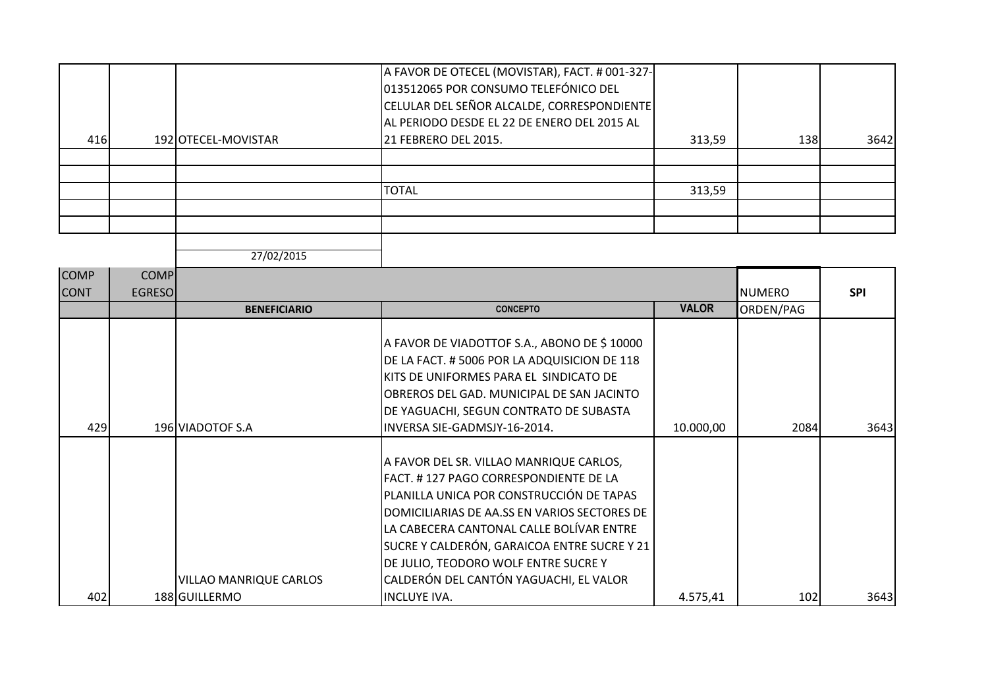| 416 | 192 OTECEL-MOVISTAR | A FAVOR DE OTECEL (MOVISTAR), FACT. # 001-327-<br>013512065 POR CONSUMO TELEFÓNICO DEL<br>CELULAR DEL SEÑOR ALCALDE, CORRESPONDIENTE<br>AL PERIODO DESDE EL 22 DE ENERO DEL 2015 AL<br>21 FEBRERO DEL 2015. | 313,59 | <b>138</b> | 3642 |
|-----|---------------------|-------------------------------------------------------------------------------------------------------------------------------------------------------------------------------------------------------------|--------|------------|------|
|     |                     |                                                                                                                                                                                                             |        |            |      |
|     |                     |                                                                                                                                                                                                             |        |            |      |
|     |                     | <b>TOTAL</b>                                                                                                                                                                                                | 313,59 |            |      |
|     |                     |                                                                                                                                                                                                             |        |            |      |
|     |                     |                                                                                                                                                                                                             |        |            |      |

| <b>COMP</b> | <b>COMP</b>    |                        |                                                                                                                                                                                                                                                                                                                                                           |              |               |            |
|-------------|----------------|------------------------|-----------------------------------------------------------------------------------------------------------------------------------------------------------------------------------------------------------------------------------------------------------------------------------------------------------------------------------------------------------|--------------|---------------|------------|
| <b>CONT</b> | <b>EGRESOI</b> |                        |                                                                                                                                                                                                                                                                                                                                                           |              | <b>NUMERO</b> | <b>SPI</b> |
|             |                | <b>BENEFICIARIO</b>    | <b>CONCEPTO</b>                                                                                                                                                                                                                                                                                                                                           | <b>VALOR</b> | ORDEN/PAG     |            |
| 429         |                | 196 VIADOTOF S.A       | A FAVOR DE VIADOTTOF S.A., ABONO DE \$10000<br>DE LA FACT. #5006 POR LA ADQUISICION DE 118<br>KITS DE UNIFORMES PARA EL SINDICATO DE<br>OBREROS DEL GAD. MUNICIPAL DE SAN JACINTO<br>DE YAGUACHI, SEGUN CONTRATO DE SUBASTA<br>INVERSA SIE-GADMSJY-16-2014.                                                                                               | 10.000,00    | 2084          | 3643       |
|             |                |                        |                                                                                                                                                                                                                                                                                                                                                           |              |               |            |
|             |                | VILLAO MANRIQUE CARLOS | A FAVOR DEL SR. VILLAO MANRIQUE CARLOS,<br>FACT. #127 PAGO CORRESPONDIENTE DE LA<br>PLANILLA UNICA POR CONSTRUCCIÓN DE TAPAS<br>DOMICILIARIAS DE AA.SS EN VARIOS SECTORES DE<br>LA CABECERA CANTONAL CALLE BOLÍVAR ENTRE<br>SUCRE Y CALDERÓN, GARAICOA ENTRE SUCRE Y 21<br>DE JULIO, TEODORO WOLF ENTRE SUCRE Y<br>CALDERÓN DEL CANTÓN YAGUACHI, EL VALOR |              |               |            |
| 402         |                | 188 GUILLERMO          | <b>INCLUYE IVA.</b>                                                                                                                                                                                                                                                                                                                                       | 4.575,41     | 102           | 3643       |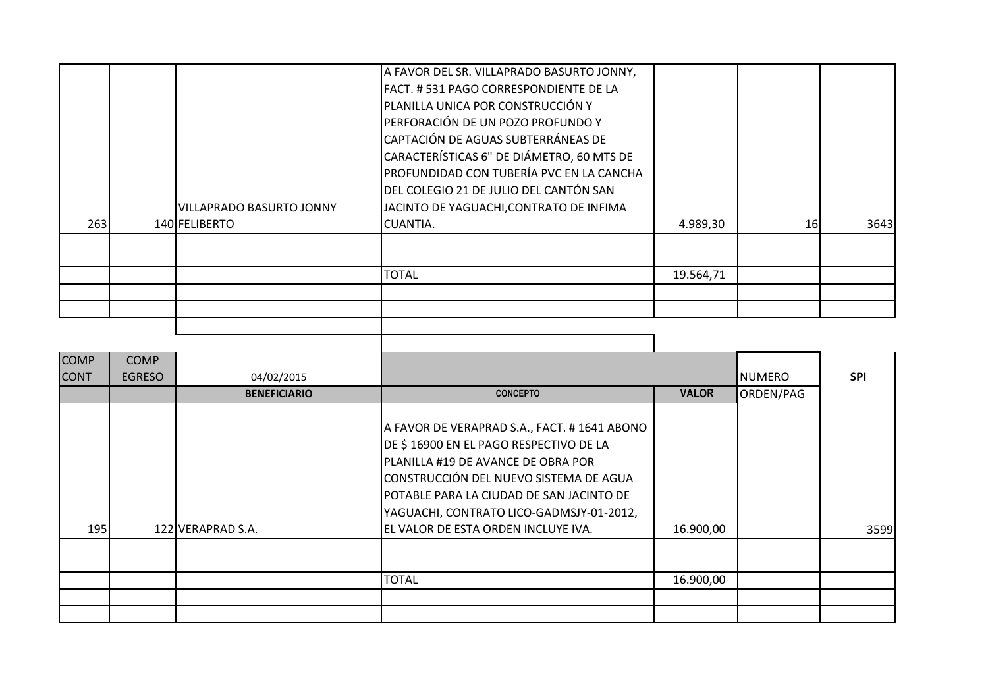| 263 | <b>VILLAPRADO BASURTO JONNY</b><br>140 FELIBERTO | A FAVOR DEL SR. VILLAPRADO BASURTO JONNY,<br> FACT. # 531 PAGO CORRESPONDIENTE DE LA<br>PLANILLA UNICA POR CONSTRUCCIÓN Y<br>PERFORACIÓN DE UN POZO PROFUNDO Y<br>CAPTACIÓN DE AGUAS SUBTERRÁNEAS DE<br>CARACTERÍSTICAS 6" DE DIÁMETRO, 60 MTS DE<br>PROFUNDIDAD CON TUBERÍA PVC EN LA CANCHA<br>DEL COLEGIO 21 DE JULIO DEL CANTÓN SAN<br>JACINTO DE YAGUACHI, CONTRATO DE INFIMA<br>CUANTIA. | 4.989,30  | 16 | 3643 |
|-----|--------------------------------------------------|------------------------------------------------------------------------------------------------------------------------------------------------------------------------------------------------------------------------------------------------------------------------------------------------------------------------------------------------------------------------------------------------|-----------|----|------|
|     |                                                  |                                                                                                                                                                                                                                                                                                                                                                                                |           |    |      |
|     |                                                  |                                                                                                                                                                                                                                                                                                                                                                                                |           |    |      |
|     |                                                  | <b>TOTAL</b>                                                                                                                                                                                                                                                                                                                                                                                   | 19.564,71 |    |      |
|     |                                                  |                                                                                                                                                                                                                                                                                                                                                                                                |           |    |      |
|     |                                                  |                                                                                                                                                                                                                                                                                                                                                                                                |           |    |      |
|     |                                                  |                                                                                                                                                                                                                                                                                                                                                                                                |           |    |      |
|     |                                                  |                                                                                                                                                                                                                                                                                                                                                                                                |           |    |      |

| <b>COMP</b> | <b>COMP</b>   |                     |                                                                                                                                                                                                                                                                |              |               |            |
|-------------|---------------|---------------------|----------------------------------------------------------------------------------------------------------------------------------------------------------------------------------------------------------------------------------------------------------------|--------------|---------------|------------|
| <b>CONT</b> | <b>EGRESO</b> | 04/02/2015          |                                                                                                                                                                                                                                                                |              | <b>NUMERO</b> | <b>SPI</b> |
|             |               | <b>BENEFICIARIO</b> | <b>CONCEPTO</b>                                                                                                                                                                                                                                                | <b>VALOR</b> | ORDEN/PAG     |            |
|             |               |                     | A FAVOR DE VERAPRAD S.A., FACT. # 1641 ABONO<br>DE \$16900 EN EL PAGO RESPECTIVO DE LA<br>PLANILLA #19 DE AVANCE DE OBRA POR<br>CONSTRUCCIÓN DEL NUEVO SISTEMA DE AGUA<br>POTABLE PARA LA CIUDAD DE SAN JACINTO DE<br>YAGUACHI, CONTRATO LICO-GADMSJY-01-2012, |              |               |            |
| 195         |               | 122 VERAPRAD S.A.   | EL VALOR DE ESTA ORDEN INCLUYE IVA.                                                                                                                                                                                                                            | 16.900,00    |               | 3599       |
|             |               |                     |                                                                                                                                                                                                                                                                |              |               |            |
|             |               |                     |                                                                                                                                                                                                                                                                |              |               |            |
|             |               |                     | <b>TOTAL</b>                                                                                                                                                                                                                                                   | 16.900,00    |               |            |
|             |               |                     |                                                                                                                                                                                                                                                                |              |               |            |
|             |               |                     |                                                                                                                                                                                                                                                                |              |               |            |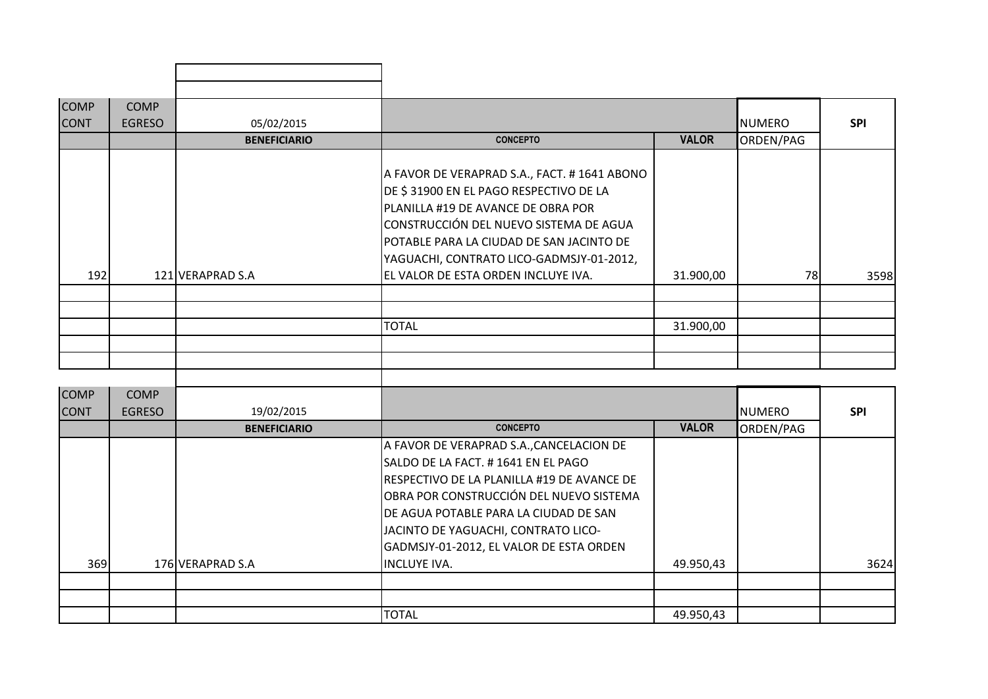| <b>COMP</b> | <b>COMP</b>   |                     |                                                                                                                                                                                                                                                                                                       |              |               |            |
|-------------|---------------|---------------------|-------------------------------------------------------------------------------------------------------------------------------------------------------------------------------------------------------------------------------------------------------------------------------------------------------|--------------|---------------|------------|
| <b>CONT</b> | <b>EGRESO</b> | 05/02/2015          |                                                                                                                                                                                                                                                                                                       |              | <b>NUMERO</b> | <b>SPI</b> |
|             |               | <b>BENEFICIARIO</b> | <b>CONCEPTO</b>                                                                                                                                                                                                                                                                                       | <b>VALOR</b> | ORDEN/PAG     |            |
| 192         |               | 121 VERAPRAD S.A    | A FAVOR DE VERAPRAD S.A., FACT. # 1641 ABONO<br>DE \$31900 EN EL PAGO RESPECTIVO DE LA<br>PLANILLA #19 DE AVANCE DE OBRA POR<br>CONSTRUCCIÓN DEL NUEVO SISTEMA DE AGUA<br>POTABLE PARA LA CIUDAD DE SAN JACINTO DE<br>YAGUACHI, CONTRATO LICO-GADMSJY-01-2012,<br>EL VALOR DE ESTA ORDEN INCLUYE IVA. | 31.900,00    | 78            | 3598       |
|             |               |                     |                                                                                                                                                                                                                                                                                                       |              |               |            |
|             |               |                     | <b>TOTAL</b>                                                                                                                                                                                                                                                                                          | 31.900,00    |               |            |
|             |               |                     |                                                                                                                                                                                                                                                                                                       |              |               |            |

| <b>COMP</b><br><b>CONT</b> | <b>COMP</b><br><b>EGRESO</b> | 19/02/2015          |                                            |              | NUMERO    | <b>SPI</b> |
|----------------------------|------------------------------|---------------------|--------------------------------------------|--------------|-----------|------------|
|                            |                              | <b>BENEFICIARIO</b> | <b>CONCEPTO</b>                            | <b>VALOR</b> | ORDEN/PAG |            |
|                            |                              |                     | A FAVOR DE VERAPRAD S.A., CANCELACION DE   |              |           |            |
|                            |                              |                     | SALDO DE LA FACT. # 1641 EN EL PAGO        |              |           |            |
|                            |                              |                     | RESPECTIVO DE LA PLANILLA #19 DE AVANCE DE |              |           |            |
|                            |                              |                     | OBRA POR CONSTRUCCIÓN DEL NUEVO SISTEMA    |              |           |            |
|                            |                              |                     | IDE AGUA POTABLE PARA LA CIUDAD DE SAN     |              |           |            |
|                            |                              |                     | JACINTO DE YAGUACHI, CONTRATO LICO-        |              |           |            |
|                            |                              |                     | GADMSJY-01-2012, EL VALOR DE ESTA ORDEN    |              |           |            |
| 369                        |                              | 176 VERAPRAD S.A    | <b>IINCLUYE IVA.</b>                       | 49.950,43    |           | 3624       |
|                            |                              |                     |                                            |              |           |            |
|                            |                              |                     |                                            |              |           |            |
|                            |                              |                     | <b>TOTAL</b>                               | 49.950,43    |           |            |